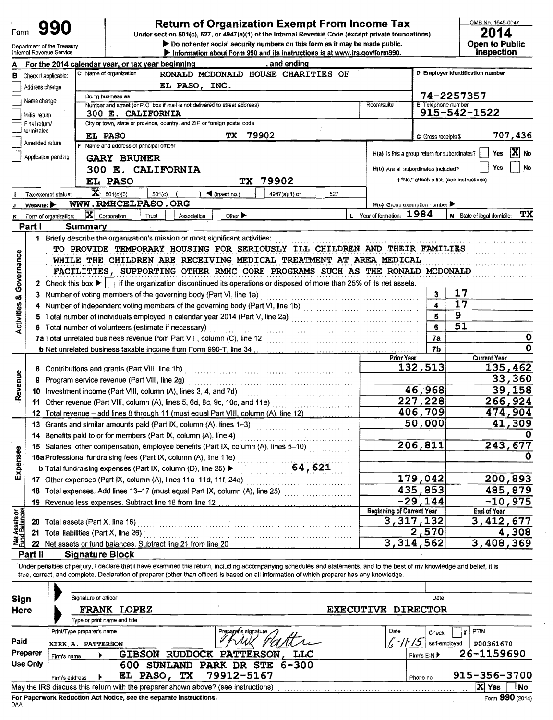| Form                               | 990<br>Department of the Treasury |                                        |                                                                                   |               |                                   | <b>Return of Organization Exempt From Income Tax</b><br>Under section 501(c), 527, or 4947(a)(1) of the Internal Revenue Code (except private foundations)<br>Do not enter social security numbers on this form as it may be made public.                                                                                                                              |                                               |                                            | OMB No. 1545-0047<br>2014<br><b>Open to Public</b> |
|------------------------------------|-----------------------------------|----------------------------------------|-----------------------------------------------------------------------------------|---------------|-----------------------------------|------------------------------------------------------------------------------------------------------------------------------------------------------------------------------------------------------------------------------------------------------------------------------------------------------------------------------------------------------------------------|-----------------------------------------------|--------------------------------------------|----------------------------------------------------|
|                                    | Internal Revenue Service          |                                        | For the 2014 calendar year, or tax year beginning                                 |               |                                   | Information about Form 990 and its instructions is at www.irs.gov/form990.<br>, and ending.                                                                                                                                                                                                                                                                            |                                               |                                            | <b>Inspection</b>                                  |
|                                    | <b>B</b> Check if applicable:     |                                        | C Name of organization                                                            |               |                                   | RONALD MCDONALD HOUSE CHARITIES OF                                                                                                                                                                                                                                                                                                                                     |                                               |                                            | D Employer identification number                   |
|                                    | Address change                    |                                        |                                                                                   | EL PASO, INC. |                                   |                                                                                                                                                                                                                                                                                                                                                                        |                                               |                                            |                                                    |
|                                    |                                   |                                        | Doing business as                                                                 |               |                                   |                                                                                                                                                                                                                                                                                                                                                                        |                                               |                                            | 74-2257357                                         |
|                                    | Name change                       |                                        | Number and street (or P.O. box if mail is not delivered to street address)        |               |                                   |                                                                                                                                                                                                                                                                                                                                                                        | Room/sulte                                    | E Telephone number                         |                                                    |
|                                    | Initial return                    |                                        | 300 E. CALIFORNIA                                                                 |               |                                   |                                                                                                                                                                                                                                                                                                                                                                        |                                               |                                            | 915-542-1522                                       |
|                                    | Final return/<br>terminated       |                                        | City or town, state or province, country, and ZIP or foreign postal code          |               |                                   |                                                                                                                                                                                                                                                                                                                                                                        |                                               |                                            |                                                    |
|                                    | Amended return                    |                                        | EL PASO                                                                           |               | 79902<br>TX.                      |                                                                                                                                                                                                                                                                                                                                                                        |                                               | G Gross receipts \$                        | 707,436                                            |
|                                    |                                   |                                        | Name and address of principal officer:                                            |               |                                   |                                                                                                                                                                                                                                                                                                                                                                        | H(a) Is this a group return for subordinates? |                                            | $ X $ No<br>Yes                                    |
|                                    | Application pending               |                                        | <b>GARY BRUNER</b>                                                                |               |                                   |                                                                                                                                                                                                                                                                                                                                                                        |                                               |                                            |                                                    |
|                                    |                                   |                                        | 300 E. CALIFORNIA                                                                 |               |                                   |                                                                                                                                                                                                                                                                                                                                                                        |                                               | H(b) Are all subordinates included?        | No<br>Yes                                          |
|                                    |                                   |                                        | EL PASO                                                                           |               | TX .                              | 79902                                                                                                                                                                                                                                                                                                                                                                  |                                               | If "No," attach a list. (see instructions) |                                                    |
|                                    | Tax-exempt status:                |                                        | $X_{501(c)(3)}$<br>501(c)                                                         |               | $\blacktriangleleft$ (insert no.) | 4947(a)(1) or<br>527                                                                                                                                                                                                                                                                                                                                                   |                                               |                                            |                                                    |
|                                    | Website:                          |                                        | WWW.RMHCELPASO.ORG                                                                |               |                                   |                                                                                                                                                                                                                                                                                                                                                                        |                                               | H(c) Group exemption number                |                                                    |
| ĸ                                  | Form of organization:             |                                        | $ \mathbf{X} $ Corporation<br>Trust                                               | Association   | Other $\blacktriangleright$       |                                                                                                                                                                                                                                                                                                                                                                        | L Year of formation: 1984                     |                                            | TХ<br>M State of legal domicile:                   |
|                                    | Part I                            | Summary                                |                                                                                   |               |                                   |                                                                                                                                                                                                                                                                                                                                                                        |                                               |                                            |                                                    |
| <b>Activities &amp; Governance</b> | 5.                                | 2 Check this box $\blacktriangleright$ | Number of voting members of the governing body (Part VI, line 1a)                 |               |                                   | WHILE THE CHILDREN ARE RECEIVING MEDICAL TREATMENT AT AREA MEDICAL<br>FACILITIES, SUPPORTING OTHER RMHC CORE PROGRAMS SUCH AS THE RONALD MCDONALD<br>if the organization discontinued its operations or disposed of more than 25% of its net assets.<br>Number of independent voting members of the governing body (Part VI, line 1b) [11] [11] [11] [11] [11] [11] [1 |                                               | 4<br>5                                     | 17<br>17<br>9                                      |
|                                    |                                   |                                        |                                                                                   |               |                                   |                                                                                                                                                                                                                                                                                                                                                                        |                                               | 6                                          | 51                                                 |
|                                    |                                   |                                        | 6 Total number of volunteers (estimate if necessary)                              |               |                                   |                                                                                                                                                                                                                                                                                                                                                                        |                                               | 7a                                         | 0                                                  |
|                                    |                                   |                                        |                                                                                   |               |                                   |                                                                                                                                                                                                                                                                                                                                                                        |                                               | 7b                                         | $\mathbf 0$                                        |
|                                    |                                   |                                        |                                                                                   |               |                                   |                                                                                                                                                                                                                                                                                                                                                                        | <b>Prior Year</b>                             |                                            | <b>Current Year</b>                                |
|                                    |                                   |                                        |                                                                                   |               |                                   |                                                                                                                                                                                                                                                                                                                                                                        |                                               | 132,513                                    | 135,462                                            |
|                                    | 9                                 |                                        |                                                                                   |               |                                   |                                                                                                                                                                                                                                                                                                                                                                        |                                               |                                            | 33,360                                             |
| Revenue                            |                                   |                                        |                                                                                   |               |                                   |                                                                                                                                                                                                                                                                                                                                                                        |                                               | 46,968                                     | 39,158                                             |
|                                    |                                   |                                        |                                                                                   |               |                                   | 11 Other revenue (Part VIII, column (A), lines 5, 6d, 8c, 9c, 10c, and 11e)                                                                                                                                                                                                                                                                                            |                                               | 227,228                                    | 266,924                                            |
|                                    |                                   |                                        |                                                                                   |               |                                   | 12 Total revenue – add lines 8 through 11 (must equal Part VIII, column (A), line 12)                                                                                                                                                                                                                                                                                  |                                               | 406,709                                    | 474,904                                            |
|                                    |                                   |                                        | 13 Grants and similar amounts paid (Part IX, column (A), lines 1-3)               |               |                                   |                                                                                                                                                                                                                                                                                                                                                                        |                                               | 50,000                                     | 41,309                                             |
|                                    |                                   |                                        | 14 Benefits paid to or for members (Part IX, column (A), line 4)                  |               |                                   |                                                                                                                                                                                                                                                                                                                                                                        |                                               |                                            | O                                                  |
|                                    |                                   |                                        |                                                                                   |               |                                   | 15 Salaries, other compensation, employee benefits (Part IX, column (A), lines 5-10)                                                                                                                                                                                                                                                                                   |                                               | 206,811                                    | 243,677                                            |
|                                    |                                   |                                        | 16a Professional fundraising fees (Part IX, column (A), line 11e)                 |               |                                   | الولوين والمتعادل والمتحددة والمتحدة                                                                                                                                                                                                                                                                                                                                   |                                               |                                            |                                                    |
| Expenses                           |                                   |                                        | <b>b</b> Total fundraising expenses (Part IX, column (D), line 25) >              |               |                                   | 64,621                                                                                                                                                                                                                                                                                                                                                                 |                                               |                                            |                                                    |
|                                    |                                   |                                        | 17 Other expenses (Part IX, column (A), lines 11a-11d, 11f-24e)                   |               |                                   |                                                                                                                                                                                                                                                                                                                                                                        |                                               | 179,042                                    | 200,893                                            |
|                                    | 18                                |                                        |                                                                                   |               |                                   | Total expenses. Add lines 13-17 (must equal Part IX, column (A), line 25)                                                                                                                                                                                                                                                                                              |                                               | 435,853                                    | 485,879                                            |
|                                    | 19                                |                                        | Revenue less expenses. Subtract line 18 from line 12                              |               |                                   |                                                                                                                                                                                                                                                                                                                                                                        |                                               | $-29,144$                                  | $-10,975$                                          |
| Net Assets or                      |                                   |                                        |                                                                                   |               |                                   |                                                                                                                                                                                                                                                                                                                                                                        | <b>Beginning of Current Year</b>              |                                            | <b>End of Year</b>                                 |
|                                    | 20                                | Total assets (Part X, line 16)         |                                                                                   |               |                                   |                                                                                                                                                                                                                                                                                                                                                                        |                                               | 3, 317, 132                                | 3,412,677                                          |
|                                    | 21                                |                                        | Total liabilities (Part X, line 26)                                               |               |                                   |                                                                                                                                                                                                                                                                                                                                                                        |                                               | 2,570                                      | 4,308                                              |
|                                    | 22                                |                                        | Net assets or fund balances. Subtract line 21 from line 20                        |               |                                   |                                                                                                                                                                                                                                                                                                                                                                        |                                               | 3,314,562                                  | 3,408,369                                          |
|                                    | Part II                           | <b>Signature Block</b>                 |                                                                                   |               |                                   |                                                                                                                                                                                                                                                                                                                                                                        |                                               |                                            |                                                    |
| Sign                               |                                   | Signature of officer                   |                                                                                   |               |                                   | Under penalties of perjury, I declare that I have examined this return, including accompanying schedules and statements, and to the best of my knowledge and belief, it is<br>true, correct, and complete. Declaration of preparer (other than officer) is based on all information of which preparer has any knowledge.                                               |                                               | Date                                       |                                                    |
| Here                               |                                   |                                        | <b>FRANK LOPEZ</b>                                                                |               |                                   |                                                                                                                                                                                                                                                                                                                                                                        | <b>EXECUTIVE DIRECTOR</b>                     |                                            |                                                    |
|                                    |                                   |                                        | Type or print name and title                                                      |               |                                   |                                                                                                                                                                                                                                                                                                                                                                        |                                               |                                            |                                                    |
|                                    |                                   | Print/Type preparer's name             |                                                                                   |               | Preparer's signature              |                                                                                                                                                                                                                                                                                                                                                                        | Date                                          | Check                                      | PTIN<br>Ħ                                          |
| Paid                               |                                   | KIRK A. PATTERSON                      |                                                                                   |               |                                   |                                                                                                                                                                                                                                                                                                                                                                        | 5/ ۱۲/۲/م                                     | self-employed                              | P00361670                                          |
|                                    | Preparer                          | Firm's name                            |                                                                                   |               | <b>GIBSON RUDDOCK PATTERSON</b>   | LLC                                                                                                                                                                                                                                                                                                                                                                    |                                               | Firm's EIN ▶                               | 26-1159690                                         |
|                                    | <b>Use Only</b>                   |                                        |                                                                                   |               | 600 SUNLAND PARK DR STE           | $6 - 300$                                                                                                                                                                                                                                                                                                                                                              |                                               |                                            |                                                    |
|                                    |                                   | Firm's address                         | EL PASO, TX                                                                       |               | 79912-5167                        |                                                                                                                                                                                                                                                                                                                                                                        |                                               | Phone no.                                  | 915-356-3700                                       |
|                                    |                                   |                                        | May the IRS discuss this return with the preparer shown above? (see instructions) |               |                                   |                                                                                                                                                                                                                                                                                                                                                                        |                                               |                                            | $\overline{\mathbf{X}}$ Yes<br>No.                 |

 $\bar{z}$ 

 $\bar{J}$  .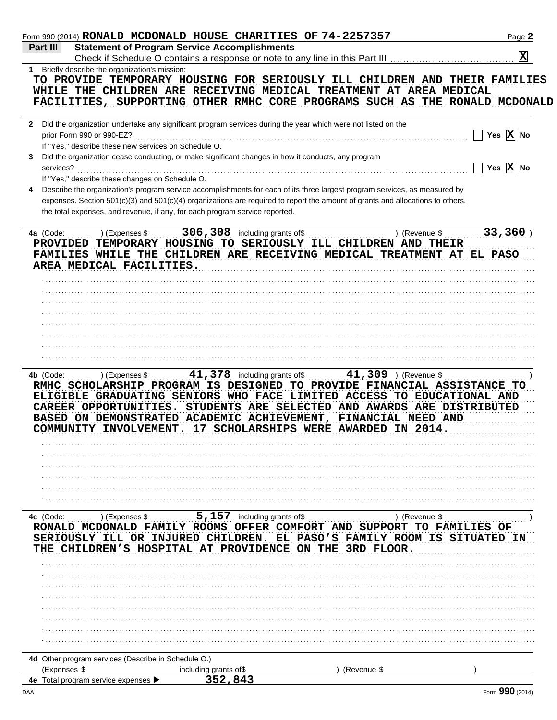|                                                                                                                                                                                                     |                                                     | Form 990 (2014) RONALD MCDONALD HOUSE CHARITIES OF 74-2257357                                                                                                                                                                                                                                                                                                                           | Page 2                                                  |
|-----------------------------------------------------------------------------------------------------------------------------------------------------------------------------------------------------|-----------------------------------------------------|-----------------------------------------------------------------------------------------------------------------------------------------------------------------------------------------------------------------------------------------------------------------------------------------------------------------------------------------------------------------------------------------|---------------------------------------------------------|
| Part III                                                                                                                                                                                            | <b>Statement of Program Service Accomplishments</b> |                                                                                                                                                                                                                                                                                                                                                                                         |                                                         |
|                                                                                                                                                                                                     |                                                     |                                                                                                                                                                                                                                                                                                                                                                                         | $ \mathbf{X} $                                          |
| 1 Briefly describe the organization's mission:                                                                                                                                                      |                                                     | TO PROVIDE TEMPORARY HOUSING FOR SERIOUSLY ILL CHILDREN AND THEIR FAMILIES<br>WHILE THE CHILDREN ARE RECEIVING MEDICAL TREATMENT AT AREA MEDICAL<br>FACILITIES, SUPPORTING OTHER RMHC CORE PROGRAMS SUCH AS THE RONALD MCDONALD                                                                                                                                                         |                                                         |
|                                                                                                                                                                                                     |                                                     |                                                                                                                                                                                                                                                                                                                                                                                         |                                                         |
| 2 Did the organization undertake any significant program services during the year which were not listed on the<br>prior Form 990 or 990-EZ?<br>If "Yes," describe these new services on Schedule O. |                                                     |                                                                                                                                                                                                                                                                                                                                                                                         | Yes $\overline{X}$ No                                   |
| Did the organization cease conducting, or make significant changes in how it conducts, any program<br>3<br>services?                                                                                |                                                     |                                                                                                                                                                                                                                                                                                                                                                                         | $\overline{\phantom{x}}$ Yes $\overline{\textbf{X}}$ No |
| If "Yes," describe these changes on Schedule O.                                                                                                                                                     |                                                     |                                                                                                                                                                                                                                                                                                                                                                                         |                                                         |
| 4<br>the total expenses, and revenue, if any, for each program service reported.                                                                                                                    |                                                     | Describe the organization's program service accomplishments for each of its three largest program services, as measured by<br>expenses. Section 501(c)(3) and 501(c)(4) organizations are required to report the amount of grants and allocations to others,                                                                                                                            |                                                         |
| 4a (Code:<br>) (Expenses \$                                                                                                                                                                         | 306, 308 including grants of\$                      | ) (Revenue \$                                                                                                                                                                                                                                                                                                                                                                           | 33, 360                                                 |
| AREA MEDICAL FACILITIES.                                                                                                                                                                            |                                                     | FAMILIES WHILE THE CHILDREN ARE RECEIVING MEDICAL TREATMENT AT EL PASO                                                                                                                                                                                                                                                                                                                  |                                                         |
|                                                                                                                                                                                                     |                                                     |                                                                                                                                                                                                                                                                                                                                                                                         |                                                         |
|                                                                                                                                                                                                     |                                                     |                                                                                                                                                                                                                                                                                                                                                                                         |                                                         |
|                                                                                                                                                                                                     |                                                     |                                                                                                                                                                                                                                                                                                                                                                                         |                                                         |
|                                                                                                                                                                                                     |                                                     |                                                                                                                                                                                                                                                                                                                                                                                         |                                                         |
|                                                                                                                                                                                                     |                                                     |                                                                                                                                                                                                                                                                                                                                                                                         |                                                         |
|                                                                                                                                                                                                     |                                                     |                                                                                                                                                                                                                                                                                                                                                                                         |                                                         |
| 4b (Code:<br>) (Expenses \$                                                                                                                                                                         | $41,378$ including grants of \$                     | $41,309$ ) (Revenue \$<br>RMHC SCHOLARSHIP PROGRAM IS DESIGNED TO PROVIDE FINANCIAL ASSISTANCE TO<br>ELIGIBLE GRADUATING SENIORS WHO FACE LIMITED ACCESS TO EDUCATIONAL AND<br>CAREER OPPORTUNITIES. STUDENTS ARE SELECTED AND AWARDS ARE DISTRIBUTED<br>BASED ON DEMONSTRATED ACADEMIC ACHIEVEMENT, FINANCIAL NEED AND<br>COMMUNITY INVOLVEMENT. 17 SCHOLARSHIPS WERE AWARDED IN 2014. |                                                         |
|                                                                                                                                                                                                     |                                                     |                                                                                                                                                                                                                                                                                                                                                                                         |                                                         |
|                                                                                                                                                                                                     |                                                     |                                                                                                                                                                                                                                                                                                                                                                                         |                                                         |
|                                                                                                                                                                                                     |                                                     |                                                                                                                                                                                                                                                                                                                                                                                         |                                                         |
|                                                                                                                                                                                                     |                                                     |                                                                                                                                                                                                                                                                                                                                                                                         |                                                         |
|                                                                                                                                                                                                     |                                                     |                                                                                                                                                                                                                                                                                                                                                                                         |                                                         |
|                                                                                                                                                                                                     |                                                     |                                                                                                                                                                                                                                                                                                                                                                                         |                                                         |
|                                                                                                                                                                                                     |                                                     |                                                                                                                                                                                                                                                                                                                                                                                         |                                                         |
| ) (Expenses \$<br>SERIOUSLY ILL OR INJURED CHILDREN.                                                                                                                                                | 5, $157$ including grants of \$                     | ) (Revenue \$<br>OFFER COMFORT AND SUPPORT TO FAMILIES OF<br>EL PASO'S FAMILY ROOM IS SITUATED IN<br>CHILDREN'S HOSPITAL AT PROVIDENCE ON THE 3RD FLOOR.                                                                                                                                                                                                                                |                                                         |
|                                                                                                                                                                                                     |                                                     |                                                                                                                                                                                                                                                                                                                                                                                         |                                                         |
|                                                                                                                                                                                                     |                                                     |                                                                                                                                                                                                                                                                                                                                                                                         |                                                         |
|                                                                                                                                                                                                     |                                                     |                                                                                                                                                                                                                                                                                                                                                                                         |                                                         |
|                                                                                                                                                                                                     |                                                     |                                                                                                                                                                                                                                                                                                                                                                                         |                                                         |
|                                                                                                                                                                                                     |                                                     |                                                                                                                                                                                                                                                                                                                                                                                         |                                                         |
|                                                                                                                                                                                                     |                                                     |                                                                                                                                                                                                                                                                                                                                                                                         |                                                         |
|                                                                                                                                                                                                     |                                                     |                                                                                                                                                                                                                                                                                                                                                                                         |                                                         |
|                                                                                                                                                                                                     |                                                     |                                                                                                                                                                                                                                                                                                                                                                                         |                                                         |
|                                                                                                                                                                                                     |                                                     |                                                                                                                                                                                                                                                                                                                                                                                         |                                                         |
| 4c (Code:<br>RONALD MCDONALD FAMILY ROOMS<br>4d Other program services (Describe in Schedule O.)<br>(Expenses \$                                                                                    | including grants of \$                              | (Revenue \$                                                                                                                                                                                                                                                                                                                                                                             |                                                         |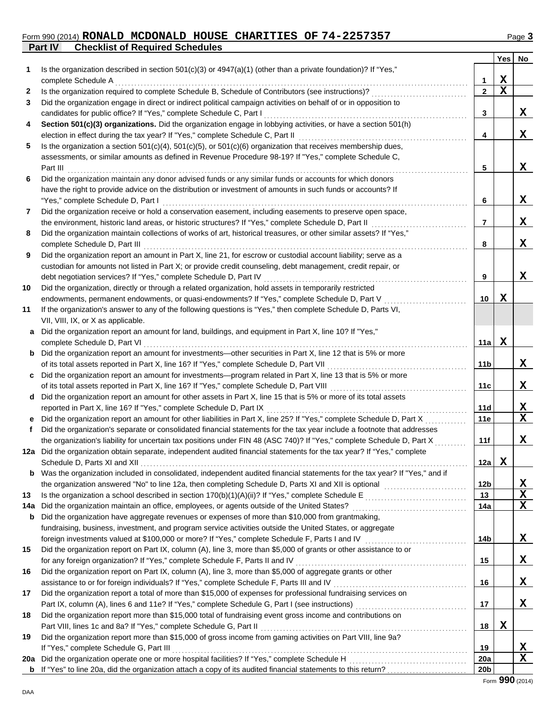## Form 990 (2014) **RONALD MCDONALD HOUSE CHARITIES OF 74-2257357** Page 3

**Part IV Checklist of Required Schedules**

|--|--|--|

|     |                                                                                                                            |                 | Yes         | No                      |
|-----|----------------------------------------------------------------------------------------------------------------------------|-----------------|-------------|-------------------------|
| 1   | Is the organization described in section 501(c)(3) or 4947(a)(1) (other than a private foundation)? If "Yes,"              |                 |             |                         |
|     | complete Schedule A                                                                                                        | 1               | X           |                         |
| 2   | Is the organization required to complete Schedule B, Schedule of Contributors (see instructions)?                          | $\mathbf{2}$    | $\mathbf X$ |                         |
| 3   | Did the organization engage in direct or indirect political campaign activities on behalf of or in opposition to           |                 |             |                         |
|     | candidates for public office? If "Yes," complete Schedule C, Part I                                                        | 3               |             | X                       |
| 4   | Section 501(c)(3) organizations. Did the organization engage in lobbying activities, or have a section 501(h)              |                 |             |                         |
|     | election in effect during the tax year? If "Yes," complete Schedule C, Part II                                             | 4               |             | X                       |
| 5   | Is the organization a section $501(c)(4)$ , $501(c)(5)$ , or $501(c)(6)$ organization that receives membership dues,       |                 |             |                         |
|     | assessments, or similar amounts as defined in Revenue Procedure 98-19? If "Yes," complete Schedule C,                      |                 |             |                         |
|     | Part III                                                                                                                   | 5               |             | X                       |
| 6   | Did the organization maintain any donor advised funds or any similar funds or accounts for which donors                    |                 |             |                         |
|     | have the right to provide advice on the distribution or investment of amounts in such funds or accounts? If                |                 |             |                         |
|     | "Yes," complete Schedule D, Part I                                                                                         | 6               |             | X                       |
| 7   | Did the organization receive or hold a conservation easement, including easements to preserve open space,                  |                 |             |                         |
|     | the environment, historic land areas, or historic structures? If "Yes," complete Schedule D, Part II                       | 7               |             | X                       |
| 8   | Did the organization maintain collections of works of art, historical treasures, or other similar assets? If "Yes,"        |                 |             |                         |
|     | complete Schedule D, Part III                                                                                              | 8               |             | X                       |
| 9   | Did the organization report an amount in Part X, line 21, for escrow or custodial account liability; serve as a            |                 |             |                         |
|     | custodian for amounts not listed in Part X; or provide credit counseling, debt management, credit repair, or               |                 |             |                         |
|     | debt negotiation services? If "Yes," complete Schedule D, Part IV                                                          | 9               |             | X                       |
| 10  | Did the organization, directly or through a related organization, hold assets in temporarily restricted                    |                 |             |                         |
|     | endowments, permanent endowments, or quasi-endowments? If "Yes," complete Schedule D, Part V                               | 10              | X           |                         |
| 11  | If the organization's answer to any of the following questions is "Yes," then complete Schedule D, Parts VI,               |                 |             |                         |
|     | VII, VIII, IX, or X as applicable.                                                                                         |                 |             |                         |
| a   | Did the organization report an amount for land, buildings, and equipment in Part X, line 10? If "Yes,"                     |                 |             |                         |
|     | complete Schedule D, Part VI                                                                                               | 11a             | x           |                         |
| b   | Did the organization report an amount for investments—other securities in Part X, line 12 that is 5% or more               |                 |             |                         |
|     | of its total assets reported in Part X, line 16? If "Yes," complete Schedule D, Part VII                                   | 11 <sub>b</sub> |             | X                       |
| c   | Did the organization report an amount for investments—program related in Part X, line 13 that is 5% or more                |                 |             |                         |
|     | of its total assets reported in Part X, line 16? If "Yes," complete Schedule D, Part VIII                                  | 11c             |             | X                       |
| d   | Did the organization report an amount for other assets in Part X, line 15 that is 5% or more of its total assets           |                 |             |                         |
|     | reported in Part X, line 16? If "Yes," complete Schedule D, Part IX                                                        | 11d             |             | X                       |
| е   | Did the organization report an amount for other liabilities in Part X, line 25? If "Yes," complete Schedule D, Part X      | 11e             |             | $\overline{\mathbf{x}}$ |
| f   | Did the organization's separate or consolidated financial statements for the tax year include a footnote that addresses    |                 |             |                         |
|     | the organization's liability for uncertain tax positions under FIN 48 (ASC 740)? If "Yes," complete Schedule D, Part X     | 11f             |             | X                       |
| 12a | Did the organization obtain separate, independent audited financial statements for the tax year? If "Yes," complete        |                 |             |                         |
|     | Schedule D, Parts XI and XII                                                                                               | 12a             | X           |                         |
| b   | Was the organization included in consolidated, independent audited financial statements for the tax year? If "Yes," and if |                 |             |                         |
|     | the organization answered "No" to line 12a, then completing Schedule D, Parts XI and XII is optional                       | 12 <sub>b</sub> |             | X                       |
| 13  |                                                                                                                            | 13              |             | $\mathbf X$             |
| 14a | Did the organization maintain an office, employees, or agents outside of the United States?                                | 14a             |             | $\mathbf x$             |
| b   | Did the organization have aggregate revenues or expenses of more than \$10,000 from grantmaking,                           |                 |             |                         |
|     | fundraising, business, investment, and program service activities outside the United States, or aggregate                  |                 |             |                         |
|     | foreign investments valued at \$100,000 or more? If "Yes," complete Schedule F, Parts I and IV                             | 14b             |             | X                       |
| 15  | Did the organization report on Part IX, column (A), line 3, more than \$5,000 of grants or other assistance to or          |                 |             |                         |
|     | for any foreign organization? If "Yes," complete Schedule F, Parts II and IV                                               | 15              |             | X                       |
| 16  | Did the organization report on Part IX, column (A), line 3, more than \$5,000 of aggregate grants or other                 |                 |             |                         |
|     | assistance to or for foreign individuals? If "Yes," complete Schedule F, Parts III and IV                                  | 16              |             | X                       |
| 17  | Did the organization report a total of more than \$15,000 of expenses for professional fundraising services on             |                 |             |                         |
|     | Part IX, column (A), lines 6 and 11e? If "Yes," complete Schedule G, Part I (see instructions) [[[[[[[[[[[[[[              | 17              |             | X                       |
| 18  | Did the organization report more than \$15,000 total of fundraising event gross income and contributions on                |                 |             |                         |
|     | Part VIII, lines 1c and 8a? If "Yes," complete Schedule G, Part II                                                         | 18              | X           |                         |
| 19  | Did the organization report more than \$15,000 of gross income from gaming activities on Part VIII, line 9a?               |                 |             |                         |
|     | If "Yes," complete Schedule G, Part III                                                                                    | 19              |             | X                       |
| 20a | Did the organization operate one or more hospital facilities? If "Yes," complete Schedule H                                | 20a             |             | $\mathbf x$             |
|     |                                                                                                                            | 20 <sub>b</sub> |             |                         |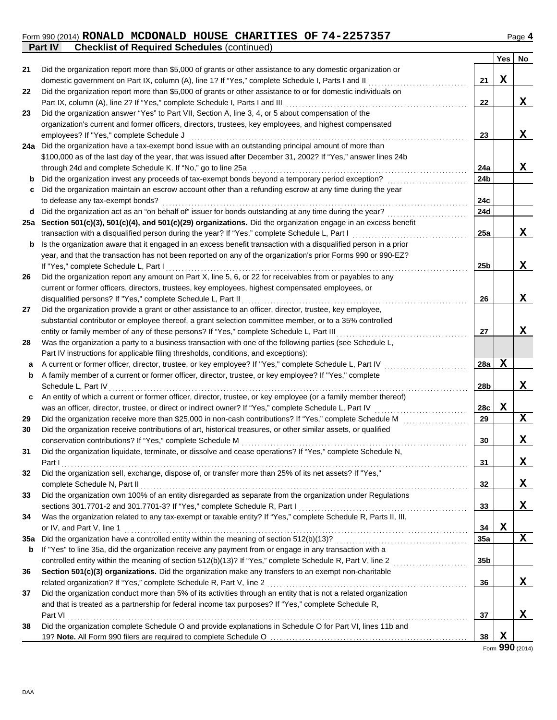### Form 990 (2014) **RONALD MCDONALD HOUSE CHARITIES OF 74-2257357** Page 4 **Part IV** Checklist of Required Schedules (continued)

|     |                                                                                                                  |     | Yes         | No          |
|-----|------------------------------------------------------------------------------------------------------------------|-----|-------------|-------------|
| 21  | Did the organization report more than \$5,000 of grants or other assistance to any domestic organization or      |     |             |             |
|     | domestic government on Part IX, column (A), line 1? If "Yes," complete Schedule I, Parts I and II                | 21  | X           |             |
| 22  | Did the organization report more than \$5,000 of grants or other assistance to or for domestic individuals on    |     |             |             |
|     | Part IX, column (A), line 2? If "Yes," complete Schedule I, Parts I and III                                      | 22  |             | X           |
| 23  | Did the organization answer "Yes" to Part VII, Section A, line 3, 4, or 5 about compensation of the              |     |             |             |
|     | organization's current and former officers, directors, trustees, key employees, and highest compensated          |     |             |             |
|     | employees? If "Yes," complete Schedule J                                                                         | 23  |             | X           |
|     | 24a Did the organization have a tax-exempt bond issue with an outstanding principal amount of more than          |     |             |             |
|     | \$100,000 as of the last day of the year, that was issued after December 31, 2002? If "Yes," answer lines 24b    |     |             |             |
|     | through 24d and complete Schedule K. If "No," go to line 25a                                                     | 24a |             | X           |
| b   | Did the organization invest any proceeds of tax-exempt bonds beyond a temporary period exception?                | 24b |             |             |
| c   | Did the organization maintain an escrow account other than a refunding escrow at any time during the year        |     |             |             |
|     |                                                                                                                  | 24c |             |             |
|     | to defease any tax-exempt bonds?                                                                                 | 24d |             |             |
| d   | Did the organization act as an "on behalf of" issuer for bonds outstanding at any time during the year?          |     |             |             |
|     | 25a Section 501(c)(3), 501(c)(4), and 501(c)(29) organizations. Did the organization engage in an excess benefit |     |             |             |
|     | transaction with a disqualified person during the year? If "Yes," complete Schedule L, Part I                    | 25a |             | X           |
| b   | Is the organization aware that it engaged in an excess benefit transaction with a disqualified person in a prior |     |             |             |
|     | year, and that the transaction has not been reported on any of the organization's prior Forms 990 or 990-EZ?     |     |             |             |
|     | If "Yes," complete Schedule L, Part I                                                                            | 25b |             | X           |
| 26  | Did the organization report any amount on Part X, line 5, 6, or 22 for receivables from or payables to any       |     |             |             |
|     | current or former officers, directors, trustees, key employees, highest compensated employees, or                |     |             |             |
|     | disqualified persons? If "Yes," complete Schedule L, Part II                                                     | 26  |             | $\mathbf x$ |
| 27  | Did the organization provide a grant or other assistance to an officer, director, trustee, key employee,         |     |             |             |
|     | substantial contributor or employee thereof, a grant selection committee member, or to a 35% controlled          |     |             |             |
|     | entity or family member of any of these persons? If "Yes," complete Schedule L, Part III                         | 27  |             | $\mathbf x$ |
| 28  | Was the organization a party to a business transaction with one of the following parties (see Schedule L,        |     |             |             |
|     | Part IV instructions for applicable filing thresholds, conditions, and exceptions):                              |     |             |             |
| a   | A current or former officer, director, trustee, or key employee? If "Yes," complete Schedule L, Part IV          | 28a | X           |             |
| b   | A family member of a current or former officer, director, trustee, or key employee? If "Yes," complete           |     |             |             |
|     | Schedule L, Part IV                                                                                              | 28b |             | X           |
| c   | An entity of which a current or former officer, director, trustee, or key employee (or a family member thereof)  |     |             |             |
|     | was an officer, director, trustee, or direct or indirect owner? If "Yes," complete Schedule L, Part IV           | 28c | $\mathbf x$ |             |
| 29  | Did the organization receive more than \$25,000 in non-cash contributions? If "Yes," complete Schedule M         | 29  |             | $\mathbf x$ |
| 30  | Did the organization receive contributions of art, historical treasures, or other similar assets, or qualified   |     |             |             |
|     | conservation contributions? If "Yes," complete Schedule M                                                        | 30  |             | X           |
| 31  | Did the organization liquidate, terminate, or dissolve and cease operations? If "Yes," complete Schedule N,      |     |             |             |
|     | Part I                                                                                                           | 31  |             | Χ           |
| 32  | Did the organization sell, exchange, dispose of, or transfer more than 25% of its net assets? If "Yes,"          |     |             |             |
|     | complete Schedule N, Part II                                                                                     | 32  |             | X           |
| 33  | Did the organization own 100% of an entity disregarded as separate from the organization under Regulations       |     |             |             |
|     | sections 301.7701-2 and 301.7701-3? If "Yes," complete Schedule R, Part I                                        | 33  |             | x           |
| 34  | Was the organization related to any tax-exempt or taxable entity? If "Yes," complete Schedule R, Parts II, III,  |     |             |             |
|     | or IV, and Part V, line 1                                                                                        | 34  | X           |             |
| 35а | Did the organization have a controlled entity within the meaning of section 512(b)(13)?                          | 35a |             | X           |
| b   | If "Yes" to line 35a, did the organization receive any payment from or engage in any transaction with a          |     |             |             |
|     | controlled entity within the meaning of section 512(b)(13)? If "Yes," complete Schedule R, Part V, line 2        | 35b |             |             |
| 36  | Section 501(c)(3) organizations. Did the organization make any transfers to an exempt non-charitable             |     |             |             |
|     |                                                                                                                  |     |             |             |
|     | related organization? If "Yes," complete Schedule R, Part V, line 2                                              | 36  |             | X           |
| 37  | Did the organization conduct more than 5% of its activities through an entity that is not a related organization |     |             |             |
|     | and that is treated as a partnership for federal income tax purposes? If "Yes," complete Schedule R,             |     |             |             |
|     | Part VI                                                                                                          | 37  |             | X           |
| 38  | Did the organization complete Schedule O and provide explanations in Schedule O for Part VI, lines 11b and       |     |             |             |
|     |                                                                                                                  | 38  | X           |             |

Form **990** (2014)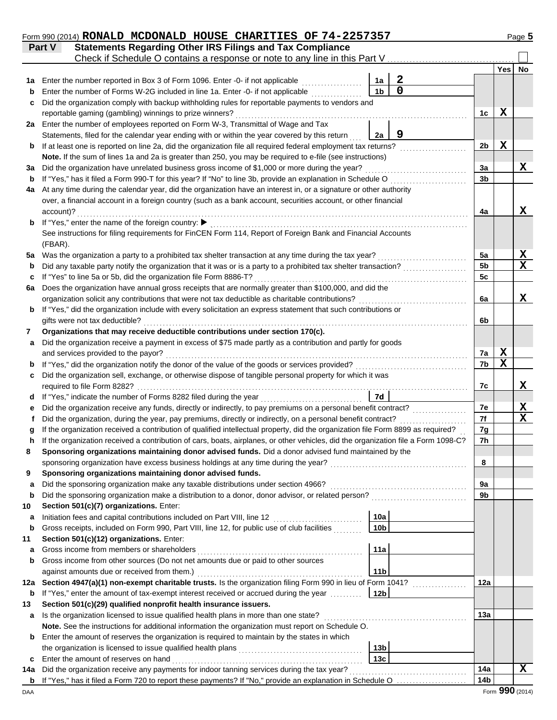|         | Form 990 (2014) RONALD MCDONALD HOUSE CHARITIES OF 74-2257357                                                                                                                                                               |                        |                                    |                 |             | Page 5      |
|---------|-----------------------------------------------------------------------------------------------------------------------------------------------------------------------------------------------------------------------------|------------------------|------------------------------------|-----------------|-------------|-------------|
|         | <b>Statements Regarding Other IRS Filings and Tax Compliance</b><br>Part V                                                                                                                                                  |                        |                                    |                 |             |             |
|         | Check if Schedule O contains a response or note to any line in this Part V                                                                                                                                                  |                        |                                    |                 |             |             |
|         |                                                                                                                                                                                                                             |                        |                                    |                 | <b>Yes</b>  | No          |
| 1a      | Enter the number reported in Box 3 of Form 1096. Enter -0- if not applicable                                                                                                                                                | 1a                     | $\boldsymbol{2}$<br>$\overline{0}$ |                 |             |             |
| b       | Enter the number of Forms W-2G included in line 1a. Enter -0- if not applicable                                                                                                                                             | 1 <sub>b</sub>         |                                    |                 |             |             |
| c       | Did the organization comply with backup withholding rules for reportable payments to vendors and                                                                                                                            |                        |                                    |                 |             |             |
|         | reportable gaming (gambling) winnings to prize winners?                                                                                                                                                                     |                        |                                    | 1c              | $\mathbf x$ |             |
|         | 2a Enter the number of employees reported on Form W-3, Transmittal of Wage and Tax                                                                                                                                          |                        | 9                                  |                 |             |             |
|         | Statements, filed for the calendar year ending with or within the year covered by this return                                                                                                                               | 2a                     |                                    | 2 <sub>b</sub>  | $\mathbf X$ |             |
| b       | If at least one is reported on line 2a, did the organization file all required federal employment tax returns?<br>Note. If the sum of lines 1a and 2a is greater than 250, you may be required to e-file (see instructions) |                        |                                    |                 |             |             |
|         | Did the organization have unrelated business gross income of \$1,000 or more during the year?                                                                                                                               |                        |                                    |                 |             | X           |
| за<br>b | If "Yes," has it filed a Form 990-T for this year? If "No" to line 3b, provide an explanation in Schedule O                                                                                                                 |                        |                                    | 3a<br>3b        |             |             |
| 4a      | At any time during the calendar year, did the organization have an interest in, or a signature or other authority                                                                                                           |                        |                                    |                 |             |             |
|         | over, a financial account in a foreign country (such as a bank account, securities account, or other financial                                                                                                              |                        |                                    |                 |             |             |
|         | account)?                                                                                                                                                                                                                   |                        |                                    | 4a              |             | X           |
| b       | If "Yes," enter the name of the foreign country: ▶                                                                                                                                                                          |                        |                                    |                 |             |             |
|         | See instructions for filing requirements for FinCEN Form 114, Report of Foreign Bank and Financial Accounts                                                                                                                 |                        |                                    |                 |             |             |
|         | (FBAR).                                                                                                                                                                                                                     |                        |                                    |                 |             |             |
| 5а      | Was the organization a party to a prohibited tax shelter transaction at any time during the tax year?                                                                                                                       |                        |                                    | 5a              |             | X           |
| b       | Did any taxable party notify the organization that it was or is a party to a prohibited tax shelter transaction?                                                                                                            |                        |                                    | 5 <sub>b</sub>  |             | $\mathbf x$ |
| c       | If "Yes" to line 5a or 5b, did the organization file Form 8886-T?                                                                                                                                                           |                        |                                    | 5c              |             |             |
| 6a      | Does the organization have annual gross receipts that are normally greater than \$100,000, and did the                                                                                                                      |                        |                                    |                 |             |             |
|         | organization solicit any contributions that were not tax deductible as charitable contributions?                                                                                                                            |                        |                                    | 6a              |             | X           |
| b       | If "Yes," did the organization include with every solicitation an express statement that such contributions or                                                                                                              |                        |                                    |                 |             |             |
|         | gifts were not tax deductible?                                                                                                                                                                                              |                        |                                    | 6b              |             |             |
| 7       | Organizations that may receive deductible contributions under section 170(c).                                                                                                                                               |                        |                                    |                 |             |             |
| a       | Did the organization receive a payment in excess of \$75 made partly as a contribution and partly for goods                                                                                                                 |                        |                                    |                 |             |             |
|         | and services provided to the payor?                                                                                                                                                                                         |                        |                                    | 7a              | X           |             |
| b       | If "Yes," did the organization notify the donor of the value of the goods or services provided?                                                                                                                             |                        |                                    | 7b              | $\mathbf x$ |             |
| c       | Did the organization sell, exchange, or otherwise dispose of tangible personal property for which it was                                                                                                                    |                        |                                    |                 |             |             |
|         | required to file Form 8282?                                                                                                                                                                                                 |                        |                                    | 7c              |             | X           |
| d       | If "Yes," indicate the number of Forms 8282 filed during the year<br>.                                                                                                                                                      | 7d                     |                                    |                 |             |             |
| е       | Did the organization receive any funds, directly or indirectly, to pay premiums on a personal benefit contract?                                                                                                             |                        |                                    | 7е              |             | X           |
|         | Did the organization, during the year, pay premiums, directly or indirectly, on a personal benefit contract?                                                                                                                |                        |                                    | 7f              |             | $\mathbf x$ |
|         | If the organization received a contribution of qualified intellectual property, did the organization file Form 8899 as required?                                                                                            |                        |                                    | 7g              |             |             |
|         | If the organization received a contribution of cars, boats, airplanes, or other vehicles, did the organization file a Form 1098-C?                                                                                          |                        |                                    | 7 <sub>h</sub>  |             |             |
| 8       | Sponsoring organizations maintaining donor advised funds. Did a donor advised fund maintained by the                                                                                                                        |                        |                                    |                 |             |             |
|         | sponsoring organization have excess business holdings at any time during the year?                                                                                                                                          |                        |                                    | 8               |             |             |
| 9       | Sponsoring organizations maintaining donor advised funds.                                                                                                                                                                   |                        |                                    |                 |             |             |
| a       | Did the sponsoring organization make any taxable distributions under section 4966?                                                                                                                                          |                        |                                    | 9а              |             |             |
| b       | Did the sponsoring organization make a distribution to a donor, donor advisor, or related person?                                                                                                                           |                        |                                    | 9b              |             |             |
| 10      | Section 501(c)(7) organizations. Enter:                                                                                                                                                                                     |                        |                                    |                 |             |             |
| a       | Initiation fees and capital contributions included on Part VIII, line 12<br>Gross receipts, included on Form 990, Part VIII, line 12, for public use of club facilities                                                     | 10a<br>10 <sub>b</sub> |                                    |                 |             |             |
| b<br>11 | Section 501(c)(12) organizations. Enter:                                                                                                                                                                                    |                        |                                    |                 |             |             |
| a       | Gross income from members or shareholders                                                                                                                                                                                   | 11a                    |                                    |                 |             |             |
| b       | Gross income from other sources (Do not net amounts due or paid to other sources                                                                                                                                            |                        |                                    |                 |             |             |
|         | against amounts due or received from them.)                                                                                                                                                                                 | 11 <sub>b</sub>        |                                    |                 |             |             |
| 12a     | Section 4947(a)(1) non-exempt charitable trusts. Is the organization filing Form 990 in lieu of Form 1041?                                                                                                                  |                        |                                    | 12a             |             |             |
| b       | If "Yes," enter the amount of tax-exempt interest received or accrued during the year                                                                                                                                       | 12 <sub>b</sub>        |                                    |                 |             |             |
| 13      | Section 501(c)(29) qualified nonprofit health insurance issuers.                                                                                                                                                            |                        |                                    |                 |             |             |
| a       | Is the organization licensed to issue qualified health plans in more than one state?                                                                                                                                        |                        |                                    | 13a             |             |             |
|         | Note. See the instructions for additional information the organization must report on Schedule O.                                                                                                                           |                        |                                    |                 |             |             |
| b       | Enter the amount of reserves the organization is required to maintain by the states in which                                                                                                                                |                        |                                    |                 |             |             |
|         | the organization is licensed to issue qualified health plans                                                                                                                                                                | 13 <sub>b</sub>        |                                    |                 |             |             |
| c       | Enter the amount of reserves on hand                                                                                                                                                                                        | 13 <sub>c</sub>        |                                    |                 |             |             |
| 14a     | Did the organization receive any payments for indoor tanning services during the tax year?                                                                                                                                  |                        |                                    | 14a             |             | x           |
|         | <b>b</b> If "Yes," has it filed a Form 720 to report these payments? If "No," provide an explanation in Schedule O                                                                                                          |                        |                                    | 14 <sub>b</sub> |             |             |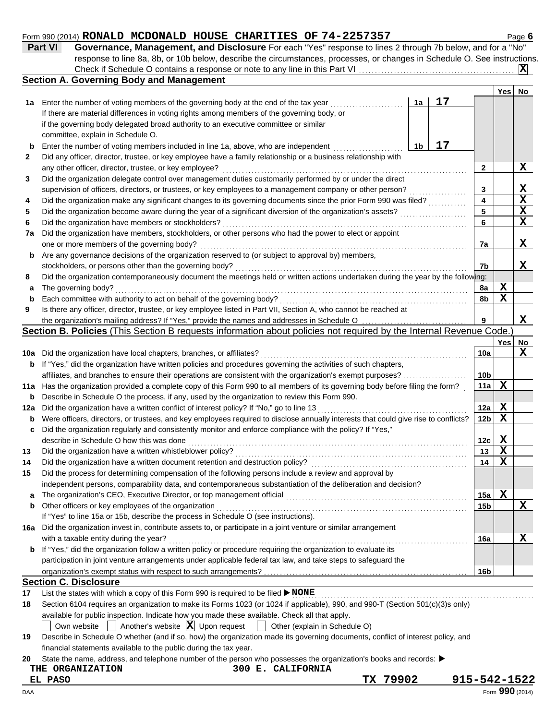### Form 990 (2014) **RONALD MCDONALD HOUSE CHARITIES OF 74-2257357** Page 6

| е |  |
|---|--|
|   |  |

| <b>Part VI</b> | Governance, Management, and Disclosure For each "Yes" response to lines 2 through 7b below, and for a "No"                |              |
|----------------|---------------------------------------------------------------------------------------------------------------------------|--------------|
|                | response to line 8a, 8b, or 10b below, describe the circumstances, processes, or changes in Schedule O. See instructions. |              |
|                | Check if Schedule O contains a response or note to any line in this Part VI                                               | $\mathbf{x}$ |

| Yesl<br>17<br>1a Enter the number of voting members of the governing body at the end of the tax year<br>1a<br>If there are material differences in voting rights among members of the governing body, or<br>if the governing body delegated broad authority to an executive committee or similar<br>committee, explain in Schedule O.<br>17<br>Enter the number of voting members included in line 1a, above, who are independent<br>1b<br>b<br>Did any officer, director, trustee, or key employee have a family relationship or a business relationship with<br>any other officer, director, trustee, or key employee?<br>2<br>Did the organization delegate control over management duties customarily performed by or under the direct<br>3<br>supervision of officers, directors, or trustees, or key employees to a management company or other person?<br>$\mathbf x$<br>4<br>Did the organization make any significant changes to its governing documents since the prior Form 990 was filed?<br>5<br>6<br>Did the organization have members or stockholders?<br>Did the organization have members, stockholders, or other persons who had the power to elect or appoint<br>one or more members of the governing body?<br>7a<br>Are any governance decisions of the organization reserved to (or subject to approval by) members,<br>b<br>stockholders, or persons other than the governing body?<br>7b<br>Did the organization contemporaneously document the meetings held or written actions undertaken during the year by the following:<br>X<br>The governing body?<br>8a<br>a<br>X<br>8b<br>b<br>Is there any officer, director, trustee, or key employee listed in Part VII, Section A, who cannot be reached at<br>the organization's mailing address? If "Yes," provide the names and addresses in Schedule O<br>9<br>Section B. Policies (This Section B requests information about policies not required by the Internal Revenue Code.<br><b>Yes</b><br>10a Did the organization have local chapters, branches, or affiliates?<br>10a<br>If "Yes," did the organization have written policies and procedures governing the activities of such chapters,<br>b<br>affiliates, and branches to ensure their operations are consistent with the organization's exempt purposes?<br>10b<br>X<br>Has the organization provided a complete copy of this Form 990 to all members of its governing body before filing the form?<br>11a<br>Describe in Schedule O the process, if any, used by the organization to review this Form 990.<br>b<br>X<br>12a<br>Did the organization have a written conflict of interest policy? If "No," go to line 13<br>$\mathbf x$<br>Were officers, directors, or trustees, and key employees required to disclose annually interests that could give rise to conflicts?<br>12 <sub>b</sub><br>b<br>Did the organization regularly and consistently monitor and enforce compliance with the policy? If "Yes,"<br>c<br>X<br>12c<br>describe in Schedule O how this was done<br>$\mathbf x$<br>13<br>Did the organization have a written whistleblower policy?<br>X<br>14<br>Did the process for determining compensation of the following persons include a review and approval by<br>independent persons, comparability data, and contemporaneous substantiation of the deliberation and decision?<br>X<br>The organization's CEO, Executive Director, or top management official<br>15a<br>Other officers or key employees of the organization<br>15b<br>b<br>If "Yes" to line 15a or 15b, describe the process in Schedule O (see instructions).<br>16a Did the organization invest in, contribute assets to, or participate in a joint venture or similar arrangement<br>X<br>with a taxable entity during the year?<br>16a<br>If "Yes," did the organization follow a written policy or procedure requiring the organization to evaluate its<br>b<br>participation in joint venture arrangements under applicable federal tax law, and take steps to safeguard the<br>16b<br><b>Section C. Disclosure</b><br>List the states with which a copy of this Form 990 is required to be filed $\triangleright$ NONE<br>Section 6104 requires an organization to make its Forms 1023 (or 1024 if applicable), 990, and 990-T (Section 501(c)(3)s only)<br>available for public inspection. Indicate how you made these available. Check all that apply. |     | <b>Section A. Governing Body and Management</b> |  |  |             |
|-------------------------------------------------------------------------------------------------------------------------------------------------------------------------------------------------------------------------------------------------------------------------------------------------------------------------------------------------------------------------------------------------------------------------------------------------------------------------------------------------------------------------------------------------------------------------------------------------------------------------------------------------------------------------------------------------------------------------------------------------------------------------------------------------------------------------------------------------------------------------------------------------------------------------------------------------------------------------------------------------------------------------------------------------------------------------------------------------------------------------------------------------------------------------------------------------------------------------------------------------------------------------------------------------------------------------------------------------------------------------------------------------------------------------------------------------------------------------------------------------------------------------------------------------------------------------------------------------------------------------------------------------------------------------------------------------------------------------------------------------------------------------------------------------------------------------------------------------------------------------------------------------------------------------------------------------------------------------------------------------------------------------------------------------------------------------------------------------------------------------------------------------------------------------------------------------------------------------------------------------------------------------------------------------------------------------------------------------------------------------------------------------------------------------------------------------------------------------------------------------------------------------------------------------------------------------------------------------------------------------------------------------------------------------------------------------------------------------------------------------------------------------------------------------------------------------------------------------------------------------------------------------------------------------------------------------------------------------------------------------------------------------------------------------------------------------------------------------------------------------------------------------------------------------------------------------------------------------------------------------------------------------------------------------------------------------------------------------------------------------------------------------------------------------------------------------------------------------------------------------------------------------------------------------------------------------------------------------------------------------------------------------------------------------------------------------------------------------------------------------------------------------------------------------------------------------------------------------------------------------------------------------------------------------------------------------------------------------------------------------------------------------------------------------------------------------------------------------------------------------------------------------------------------------------------------------------------------------------------------------------------------------------------------------------------------------------------------------------------------------------------------------|-----|-------------------------------------------------|--|--|-------------|
|                                                                                                                                                                                                                                                                                                                                                                                                                                                                                                                                                                                                                                                                                                                                                                                                                                                                                                                                                                                                                                                                                                                                                                                                                                                                                                                                                                                                                                                                                                                                                                                                                                                                                                                                                                                                                                                                                                                                                                                                                                                                                                                                                                                                                                                                                                                                                                                                                                                                                                                                                                                                                                                                                                                                                                                                                                                                                                                                                                                                                                                                                                                                                                                                                                                                                                                                                                                                                                                                                                                                                                                                                                                                                                                                                                                                                                                                                                                                                                                                                                                                                                                                                                                                                                                                                                                                                                                                 |     |                                                 |  |  | No          |
|                                                                                                                                                                                                                                                                                                                                                                                                                                                                                                                                                                                                                                                                                                                                                                                                                                                                                                                                                                                                                                                                                                                                                                                                                                                                                                                                                                                                                                                                                                                                                                                                                                                                                                                                                                                                                                                                                                                                                                                                                                                                                                                                                                                                                                                                                                                                                                                                                                                                                                                                                                                                                                                                                                                                                                                                                                                                                                                                                                                                                                                                                                                                                                                                                                                                                                                                                                                                                                                                                                                                                                                                                                                                                                                                                                                                                                                                                                                                                                                                                                                                                                                                                                                                                                                                                                                                                                                                 |     |                                                 |  |  |             |
|                                                                                                                                                                                                                                                                                                                                                                                                                                                                                                                                                                                                                                                                                                                                                                                                                                                                                                                                                                                                                                                                                                                                                                                                                                                                                                                                                                                                                                                                                                                                                                                                                                                                                                                                                                                                                                                                                                                                                                                                                                                                                                                                                                                                                                                                                                                                                                                                                                                                                                                                                                                                                                                                                                                                                                                                                                                                                                                                                                                                                                                                                                                                                                                                                                                                                                                                                                                                                                                                                                                                                                                                                                                                                                                                                                                                                                                                                                                                                                                                                                                                                                                                                                                                                                                                                                                                                                                                 |     |                                                 |  |  |             |
|                                                                                                                                                                                                                                                                                                                                                                                                                                                                                                                                                                                                                                                                                                                                                                                                                                                                                                                                                                                                                                                                                                                                                                                                                                                                                                                                                                                                                                                                                                                                                                                                                                                                                                                                                                                                                                                                                                                                                                                                                                                                                                                                                                                                                                                                                                                                                                                                                                                                                                                                                                                                                                                                                                                                                                                                                                                                                                                                                                                                                                                                                                                                                                                                                                                                                                                                                                                                                                                                                                                                                                                                                                                                                                                                                                                                                                                                                                                                                                                                                                                                                                                                                                                                                                                                                                                                                                                                 |     |                                                 |  |  |             |
|                                                                                                                                                                                                                                                                                                                                                                                                                                                                                                                                                                                                                                                                                                                                                                                                                                                                                                                                                                                                                                                                                                                                                                                                                                                                                                                                                                                                                                                                                                                                                                                                                                                                                                                                                                                                                                                                                                                                                                                                                                                                                                                                                                                                                                                                                                                                                                                                                                                                                                                                                                                                                                                                                                                                                                                                                                                                                                                                                                                                                                                                                                                                                                                                                                                                                                                                                                                                                                                                                                                                                                                                                                                                                                                                                                                                                                                                                                                                                                                                                                                                                                                                                                                                                                                                                                                                                                                                 |     |                                                 |  |  |             |
|                                                                                                                                                                                                                                                                                                                                                                                                                                                                                                                                                                                                                                                                                                                                                                                                                                                                                                                                                                                                                                                                                                                                                                                                                                                                                                                                                                                                                                                                                                                                                                                                                                                                                                                                                                                                                                                                                                                                                                                                                                                                                                                                                                                                                                                                                                                                                                                                                                                                                                                                                                                                                                                                                                                                                                                                                                                                                                                                                                                                                                                                                                                                                                                                                                                                                                                                                                                                                                                                                                                                                                                                                                                                                                                                                                                                                                                                                                                                                                                                                                                                                                                                                                                                                                                                                                                                                                                                 |     |                                                 |  |  |             |
|                                                                                                                                                                                                                                                                                                                                                                                                                                                                                                                                                                                                                                                                                                                                                                                                                                                                                                                                                                                                                                                                                                                                                                                                                                                                                                                                                                                                                                                                                                                                                                                                                                                                                                                                                                                                                                                                                                                                                                                                                                                                                                                                                                                                                                                                                                                                                                                                                                                                                                                                                                                                                                                                                                                                                                                                                                                                                                                                                                                                                                                                                                                                                                                                                                                                                                                                                                                                                                                                                                                                                                                                                                                                                                                                                                                                                                                                                                                                                                                                                                                                                                                                                                                                                                                                                                                                                                                                 | 2   |                                                 |  |  |             |
|                                                                                                                                                                                                                                                                                                                                                                                                                                                                                                                                                                                                                                                                                                                                                                                                                                                                                                                                                                                                                                                                                                                                                                                                                                                                                                                                                                                                                                                                                                                                                                                                                                                                                                                                                                                                                                                                                                                                                                                                                                                                                                                                                                                                                                                                                                                                                                                                                                                                                                                                                                                                                                                                                                                                                                                                                                                                                                                                                                                                                                                                                                                                                                                                                                                                                                                                                                                                                                                                                                                                                                                                                                                                                                                                                                                                                                                                                                                                                                                                                                                                                                                                                                                                                                                                                                                                                                                                 |     |                                                 |  |  | X           |
|                                                                                                                                                                                                                                                                                                                                                                                                                                                                                                                                                                                                                                                                                                                                                                                                                                                                                                                                                                                                                                                                                                                                                                                                                                                                                                                                                                                                                                                                                                                                                                                                                                                                                                                                                                                                                                                                                                                                                                                                                                                                                                                                                                                                                                                                                                                                                                                                                                                                                                                                                                                                                                                                                                                                                                                                                                                                                                                                                                                                                                                                                                                                                                                                                                                                                                                                                                                                                                                                                                                                                                                                                                                                                                                                                                                                                                                                                                                                                                                                                                                                                                                                                                                                                                                                                                                                                                                                 | 3   |                                                 |  |  |             |
|                                                                                                                                                                                                                                                                                                                                                                                                                                                                                                                                                                                                                                                                                                                                                                                                                                                                                                                                                                                                                                                                                                                                                                                                                                                                                                                                                                                                                                                                                                                                                                                                                                                                                                                                                                                                                                                                                                                                                                                                                                                                                                                                                                                                                                                                                                                                                                                                                                                                                                                                                                                                                                                                                                                                                                                                                                                                                                                                                                                                                                                                                                                                                                                                                                                                                                                                                                                                                                                                                                                                                                                                                                                                                                                                                                                                                                                                                                                                                                                                                                                                                                                                                                                                                                                                                                                                                                                                 |     |                                                 |  |  | X           |
|                                                                                                                                                                                                                                                                                                                                                                                                                                                                                                                                                                                                                                                                                                                                                                                                                                                                                                                                                                                                                                                                                                                                                                                                                                                                                                                                                                                                                                                                                                                                                                                                                                                                                                                                                                                                                                                                                                                                                                                                                                                                                                                                                                                                                                                                                                                                                                                                                                                                                                                                                                                                                                                                                                                                                                                                                                                                                                                                                                                                                                                                                                                                                                                                                                                                                                                                                                                                                                                                                                                                                                                                                                                                                                                                                                                                                                                                                                                                                                                                                                                                                                                                                                                                                                                                                                                                                                                                 | 4   |                                                 |  |  |             |
|                                                                                                                                                                                                                                                                                                                                                                                                                                                                                                                                                                                                                                                                                                                                                                                                                                                                                                                                                                                                                                                                                                                                                                                                                                                                                                                                                                                                                                                                                                                                                                                                                                                                                                                                                                                                                                                                                                                                                                                                                                                                                                                                                                                                                                                                                                                                                                                                                                                                                                                                                                                                                                                                                                                                                                                                                                                                                                                                                                                                                                                                                                                                                                                                                                                                                                                                                                                                                                                                                                                                                                                                                                                                                                                                                                                                                                                                                                                                                                                                                                                                                                                                                                                                                                                                                                                                                                                                 | 5   |                                                 |  |  | X           |
|                                                                                                                                                                                                                                                                                                                                                                                                                                                                                                                                                                                                                                                                                                                                                                                                                                                                                                                                                                                                                                                                                                                                                                                                                                                                                                                                                                                                                                                                                                                                                                                                                                                                                                                                                                                                                                                                                                                                                                                                                                                                                                                                                                                                                                                                                                                                                                                                                                                                                                                                                                                                                                                                                                                                                                                                                                                                                                                                                                                                                                                                                                                                                                                                                                                                                                                                                                                                                                                                                                                                                                                                                                                                                                                                                                                                                                                                                                                                                                                                                                                                                                                                                                                                                                                                                                                                                                                                 | 6   |                                                 |  |  | $\mathbf x$ |
|                                                                                                                                                                                                                                                                                                                                                                                                                                                                                                                                                                                                                                                                                                                                                                                                                                                                                                                                                                                                                                                                                                                                                                                                                                                                                                                                                                                                                                                                                                                                                                                                                                                                                                                                                                                                                                                                                                                                                                                                                                                                                                                                                                                                                                                                                                                                                                                                                                                                                                                                                                                                                                                                                                                                                                                                                                                                                                                                                                                                                                                                                                                                                                                                                                                                                                                                                                                                                                                                                                                                                                                                                                                                                                                                                                                                                                                                                                                                                                                                                                                                                                                                                                                                                                                                                                                                                                                                 | 7a  |                                                 |  |  |             |
|                                                                                                                                                                                                                                                                                                                                                                                                                                                                                                                                                                                                                                                                                                                                                                                                                                                                                                                                                                                                                                                                                                                                                                                                                                                                                                                                                                                                                                                                                                                                                                                                                                                                                                                                                                                                                                                                                                                                                                                                                                                                                                                                                                                                                                                                                                                                                                                                                                                                                                                                                                                                                                                                                                                                                                                                                                                                                                                                                                                                                                                                                                                                                                                                                                                                                                                                                                                                                                                                                                                                                                                                                                                                                                                                                                                                                                                                                                                                                                                                                                                                                                                                                                                                                                                                                                                                                                                                 |     |                                                 |  |  | X           |
|                                                                                                                                                                                                                                                                                                                                                                                                                                                                                                                                                                                                                                                                                                                                                                                                                                                                                                                                                                                                                                                                                                                                                                                                                                                                                                                                                                                                                                                                                                                                                                                                                                                                                                                                                                                                                                                                                                                                                                                                                                                                                                                                                                                                                                                                                                                                                                                                                                                                                                                                                                                                                                                                                                                                                                                                                                                                                                                                                                                                                                                                                                                                                                                                                                                                                                                                                                                                                                                                                                                                                                                                                                                                                                                                                                                                                                                                                                                                                                                                                                                                                                                                                                                                                                                                                                                                                                                                 |     |                                                 |  |  |             |
|                                                                                                                                                                                                                                                                                                                                                                                                                                                                                                                                                                                                                                                                                                                                                                                                                                                                                                                                                                                                                                                                                                                                                                                                                                                                                                                                                                                                                                                                                                                                                                                                                                                                                                                                                                                                                                                                                                                                                                                                                                                                                                                                                                                                                                                                                                                                                                                                                                                                                                                                                                                                                                                                                                                                                                                                                                                                                                                                                                                                                                                                                                                                                                                                                                                                                                                                                                                                                                                                                                                                                                                                                                                                                                                                                                                                                                                                                                                                                                                                                                                                                                                                                                                                                                                                                                                                                                                                 |     |                                                 |  |  | x           |
|                                                                                                                                                                                                                                                                                                                                                                                                                                                                                                                                                                                                                                                                                                                                                                                                                                                                                                                                                                                                                                                                                                                                                                                                                                                                                                                                                                                                                                                                                                                                                                                                                                                                                                                                                                                                                                                                                                                                                                                                                                                                                                                                                                                                                                                                                                                                                                                                                                                                                                                                                                                                                                                                                                                                                                                                                                                                                                                                                                                                                                                                                                                                                                                                                                                                                                                                                                                                                                                                                                                                                                                                                                                                                                                                                                                                                                                                                                                                                                                                                                                                                                                                                                                                                                                                                                                                                                                                 | 8   |                                                 |  |  |             |
|                                                                                                                                                                                                                                                                                                                                                                                                                                                                                                                                                                                                                                                                                                                                                                                                                                                                                                                                                                                                                                                                                                                                                                                                                                                                                                                                                                                                                                                                                                                                                                                                                                                                                                                                                                                                                                                                                                                                                                                                                                                                                                                                                                                                                                                                                                                                                                                                                                                                                                                                                                                                                                                                                                                                                                                                                                                                                                                                                                                                                                                                                                                                                                                                                                                                                                                                                                                                                                                                                                                                                                                                                                                                                                                                                                                                                                                                                                                                                                                                                                                                                                                                                                                                                                                                                                                                                                                                 |     |                                                 |  |  |             |
|                                                                                                                                                                                                                                                                                                                                                                                                                                                                                                                                                                                                                                                                                                                                                                                                                                                                                                                                                                                                                                                                                                                                                                                                                                                                                                                                                                                                                                                                                                                                                                                                                                                                                                                                                                                                                                                                                                                                                                                                                                                                                                                                                                                                                                                                                                                                                                                                                                                                                                                                                                                                                                                                                                                                                                                                                                                                                                                                                                                                                                                                                                                                                                                                                                                                                                                                                                                                                                                                                                                                                                                                                                                                                                                                                                                                                                                                                                                                                                                                                                                                                                                                                                                                                                                                                                                                                                                                 |     |                                                 |  |  |             |
|                                                                                                                                                                                                                                                                                                                                                                                                                                                                                                                                                                                                                                                                                                                                                                                                                                                                                                                                                                                                                                                                                                                                                                                                                                                                                                                                                                                                                                                                                                                                                                                                                                                                                                                                                                                                                                                                                                                                                                                                                                                                                                                                                                                                                                                                                                                                                                                                                                                                                                                                                                                                                                                                                                                                                                                                                                                                                                                                                                                                                                                                                                                                                                                                                                                                                                                                                                                                                                                                                                                                                                                                                                                                                                                                                                                                                                                                                                                                                                                                                                                                                                                                                                                                                                                                                                                                                                                                 | 9   |                                                 |  |  |             |
|                                                                                                                                                                                                                                                                                                                                                                                                                                                                                                                                                                                                                                                                                                                                                                                                                                                                                                                                                                                                                                                                                                                                                                                                                                                                                                                                                                                                                                                                                                                                                                                                                                                                                                                                                                                                                                                                                                                                                                                                                                                                                                                                                                                                                                                                                                                                                                                                                                                                                                                                                                                                                                                                                                                                                                                                                                                                                                                                                                                                                                                                                                                                                                                                                                                                                                                                                                                                                                                                                                                                                                                                                                                                                                                                                                                                                                                                                                                                                                                                                                                                                                                                                                                                                                                                                                                                                                                                 |     |                                                 |  |  | X           |
|                                                                                                                                                                                                                                                                                                                                                                                                                                                                                                                                                                                                                                                                                                                                                                                                                                                                                                                                                                                                                                                                                                                                                                                                                                                                                                                                                                                                                                                                                                                                                                                                                                                                                                                                                                                                                                                                                                                                                                                                                                                                                                                                                                                                                                                                                                                                                                                                                                                                                                                                                                                                                                                                                                                                                                                                                                                                                                                                                                                                                                                                                                                                                                                                                                                                                                                                                                                                                                                                                                                                                                                                                                                                                                                                                                                                                                                                                                                                                                                                                                                                                                                                                                                                                                                                                                                                                                                                 |     |                                                 |  |  |             |
|                                                                                                                                                                                                                                                                                                                                                                                                                                                                                                                                                                                                                                                                                                                                                                                                                                                                                                                                                                                                                                                                                                                                                                                                                                                                                                                                                                                                                                                                                                                                                                                                                                                                                                                                                                                                                                                                                                                                                                                                                                                                                                                                                                                                                                                                                                                                                                                                                                                                                                                                                                                                                                                                                                                                                                                                                                                                                                                                                                                                                                                                                                                                                                                                                                                                                                                                                                                                                                                                                                                                                                                                                                                                                                                                                                                                                                                                                                                                                                                                                                                                                                                                                                                                                                                                                                                                                                                                 |     |                                                 |  |  | No          |
|                                                                                                                                                                                                                                                                                                                                                                                                                                                                                                                                                                                                                                                                                                                                                                                                                                                                                                                                                                                                                                                                                                                                                                                                                                                                                                                                                                                                                                                                                                                                                                                                                                                                                                                                                                                                                                                                                                                                                                                                                                                                                                                                                                                                                                                                                                                                                                                                                                                                                                                                                                                                                                                                                                                                                                                                                                                                                                                                                                                                                                                                                                                                                                                                                                                                                                                                                                                                                                                                                                                                                                                                                                                                                                                                                                                                                                                                                                                                                                                                                                                                                                                                                                                                                                                                                                                                                                                                 |     |                                                 |  |  | х           |
|                                                                                                                                                                                                                                                                                                                                                                                                                                                                                                                                                                                                                                                                                                                                                                                                                                                                                                                                                                                                                                                                                                                                                                                                                                                                                                                                                                                                                                                                                                                                                                                                                                                                                                                                                                                                                                                                                                                                                                                                                                                                                                                                                                                                                                                                                                                                                                                                                                                                                                                                                                                                                                                                                                                                                                                                                                                                                                                                                                                                                                                                                                                                                                                                                                                                                                                                                                                                                                                                                                                                                                                                                                                                                                                                                                                                                                                                                                                                                                                                                                                                                                                                                                                                                                                                                                                                                                                                 |     |                                                 |  |  |             |
|                                                                                                                                                                                                                                                                                                                                                                                                                                                                                                                                                                                                                                                                                                                                                                                                                                                                                                                                                                                                                                                                                                                                                                                                                                                                                                                                                                                                                                                                                                                                                                                                                                                                                                                                                                                                                                                                                                                                                                                                                                                                                                                                                                                                                                                                                                                                                                                                                                                                                                                                                                                                                                                                                                                                                                                                                                                                                                                                                                                                                                                                                                                                                                                                                                                                                                                                                                                                                                                                                                                                                                                                                                                                                                                                                                                                                                                                                                                                                                                                                                                                                                                                                                                                                                                                                                                                                                                                 |     |                                                 |  |  |             |
|                                                                                                                                                                                                                                                                                                                                                                                                                                                                                                                                                                                                                                                                                                                                                                                                                                                                                                                                                                                                                                                                                                                                                                                                                                                                                                                                                                                                                                                                                                                                                                                                                                                                                                                                                                                                                                                                                                                                                                                                                                                                                                                                                                                                                                                                                                                                                                                                                                                                                                                                                                                                                                                                                                                                                                                                                                                                                                                                                                                                                                                                                                                                                                                                                                                                                                                                                                                                                                                                                                                                                                                                                                                                                                                                                                                                                                                                                                                                                                                                                                                                                                                                                                                                                                                                                                                                                                                                 | 11a |                                                 |  |  |             |
|                                                                                                                                                                                                                                                                                                                                                                                                                                                                                                                                                                                                                                                                                                                                                                                                                                                                                                                                                                                                                                                                                                                                                                                                                                                                                                                                                                                                                                                                                                                                                                                                                                                                                                                                                                                                                                                                                                                                                                                                                                                                                                                                                                                                                                                                                                                                                                                                                                                                                                                                                                                                                                                                                                                                                                                                                                                                                                                                                                                                                                                                                                                                                                                                                                                                                                                                                                                                                                                                                                                                                                                                                                                                                                                                                                                                                                                                                                                                                                                                                                                                                                                                                                                                                                                                                                                                                                                                 |     |                                                 |  |  |             |
|                                                                                                                                                                                                                                                                                                                                                                                                                                                                                                                                                                                                                                                                                                                                                                                                                                                                                                                                                                                                                                                                                                                                                                                                                                                                                                                                                                                                                                                                                                                                                                                                                                                                                                                                                                                                                                                                                                                                                                                                                                                                                                                                                                                                                                                                                                                                                                                                                                                                                                                                                                                                                                                                                                                                                                                                                                                                                                                                                                                                                                                                                                                                                                                                                                                                                                                                                                                                                                                                                                                                                                                                                                                                                                                                                                                                                                                                                                                                                                                                                                                                                                                                                                                                                                                                                                                                                                                                 | 12a |                                                 |  |  |             |
|                                                                                                                                                                                                                                                                                                                                                                                                                                                                                                                                                                                                                                                                                                                                                                                                                                                                                                                                                                                                                                                                                                                                                                                                                                                                                                                                                                                                                                                                                                                                                                                                                                                                                                                                                                                                                                                                                                                                                                                                                                                                                                                                                                                                                                                                                                                                                                                                                                                                                                                                                                                                                                                                                                                                                                                                                                                                                                                                                                                                                                                                                                                                                                                                                                                                                                                                                                                                                                                                                                                                                                                                                                                                                                                                                                                                                                                                                                                                                                                                                                                                                                                                                                                                                                                                                                                                                                                                 |     |                                                 |  |  |             |
|                                                                                                                                                                                                                                                                                                                                                                                                                                                                                                                                                                                                                                                                                                                                                                                                                                                                                                                                                                                                                                                                                                                                                                                                                                                                                                                                                                                                                                                                                                                                                                                                                                                                                                                                                                                                                                                                                                                                                                                                                                                                                                                                                                                                                                                                                                                                                                                                                                                                                                                                                                                                                                                                                                                                                                                                                                                                                                                                                                                                                                                                                                                                                                                                                                                                                                                                                                                                                                                                                                                                                                                                                                                                                                                                                                                                                                                                                                                                                                                                                                                                                                                                                                                                                                                                                                                                                                                                 |     |                                                 |  |  |             |
|                                                                                                                                                                                                                                                                                                                                                                                                                                                                                                                                                                                                                                                                                                                                                                                                                                                                                                                                                                                                                                                                                                                                                                                                                                                                                                                                                                                                                                                                                                                                                                                                                                                                                                                                                                                                                                                                                                                                                                                                                                                                                                                                                                                                                                                                                                                                                                                                                                                                                                                                                                                                                                                                                                                                                                                                                                                                                                                                                                                                                                                                                                                                                                                                                                                                                                                                                                                                                                                                                                                                                                                                                                                                                                                                                                                                                                                                                                                                                                                                                                                                                                                                                                                                                                                                                                                                                                                                 |     |                                                 |  |  |             |
|                                                                                                                                                                                                                                                                                                                                                                                                                                                                                                                                                                                                                                                                                                                                                                                                                                                                                                                                                                                                                                                                                                                                                                                                                                                                                                                                                                                                                                                                                                                                                                                                                                                                                                                                                                                                                                                                                                                                                                                                                                                                                                                                                                                                                                                                                                                                                                                                                                                                                                                                                                                                                                                                                                                                                                                                                                                                                                                                                                                                                                                                                                                                                                                                                                                                                                                                                                                                                                                                                                                                                                                                                                                                                                                                                                                                                                                                                                                                                                                                                                                                                                                                                                                                                                                                                                                                                                                                 | 13  |                                                 |  |  |             |
|                                                                                                                                                                                                                                                                                                                                                                                                                                                                                                                                                                                                                                                                                                                                                                                                                                                                                                                                                                                                                                                                                                                                                                                                                                                                                                                                                                                                                                                                                                                                                                                                                                                                                                                                                                                                                                                                                                                                                                                                                                                                                                                                                                                                                                                                                                                                                                                                                                                                                                                                                                                                                                                                                                                                                                                                                                                                                                                                                                                                                                                                                                                                                                                                                                                                                                                                                                                                                                                                                                                                                                                                                                                                                                                                                                                                                                                                                                                                                                                                                                                                                                                                                                                                                                                                                                                                                                                                 | 14  |                                                 |  |  |             |
|                                                                                                                                                                                                                                                                                                                                                                                                                                                                                                                                                                                                                                                                                                                                                                                                                                                                                                                                                                                                                                                                                                                                                                                                                                                                                                                                                                                                                                                                                                                                                                                                                                                                                                                                                                                                                                                                                                                                                                                                                                                                                                                                                                                                                                                                                                                                                                                                                                                                                                                                                                                                                                                                                                                                                                                                                                                                                                                                                                                                                                                                                                                                                                                                                                                                                                                                                                                                                                                                                                                                                                                                                                                                                                                                                                                                                                                                                                                                                                                                                                                                                                                                                                                                                                                                                                                                                                                                 | 15  |                                                 |  |  |             |
|                                                                                                                                                                                                                                                                                                                                                                                                                                                                                                                                                                                                                                                                                                                                                                                                                                                                                                                                                                                                                                                                                                                                                                                                                                                                                                                                                                                                                                                                                                                                                                                                                                                                                                                                                                                                                                                                                                                                                                                                                                                                                                                                                                                                                                                                                                                                                                                                                                                                                                                                                                                                                                                                                                                                                                                                                                                                                                                                                                                                                                                                                                                                                                                                                                                                                                                                                                                                                                                                                                                                                                                                                                                                                                                                                                                                                                                                                                                                                                                                                                                                                                                                                                                                                                                                                                                                                                                                 |     |                                                 |  |  |             |
|                                                                                                                                                                                                                                                                                                                                                                                                                                                                                                                                                                                                                                                                                                                                                                                                                                                                                                                                                                                                                                                                                                                                                                                                                                                                                                                                                                                                                                                                                                                                                                                                                                                                                                                                                                                                                                                                                                                                                                                                                                                                                                                                                                                                                                                                                                                                                                                                                                                                                                                                                                                                                                                                                                                                                                                                                                                                                                                                                                                                                                                                                                                                                                                                                                                                                                                                                                                                                                                                                                                                                                                                                                                                                                                                                                                                                                                                                                                                                                                                                                                                                                                                                                                                                                                                                                                                                                                                 |     |                                                 |  |  |             |
|                                                                                                                                                                                                                                                                                                                                                                                                                                                                                                                                                                                                                                                                                                                                                                                                                                                                                                                                                                                                                                                                                                                                                                                                                                                                                                                                                                                                                                                                                                                                                                                                                                                                                                                                                                                                                                                                                                                                                                                                                                                                                                                                                                                                                                                                                                                                                                                                                                                                                                                                                                                                                                                                                                                                                                                                                                                                                                                                                                                                                                                                                                                                                                                                                                                                                                                                                                                                                                                                                                                                                                                                                                                                                                                                                                                                                                                                                                                                                                                                                                                                                                                                                                                                                                                                                                                                                                                                 |     |                                                 |  |  | X           |
|                                                                                                                                                                                                                                                                                                                                                                                                                                                                                                                                                                                                                                                                                                                                                                                                                                                                                                                                                                                                                                                                                                                                                                                                                                                                                                                                                                                                                                                                                                                                                                                                                                                                                                                                                                                                                                                                                                                                                                                                                                                                                                                                                                                                                                                                                                                                                                                                                                                                                                                                                                                                                                                                                                                                                                                                                                                                                                                                                                                                                                                                                                                                                                                                                                                                                                                                                                                                                                                                                                                                                                                                                                                                                                                                                                                                                                                                                                                                                                                                                                                                                                                                                                                                                                                                                                                                                                                                 |     |                                                 |  |  |             |
|                                                                                                                                                                                                                                                                                                                                                                                                                                                                                                                                                                                                                                                                                                                                                                                                                                                                                                                                                                                                                                                                                                                                                                                                                                                                                                                                                                                                                                                                                                                                                                                                                                                                                                                                                                                                                                                                                                                                                                                                                                                                                                                                                                                                                                                                                                                                                                                                                                                                                                                                                                                                                                                                                                                                                                                                                                                                                                                                                                                                                                                                                                                                                                                                                                                                                                                                                                                                                                                                                                                                                                                                                                                                                                                                                                                                                                                                                                                                                                                                                                                                                                                                                                                                                                                                                                                                                                                                 |     |                                                 |  |  |             |
|                                                                                                                                                                                                                                                                                                                                                                                                                                                                                                                                                                                                                                                                                                                                                                                                                                                                                                                                                                                                                                                                                                                                                                                                                                                                                                                                                                                                                                                                                                                                                                                                                                                                                                                                                                                                                                                                                                                                                                                                                                                                                                                                                                                                                                                                                                                                                                                                                                                                                                                                                                                                                                                                                                                                                                                                                                                                                                                                                                                                                                                                                                                                                                                                                                                                                                                                                                                                                                                                                                                                                                                                                                                                                                                                                                                                                                                                                                                                                                                                                                                                                                                                                                                                                                                                                                                                                                                                 |     |                                                 |  |  |             |
|                                                                                                                                                                                                                                                                                                                                                                                                                                                                                                                                                                                                                                                                                                                                                                                                                                                                                                                                                                                                                                                                                                                                                                                                                                                                                                                                                                                                                                                                                                                                                                                                                                                                                                                                                                                                                                                                                                                                                                                                                                                                                                                                                                                                                                                                                                                                                                                                                                                                                                                                                                                                                                                                                                                                                                                                                                                                                                                                                                                                                                                                                                                                                                                                                                                                                                                                                                                                                                                                                                                                                                                                                                                                                                                                                                                                                                                                                                                                                                                                                                                                                                                                                                                                                                                                                                                                                                                                 |     |                                                 |  |  |             |
|                                                                                                                                                                                                                                                                                                                                                                                                                                                                                                                                                                                                                                                                                                                                                                                                                                                                                                                                                                                                                                                                                                                                                                                                                                                                                                                                                                                                                                                                                                                                                                                                                                                                                                                                                                                                                                                                                                                                                                                                                                                                                                                                                                                                                                                                                                                                                                                                                                                                                                                                                                                                                                                                                                                                                                                                                                                                                                                                                                                                                                                                                                                                                                                                                                                                                                                                                                                                                                                                                                                                                                                                                                                                                                                                                                                                                                                                                                                                                                                                                                                                                                                                                                                                                                                                                                                                                                                                 |     |                                                 |  |  |             |
|                                                                                                                                                                                                                                                                                                                                                                                                                                                                                                                                                                                                                                                                                                                                                                                                                                                                                                                                                                                                                                                                                                                                                                                                                                                                                                                                                                                                                                                                                                                                                                                                                                                                                                                                                                                                                                                                                                                                                                                                                                                                                                                                                                                                                                                                                                                                                                                                                                                                                                                                                                                                                                                                                                                                                                                                                                                                                                                                                                                                                                                                                                                                                                                                                                                                                                                                                                                                                                                                                                                                                                                                                                                                                                                                                                                                                                                                                                                                                                                                                                                                                                                                                                                                                                                                                                                                                                                                 |     |                                                 |  |  |             |
|                                                                                                                                                                                                                                                                                                                                                                                                                                                                                                                                                                                                                                                                                                                                                                                                                                                                                                                                                                                                                                                                                                                                                                                                                                                                                                                                                                                                                                                                                                                                                                                                                                                                                                                                                                                                                                                                                                                                                                                                                                                                                                                                                                                                                                                                                                                                                                                                                                                                                                                                                                                                                                                                                                                                                                                                                                                                                                                                                                                                                                                                                                                                                                                                                                                                                                                                                                                                                                                                                                                                                                                                                                                                                                                                                                                                                                                                                                                                                                                                                                                                                                                                                                                                                                                                                                                                                                                                 |     |                                                 |  |  |             |
|                                                                                                                                                                                                                                                                                                                                                                                                                                                                                                                                                                                                                                                                                                                                                                                                                                                                                                                                                                                                                                                                                                                                                                                                                                                                                                                                                                                                                                                                                                                                                                                                                                                                                                                                                                                                                                                                                                                                                                                                                                                                                                                                                                                                                                                                                                                                                                                                                                                                                                                                                                                                                                                                                                                                                                                                                                                                                                                                                                                                                                                                                                                                                                                                                                                                                                                                                                                                                                                                                                                                                                                                                                                                                                                                                                                                                                                                                                                                                                                                                                                                                                                                                                                                                                                                                                                                                                                                 | 17  |                                                 |  |  |             |
|                                                                                                                                                                                                                                                                                                                                                                                                                                                                                                                                                                                                                                                                                                                                                                                                                                                                                                                                                                                                                                                                                                                                                                                                                                                                                                                                                                                                                                                                                                                                                                                                                                                                                                                                                                                                                                                                                                                                                                                                                                                                                                                                                                                                                                                                                                                                                                                                                                                                                                                                                                                                                                                                                                                                                                                                                                                                                                                                                                                                                                                                                                                                                                                                                                                                                                                                                                                                                                                                                                                                                                                                                                                                                                                                                                                                                                                                                                                                                                                                                                                                                                                                                                                                                                                                                                                                                                                                 | 18  |                                                 |  |  |             |
|                                                                                                                                                                                                                                                                                                                                                                                                                                                                                                                                                                                                                                                                                                                                                                                                                                                                                                                                                                                                                                                                                                                                                                                                                                                                                                                                                                                                                                                                                                                                                                                                                                                                                                                                                                                                                                                                                                                                                                                                                                                                                                                                                                                                                                                                                                                                                                                                                                                                                                                                                                                                                                                                                                                                                                                                                                                                                                                                                                                                                                                                                                                                                                                                                                                                                                                                                                                                                                                                                                                                                                                                                                                                                                                                                                                                                                                                                                                                                                                                                                                                                                                                                                                                                                                                                                                                                                                                 |     |                                                 |  |  |             |

Own website  $\Box$  Another's website  $\boxed{\mathbf{X}}$  Upon request  $\Box$  Other (explain in Schedule O)

| 19 Describe in Schedule O whether (and if so, how) the organization made its governing documents, conflict of interest policy, and |
|------------------------------------------------------------------------------------------------------------------------------------|
| financial statements available to the public during the tax year.                                                                  |

**20** State the name, address, and telephone number of the person who possesses the organization's books and records: ▶

| ORGANIZATION<br>THE | 300 E.<br>CALIFORNIA |          |                 |
|---------------------|----------------------|----------|-----------------|
| EL PASO             |                      | TX 79902 | 915-542-1522    |
| DAA                 |                      |          | Form 990 (2014) |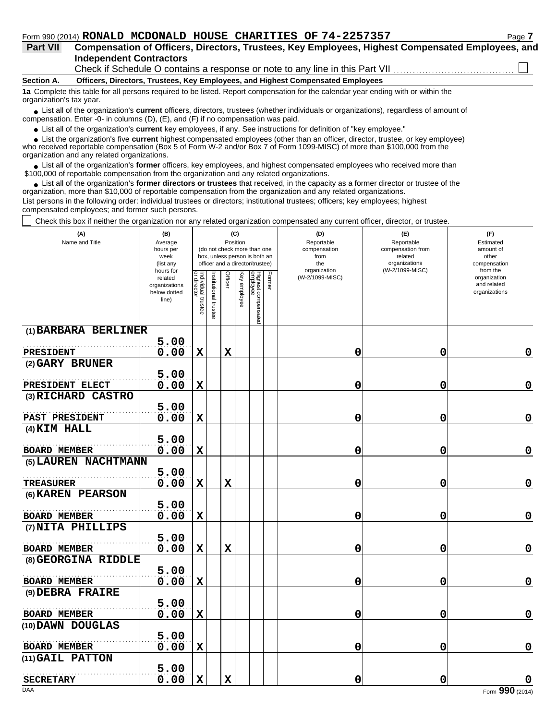| Part VII Compensation of Officers, Directors, Trustees, Key Employees, Highest Compensated Employees, and |  |
|-----------------------------------------------------------------------------------------------------------|--|
| <b>Independent Contractors</b>                                                                            |  |

Check if Schedule O contains a response or note to any line in this Part VII

#### **Section A. Officers, Directors, Trustees, Key Employees, and Highest Compensated Employees**

**1a** Complete this table for all persons required to be listed. Report compensation for the calendar year ending with or within the organization's tax year.

■ List all of the organization's **current** officers, directors, trustees (whether individuals or organizations), regardless of amount of compensation. Enter -0- in columns (D), (E), and (F) if no compensation was paid.

● List all of the organization's **current** key employees, if any. See instructions for definition of "key employee."

 $\bullet$  List the organization's five **current** highest compensated employees (other than an officer, director, trustee, or key employee)<br>a received reportable compensation (Box 5 of Form  $M-2$  and/or Box 7 of Form 1000-MISC)

who received reportable compensation (Box 5 of Form W-2 and/or Box 7 of Form 1099-MISC) of more than \$100,000 from the organization and any related organizations.

• List all of the organization's **former** officers, key employees, and highest compensated employees who received more than<br>00,000 of reportable compensation from the erganization and any related erganizations. \$100,000 of reportable compensation from the organization and any related organizations.

• List all of the organization's **former directors or trustees** that received, in the capacity as a former director or trustee of the organization, more than \$10,000 of reportable compensation from the organization and any related organizations. List persons in the following order: individual trustees or directors; institutional trustees; officers; key employees; highest

compensated employees; and former such persons.

Check this box if neither the organization nor any related organization compensated any current officer, director, or trustee.

| (A)<br>Name and Title | (B)<br>Average<br>hours per<br>week<br>(list any<br>hours for |                                   |                      | Position    | (C)          | (do not check more than one<br>box, unless person is both an<br>officer and a director/trustee) | (D)<br>Reportable<br>compensation<br>from<br>the<br>organization | (E)<br>Reportable<br>compensation from<br>related<br>organizations<br>(W-2/1099-MISC) | (F)<br>Estimated<br>amount of<br>other<br>compensation<br>from the |
|-----------------------|---------------------------------------------------------------|-----------------------------------|----------------------|-------------|--------------|-------------------------------------------------------------------------------------------------|------------------------------------------------------------------|---------------------------------------------------------------------------------------|--------------------------------------------------------------------|
|                       | related<br>organizations<br>below dotted<br>line)             | Individual trustee<br>or director | nstitutional trustee | Officer     | Key employee | Highest compensated<br>employee<br>Former                                                       | (W-2/1099-MISC)                                                  |                                                                                       | organization<br>and related<br>organizations                       |
| (1) BARBARA BERLINER  |                                                               |                                   |                      |             |              |                                                                                                 |                                                                  |                                                                                       |                                                                    |
| <b>PRESIDENT</b>      | 5.00<br>0.00                                                  | $\mathbf x$                       |                      | $\mathbf x$ |              |                                                                                                 | 0                                                                | 0                                                                                     | 0                                                                  |
| (2) GARY BRUNER       |                                                               |                                   |                      |             |              |                                                                                                 |                                                                  |                                                                                       |                                                                    |
| PRESIDENT ELECT       | 5.00<br>0.00                                                  | $\mathbf x$                       |                      |             |              |                                                                                                 | 0                                                                | 0                                                                                     | $\mathbf 0$                                                        |
| (3) RICHARD CASTRO    |                                                               |                                   |                      |             |              |                                                                                                 |                                                                  |                                                                                       |                                                                    |
| <b>PAST PRESIDENT</b> | 5.00<br>0.00                                                  | $\mathbf x$                       |                      |             |              |                                                                                                 | 0                                                                | 0                                                                                     | 0                                                                  |
| $(4)$ KIM HALL        |                                                               |                                   |                      |             |              |                                                                                                 |                                                                  |                                                                                       |                                                                    |
| <b>BOARD MEMBER</b>   | 5.00<br>0.00                                                  | $\mathbf x$                       |                      |             |              |                                                                                                 | 0                                                                | 0                                                                                     | $\mathbf 0$                                                        |
| (5) LAUREN NACHTMANN  |                                                               |                                   |                      |             |              |                                                                                                 |                                                                  |                                                                                       |                                                                    |
| <b>TREASURER</b>      | 5.00<br>0.00                                                  | $\mathbf x$                       |                      | $\mathbf x$ |              |                                                                                                 | 0                                                                | 0                                                                                     | $\mathbf 0$                                                        |
| (6) KAREN PEARSON     |                                                               |                                   |                      |             |              |                                                                                                 |                                                                  |                                                                                       |                                                                    |
| <b>BOARD MEMBER</b>   | 5.00<br>0.00                                                  | X                                 |                      |             |              |                                                                                                 | 0                                                                | 0                                                                                     | 0                                                                  |
| (7) NITA PHILLIPS     |                                                               |                                   |                      |             |              |                                                                                                 |                                                                  |                                                                                       |                                                                    |
|                       | 5.00                                                          |                                   |                      |             |              |                                                                                                 |                                                                  |                                                                                       |                                                                    |
| <b>BOARD MEMBER</b>   | 0.00                                                          | $\mathbf x$                       |                      | $\mathbf x$ |              |                                                                                                 | 0                                                                | 0                                                                                     | 0                                                                  |
| (8) GEORGINA RIDDLE   |                                                               |                                   |                      |             |              |                                                                                                 |                                                                  |                                                                                       |                                                                    |
| <b>BOARD MEMBER</b>   | 5.00<br>0.00                                                  | $\mathbf x$                       |                      |             |              |                                                                                                 | 0                                                                | 0                                                                                     | $\mathbf 0$                                                        |
| (9) DEBRA FRAIRE      |                                                               |                                   |                      |             |              |                                                                                                 |                                                                  |                                                                                       |                                                                    |
|                       | 5.00                                                          |                                   |                      |             |              |                                                                                                 |                                                                  |                                                                                       |                                                                    |
| <b>BOARD MEMBER</b>   | 0.00                                                          | $\mathbf x$                       |                      |             |              |                                                                                                 | 0                                                                | 0                                                                                     | $\mathbf 0$                                                        |
| (10) DAWN DOUGLAS     |                                                               |                                   |                      |             |              |                                                                                                 |                                                                  |                                                                                       |                                                                    |
| <b>BOARD MEMBER</b>   | 5.00<br>0.00                                                  | $\mathbf x$                       |                      |             |              |                                                                                                 | 0                                                                | 0                                                                                     | 0                                                                  |
| (11) GAIL PATTON      |                                                               |                                   |                      |             |              |                                                                                                 |                                                                  |                                                                                       |                                                                    |
|                       | 5.00                                                          |                                   |                      |             |              |                                                                                                 |                                                                  |                                                                                       |                                                                    |
| <b>SECRETARY</b>      | 0.00                                                          | $\mathbf x$                       |                      | $\mathbf x$ |              |                                                                                                 | 0                                                                | 0                                                                                     | O                                                                  |
| DAA                   |                                                               |                                   |                      |             |              |                                                                                                 |                                                                  |                                                                                       | Form 990 (2014)                                                    |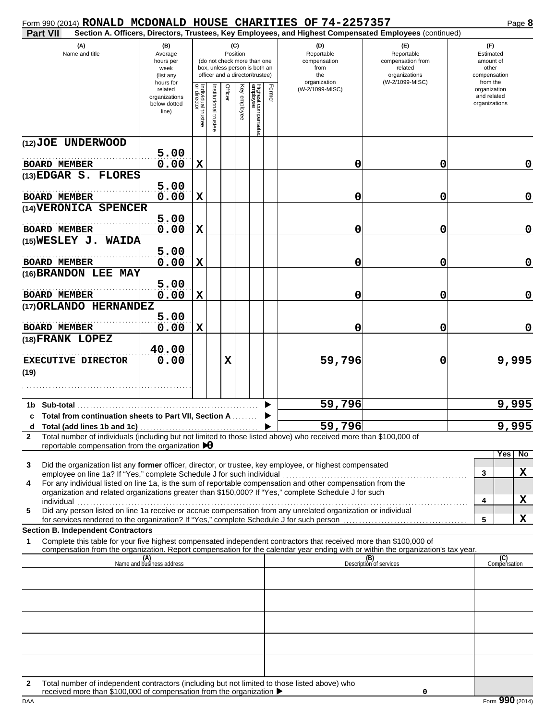| Form 990 (2014) RONALD MCDONALD HOUSE CHARITIES OF 74-2257357                                                                                                                                                                                               |                                                               |                                   |                       |                                                                                                                    |              |                                |      |                                                                                                        |                                                                                       | Page 8                                                             |
|-------------------------------------------------------------------------------------------------------------------------------------------------------------------------------------------------------------------------------------------------------------|---------------------------------------------------------------|-----------------------------------|-----------------------|--------------------------------------------------------------------------------------------------------------------|--------------|--------------------------------|------|--------------------------------------------------------------------------------------------------------|---------------------------------------------------------------------------------------|--------------------------------------------------------------------|
| <b>Part VII</b>                                                                                                                                                                                                                                             |                                                               |                                   |                       |                                                                                                                    |              |                                |      | Section A. Officers, Directors, Trustees, Key Employees, and Highest Compensated Employees (continued) |                                                                                       |                                                                    |
| (A)<br>Name and title                                                                                                                                                                                                                                       | (B)<br>Average<br>hours per<br>week<br>(list any<br>hours for |                                   |                       | (C)<br>Position<br>(do not check more than one<br>box, unless person is both an<br>officer and a director/trustee) |              |                                |      | (D)<br>Reportable<br>compensation<br>from<br>the<br>organization                                       | (E)<br>Reportable<br>compensation from<br>related<br>organizations<br>(W-2/1099-MISC) | (F)<br>Estimated<br>amount of<br>other<br>compensation<br>from the |
|                                                                                                                                                                                                                                                             | related<br>organizations<br>below dotted<br>line)             | Individual trustee<br>or director | Institutional trustee | Officer                                                                                                            | Key employee | Highest compensate<br>employee | Form | (W-2/1099-MISC)                                                                                        |                                                                                       | organization<br>and related<br>organizations                       |
| (12) JOE UNDERWOOD                                                                                                                                                                                                                                          |                                                               |                                   |                       |                                                                                                                    |              |                                |      |                                                                                                        |                                                                                       |                                                                    |
|                                                                                                                                                                                                                                                             | 5.00                                                          |                                   |                       |                                                                                                                    |              |                                |      |                                                                                                        |                                                                                       |                                                                    |
| <b>BOARD MEMBER</b><br>(13) EDGAR S. FLORES                                                                                                                                                                                                                 | 0.00                                                          | $\mathbf X$                       |                       |                                                                                                                    |              |                                |      | 0                                                                                                      | 0                                                                                     | 0                                                                  |
|                                                                                                                                                                                                                                                             | 5.00                                                          |                                   |                       |                                                                                                                    |              |                                |      |                                                                                                        |                                                                                       |                                                                    |
| <b>BOARD MEMBER</b>                                                                                                                                                                                                                                         | 0.00                                                          | $\mathbf X$                       |                       |                                                                                                                    |              |                                |      | 0                                                                                                      | 0                                                                                     | $\mathbf 0$                                                        |
| (14) VERONICA SPENCER                                                                                                                                                                                                                                       | 5.00                                                          |                                   |                       |                                                                                                                    |              |                                |      |                                                                                                        |                                                                                       |                                                                    |
| <b>BOARD MEMBER</b>                                                                                                                                                                                                                                         | 0.00                                                          | $\mathbf X$                       |                       |                                                                                                                    |              |                                |      | 0                                                                                                      | 0                                                                                     | $\mathbf 0$                                                        |
| (15) WESLEY J. WAIDA                                                                                                                                                                                                                                        |                                                               |                                   |                       |                                                                                                                    |              |                                |      |                                                                                                        |                                                                                       |                                                                    |
|                                                                                                                                                                                                                                                             | 5.00                                                          |                                   |                       |                                                                                                                    |              |                                |      |                                                                                                        |                                                                                       |                                                                    |
| <b>BOARD MEMBER</b><br>(16) BRANDON LEE MAY                                                                                                                                                                                                                 | 0.00                                                          | $\mathbf x$                       |                       |                                                                                                                    |              |                                |      | 0                                                                                                      | 0                                                                                     | $\mathbf 0$                                                        |
|                                                                                                                                                                                                                                                             | 5.00                                                          |                                   |                       |                                                                                                                    |              |                                |      |                                                                                                        |                                                                                       |                                                                    |
| <b>BOARD MEMBER</b>                                                                                                                                                                                                                                         | 0.00                                                          | $\mathbf x$                       |                       |                                                                                                                    |              |                                |      | 0                                                                                                      | 0                                                                                     | $\mathbf 0$                                                        |
| (17) ORLANDO HERNANDEZ                                                                                                                                                                                                                                      |                                                               |                                   |                       |                                                                                                                    |              |                                |      |                                                                                                        |                                                                                       |                                                                    |
| <b>BOARD MEMBER</b>                                                                                                                                                                                                                                         | 5.00<br>0.00                                                  | $\mathbf x$                       |                       |                                                                                                                    |              |                                |      | 0                                                                                                      | 0                                                                                     | 0                                                                  |
| (18) FRANK LOPEZ                                                                                                                                                                                                                                            |                                                               |                                   |                       |                                                                                                                    |              |                                |      |                                                                                                        |                                                                                       |                                                                    |
|                                                                                                                                                                                                                                                             | 40.00                                                         |                                   |                       |                                                                                                                    |              |                                |      |                                                                                                        |                                                                                       |                                                                    |
| <b>EXECUTIVE DIRECTOR</b>                                                                                                                                                                                                                                   | 0.00                                                          |                                   |                       | $\mathbf x$                                                                                                        |              |                                |      | 59,796                                                                                                 | 0                                                                                     | 9,995                                                              |
| (19)                                                                                                                                                                                                                                                        |                                                               |                                   |                       |                                                                                                                    |              |                                |      |                                                                                                        |                                                                                       |                                                                    |
|                                                                                                                                                                                                                                                             |                                                               |                                   |                       |                                                                                                                    |              |                                |      |                                                                                                        |                                                                                       |                                                                    |
| c Total from continuation sheets to Part VII, Section A                                                                                                                                                                                                     |                                                               |                                   |                       |                                                                                                                    |              |                                |      | 59,796                                                                                                 |                                                                                       | 9,995                                                              |
| Total number of individuals (including but not limited to those listed above) who received more than \$100,000 of<br>$\mathbf{2}$                                                                                                                           |                                                               |                                   |                       |                                                                                                                    |              |                                |      | 59,796                                                                                                 |                                                                                       | 9,995                                                              |
| reportable compensation from the organization $\triangleright$ 0                                                                                                                                                                                            |                                                               |                                   |                       |                                                                                                                    |              |                                |      |                                                                                                        |                                                                                       |                                                                    |
| Did the organization list any former officer, director, or trustee, key employee, or highest compensated<br>3                                                                                                                                               |                                                               |                                   |                       |                                                                                                                    |              |                                |      |                                                                                                        |                                                                                       | No<br>Yes                                                          |
| employee on line 1a? If "Yes," complete Schedule J for such individual                                                                                                                                                                                      |                                                               |                                   |                       |                                                                                                                    |              |                                |      |                                                                                                        |                                                                                       | X<br>3                                                             |
| For any individual listed on line 1a, is the sum of reportable compensation and other compensation from the<br>4<br>organization and related organizations greater than \$150,000? If "Yes," complete Schedule J for such                                   |                                                               |                                   |                       |                                                                                                                    |              |                                |      |                                                                                                        |                                                                                       |                                                                    |
| individual                                                                                                                                                                                                                                                  |                                                               |                                   |                       |                                                                                                                    |              |                                |      |                                                                                                        |                                                                                       | X<br>4                                                             |
| Did any person listed on line 1a receive or accrue compensation from any unrelated organization or individual<br>5                                                                                                                                          |                                                               |                                   |                       |                                                                                                                    |              |                                |      |                                                                                                        |                                                                                       | X<br>5                                                             |
| <b>Section B. Independent Contractors</b>                                                                                                                                                                                                                   |                                                               |                                   |                       |                                                                                                                    |              |                                |      |                                                                                                        |                                                                                       |                                                                    |
| Complete this table for your five highest compensated independent contractors that received more than \$100,000 of<br>1<br>compensation from the organization. Report compensation for the calendar year ending with or within the organization's tax year. |                                                               |                                   |                       |                                                                                                                    |              |                                |      |                                                                                                        |                                                                                       |                                                                    |
|                                                                                                                                                                                                                                                             | (A)<br>Name and business address                              |                                   |                       |                                                                                                                    |              |                                |      |                                                                                                        | (B)<br>Description of services                                                        | (C)<br>Compensation                                                |
|                                                                                                                                                                                                                                                             |                                                               |                                   |                       |                                                                                                                    |              |                                |      |                                                                                                        |                                                                                       |                                                                    |
|                                                                                                                                                                                                                                                             |                                                               |                                   |                       |                                                                                                                    |              |                                |      |                                                                                                        |                                                                                       |                                                                    |
|                                                                                                                                                                                                                                                             |                                                               |                                   |                       |                                                                                                                    |              |                                |      |                                                                                                        |                                                                                       |                                                                    |
|                                                                                                                                                                                                                                                             |                                                               |                                   |                       |                                                                                                                    |              |                                |      |                                                                                                        |                                                                                       |                                                                    |
|                                                                                                                                                                                                                                                             |                                                               |                                   |                       |                                                                                                                    |              |                                |      |                                                                                                        |                                                                                       |                                                                    |
|                                                                                                                                                                                                                                                             |                                                               |                                   |                       |                                                                                                                    |              |                                |      |                                                                                                        |                                                                                       |                                                                    |
|                                                                                                                                                                                                                                                             |                                                               |                                   |                       |                                                                                                                    |              |                                |      |                                                                                                        |                                                                                       |                                                                    |
|                                                                                                                                                                                                                                                             |                                                               |                                   |                       |                                                                                                                    |              |                                |      |                                                                                                        |                                                                                       |                                                                    |
| Total number of independent contractors (including but not limited to those listed above) who<br>2                                                                                                                                                          |                                                               |                                   |                       |                                                                                                                    |              |                                |      |                                                                                                        |                                                                                       |                                                                    |
| received more than \$100,000 of compensation from the organization ▶                                                                                                                                                                                        |                                                               |                                   |                       |                                                                                                                    |              |                                |      |                                                                                                        | 0                                                                                     |                                                                    |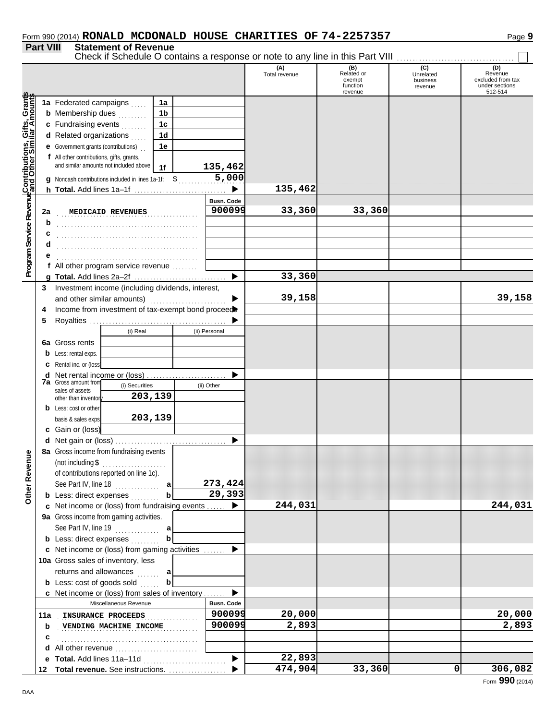### Form 990 (2014) **RONALD MCDONALD HOUSE CHARITIES OF 74-2257357** Page 9

### **Part VIII Statement of Revenue**

Check if Schedule O contains a response or note to any line in this Part VIII . . . . . . . . . . . . . . . . . . . . . . . . . . . . . . . . . . . . .

|                                                                                                         |     |                                                                   |                   | (A)<br>Total revenue | (B)<br>Related or<br>exempt<br>function<br>revenue | (C)<br>Unrelated<br>business<br>revenue | (D)<br>Revenue<br>excluded from tax<br>under sections<br>512-514 |
|---------------------------------------------------------------------------------------------------------|-----|-------------------------------------------------------------------|-------------------|----------------------|----------------------------------------------------|-----------------------------------------|------------------------------------------------------------------|
| Program Service RevenueContributions, Gifts, Grants<br>Program Service Revenueand Other Similar Amounts |     | 1a Federated campaigns<br>1a                                      |                   |                      |                                                    |                                         |                                                                  |
|                                                                                                         |     | <b>b</b> Membership dues<br>1 <sub>b</sub>                        |                   |                      |                                                    |                                         |                                                                  |
|                                                                                                         |     | 1 <sub>c</sub><br>c Fundraising events                            |                   |                      |                                                    |                                         |                                                                  |
|                                                                                                         |     | d Related organizations<br>1 <sub>d</sub>                         |                   |                      |                                                    |                                         |                                                                  |
|                                                                                                         |     | <b>e</b> Government grants (contributions)<br>1e                  |                   |                      |                                                    |                                         |                                                                  |
|                                                                                                         |     | f All other contributions, gifts, grants,                         |                   |                      |                                                    |                                         |                                                                  |
|                                                                                                         |     | and similar amounts not included above<br>1f                      | 135,462           |                      |                                                    |                                         |                                                                  |
|                                                                                                         |     | <b>g</b> Noncash contributions included in lines 1a-1f: $\$\dots$ | 5,000             |                      |                                                    |                                         |                                                                  |
|                                                                                                         |     | h Total. Add lines 1a-1f                                          | ▶                 | 135,462              |                                                    |                                         |                                                                  |
|                                                                                                         |     |                                                                   | <b>Busn. Code</b> |                      |                                                    |                                         |                                                                  |
|                                                                                                         | 2a  | MEDICAID REVENUES<br>.                                            | 900099            | 33,360               | 33,360                                             |                                         |                                                                  |
|                                                                                                         | b   |                                                                   |                   |                      |                                                    |                                         |                                                                  |
|                                                                                                         | с   |                                                                   |                   |                      |                                                    |                                         |                                                                  |
|                                                                                                         | d   |                                                                   |                   |                      |                                                    |                                         |                                                                  |
|                                                                                                         |     |                                                                   |                   |                      |                                                    |                                         |                                                                  |
|                                                                                                         |     | f All other program service revenue                               |                   |                      |                                                    |                                         |                                                                  |
|                                                                                                         |     |                                                                   |                   | 33,360               |                                                    |                                         |                                                                  |
|                                                                                                         | 3   | Investment income (including dividends, interest,                 |                   |                      |                                                    |                                         |                                                                  |
|                                                                                                         |     | and other similar amounts)                                        |                   | 39,158               |                                                    |                                         | 39,158                                                           |
|                                                                                                         | 4   | Income from investment of tax-exempt bond proceed                 |                   |                      |                                                    |                                         |                                                                  |
|                                                                                                         | 5   |                                                                   |                   |                      |                                                    |                                         |                                                                  |
|                                                                                                         |     | (i) Real                                                          | (ii) Personal     |                      |                                                    |                                         |                                                                  |
|                                                                                                         |     | 6a Gross rents                                                    |                   |                      |                                                    |                                         |                                                                  |
|                                                                                                         | b   | Less: rental exps.                                                |                   |                      |                                                    |                                         |                                                                  |
|                                                                                                         |     | Rental inc. or (loss)                                             |                   |                      |                                                    |                                         |                                                                  |
|                                                                                                         | d   |                                                                   |                   |                      |                                                    |                                         |                                                                  |
|                                                                                                         |     | <b>7a</b> Gross amount from<br>(i) Securities<br>sales of assets  | (ii) Other        |                      |                                                    |                                         |                                                                  |
|                                                                                                         |     | 203,139<br>other than inventor                                    |                   |                      |                                                    |                                         |                                                                  |
|                                                                                                         |     | <b>b</b> Less: cost or other                                      |                   |                      |                                                    |                                         |                                                                  |
|                                                                                                         |     | 203,139<br>basis & sales exps                                     |                   |                      |                                                    |                                         |                                                                  |
|                                                                                                         |     | c Gain or (loss)                                                  |                   |                      |                                                    |                                         |                                                                  |
|                                                                                                         |     |                                                                   |                   |                      |                                                    |                                         |                                                                  |
|                                                                                                         |     | 8a Gross income from fundraising events                           |                   |                      |                                                    |                                         |                                                                  |
| enue                                                                                                    |     |                                                                   |                   |                      |                                                    |                                         |                                                                  |
|                                                                                                         |     | of contributions reported on line 1c).                            |                   |                      |                                                    |                                         |                                                                  |
|                                                                                                         |     | See Part IV, line 18<br>a                                         | 273,424           |                      |                                                    |                                         |                                                                  |
| Other Rev                                                                                               |     | <b>b</b> Less: direct expenses<br>b                               | 29,393            |                      |                                                    |                                         |                                                                  |
|                                                                                                         |     | c Net income or (loss) from fundraising events                    |                   | 244,031              |                                                    |                                         | 244,031                                                          |
|                                                                                                         |     | 9a Gross income from gaming activities.                           |                   |                      |                                                    |                                         |                                                                  |
|                                                                                                         |     | See Part IV, line 19<br>a                                         |                   |                      |                                                    |                                         |                                                                  |
|                                                                                                         |     | b<br><b>b</b> Less: direct expenses                               |                   |                      |                                                    |                                         |                                                                  |
|                                                                                                         |     | <b>c</b> Net income or (loss) from gaming activities              | ▸                 |                      |                                                    |                                         |                                                                  |
|                                                                                                         |     | 10a Gross sales of inventory, less                                |                   |                      |                                                    |                                         |                                                                  |
|                                                                                                         |     | returns and allowances<br>a<br>.                                  |                   |                      |                                                    |                                         |                                                                  |
|                                                                                                         |     | <b>b</b> Less: $cost$ of goods sold $\ldots$<br>b                 |                   |                      |                                                    |                                         |                                                                  |
|                                                                                                         |     | c Net income or (loss) from sales of inventory                    |                   |                      |                                                    |                                         |                                                                  |
|                                                                                                         |     | Miscellaneous Revenue                                             | <b>Busn. Code</b> |                      |                                                    |                                         |                                                                  |
|                                                                                                         | 11a | <b>INSURANCE PROCEEDS</b>                                         | 900099            | 20,000               |                                                    |                                         | 20,000                                                           |
|                                                                                                         | b   | VENDING MACHINE INCOME                                            | 900099            | 2,893                |                                                    |                                         | 2,893                                                            |
|                                                                                                         | c   |                                                                   |                   |                      |                                                    |                                         |                                                                  |
|                                                                                                         |     | d All other revenue                                               |                   |                      |                                                    |                                         |                                                                  |
|                                                                                                         |     | e Total. Add lines 11a-11d                                        | ▶                 | 22,893               |                                                    |                                         |                                                                  |
|                                                                                                         |     | 12 Total revenue. See instructions.                               |                   | 474,904              | 33,360                                             | 0                                       | 306,082                                                          |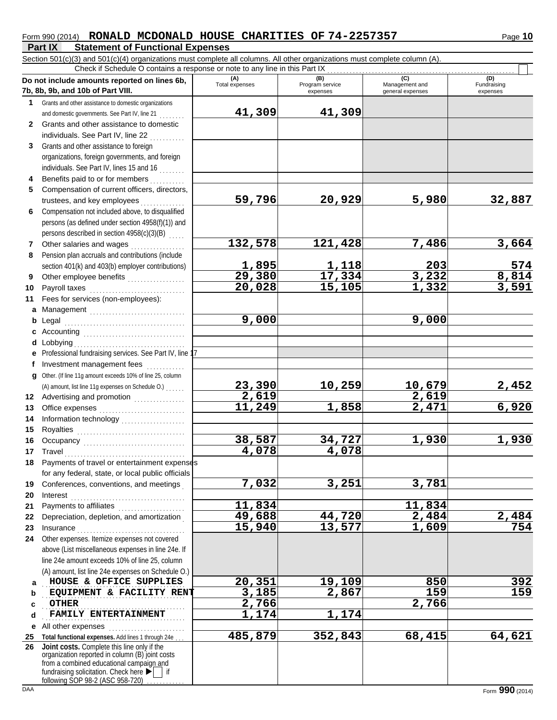### Form 990 (2014) **RONALD MCDONALD HOUSE CHARITIES OF 74-2257357** Page 10

 $\Box$ 

Section 501(c)(3) and 501(c)(4) organizations must complete all columns. All other organizations must complete column (A). Check if Schedule O contains a response or note to any line in this Part IX

|              | Do not include amounts reported on lines 6b,<br>7b, 8b, 9b, and 10b of Part VIII.                                                                                                                                        | (A)<br>Total expenses  | (B)<br>Program service<br>expenses | (C)<br>Management and<br>general expenses | (D)<br>Fundraising<br>expenses |
|--------------|--------------------------------------------------------------------------------------------------------------------------------------------------------------------------------------------------------------------------|------------------------|------------------------------------|-------------------------------------------|--------------------------------|
|              | 1 Grants and other assistance to domestic organizations                                                                                                                                                                  |                        |                                    |                                           |                                |
|              | and domestic governments. See Part IV, line 21                                                                                                                                                                           | 41,309                 | 41,309                             |                                           |                                |
| $\mathbf{2}$ | Grants and other assistance to domestic                                                                                                                                                                                  |                        |                                    |                                           |                                |
|              | individuals. See Part IV, line 22                                                                                                                                                                                        |                        |                                    |                                           |                                |
| 3            | Grants and other assistance to foreign                                                                                                                                                                                   |                        |                                    |                                           |                                |
|              | organizations, foreign governments, and foreign                                                                                                                                                                          |                        |                                    |                                           |                                |
|              | individuals. See Part IV, lines 15 and 16                                                                                                                                                                                |                        |                                    |                                           |                                |
| 4            | Benefits paid to or for members                                                                                                                                                                                          |                        |                                    |                                           |                                |
| 5            | Compensation of current officers, directors,                                                                                                                                                                             |                        |                                    |                                           |                                |
|              | trustees, and key employees                                                                                                                                                                                              | 59,796                 | 20,929                             | 5,980                                     | 32,887                         |
| 6            | Compensation not included above, to disqualified                                                                                                                                                                         |                        |                                    |                                           |                                |
|              | persons (as defined under section 4958(f)(1)) and                                                                                                                                                                        |                        |                                    |                                           |                                |
|              | persons described in section 4958(c)(3)(B)                                                                                                                                                                               |                        |                                    |                                           |                                |
| $\mathbf{7}$ | Other salaries and wages                                                                                                                                                                                                 | 132,578                | 121,428                            | 7,486                                     | 3,664                          |
| 8            | Pension plan accruals and contributions (include                                                                                                                                                                         |                        |                                    |                                           |                                |
|              | section 401(k) and 403(b) employer contributions)                                                                                                                                                                        | $\frac{1,895}{29,380}$ | $\frac{1,118}{17,334}$             | <u>203</u>                                | $\frac{574}{8,814}$            |
| 9            | Other employee benefits                                                                                                                                                                                                  |                        |                                    | 3,232                                     |                                |
| 10           |                                                                                                                                                                                                                          | 20,028                 | 15,105                             | 1,332                                     | 3,591                          |
| 11           | Fees for services (non-employees):                                                                                                                                                                                       |                        |                                    |                                           |                                |
|              | a Management                                                                                                                                                                                                             |                        |                                    |                                           |                                |
| b            |                                                                                                                                                                                                                          | 9,000                  |                                    | 9,000                                     |                                |
| c            |                                                                                                                                                                                                                          |                        |                                    |                                           |                                |
| d            | Lobbying                                                                                                                                                                                                                 |                        |                                    |                                           |                                |
| е            | Professional fundraising services. See Part IV, line 1                                                                                                                                                                   |                        |                                    |                                           |                                |
| f            | Investment management fees                                                                                                                                                                                               |                        |                                    |                                           |                                |
| a            | Other. (If line 11g amount exceeds 10% of line 25, column                                                                                                                                                                |                        |                                    |                                           |                                |
|              | (A) amount, list line 11g expenses on Schedule O.)                                                                                                                                                                       | 23,390                 | 10,259                             | 10,679                                    | 2,452                          |
| 12           | Advertising and promotion<br>                                                                                                                                                                                            | $\overline{2,619}$     |                                    | 2,619                                     |                                |
| 13           |                                                                                                                                                                                                                          | 11,249                 | 1,858                              | $\overline{2,471}$                        | 6,920                          |
| 14           | Information technology                                                                                                                                                                                                   |                        |                                    |                                           |                                |
| 15           |                                                                                                                                                                                                                          |                        |                                    |                                           |                                |
| 16           |                                                                                                                                                                                                                          | 38,587                 | 34,727                             | 1,930                                     | 1,930                          |
| 17           | Travel                                                                                                                                                                                                                   | 4,078                  | 4,078                              |                                           |                                |
| 18           | Payments of travel or entertainment expenses                                                                                                                                                                             |                        |                                    |                                           |                                |
|              | for any federal, state, or local public officials                                                                                                                                                                        |                        |                                    |                                           |                                |
| 19           | Conferences, conventions, and meetings                                                                                                                                                                                   | 7,032                  | 3,251                              | 3,781                                     |                                |
| 20           | Interest                                                                                                                                                                                                                 |                        |                                    |                                           |                                |
| 21           | Payments to affiliates<br><u> 1966 - Johann Stoff, martin a</u>                                                                                                                                                          | 11,834                 |                                    | 11,834                                    |                                |
| 22           | Depreciation, depletion, and amortization                                                                                                                                                                                | 49,688                 | 44,720                             | 2,484                                     | $\frac{2,484}{754}$            |
| 23           | Insurance                                                                                                                                                                                                                | 15,940                 | 13,577                             | 1,609                                     |                                |
| 24           | Other expenses. Itemize expenses not covered                                                                                                                                                                             |                        |                                    |                                           |                                |
|              | above (List miscellaneous expenses in line 24e. If                                                                                                                                                                       |                        |                                    |                                           |                                |
|              | line 24e amount exceeds 10% of line 25, column                                                                                                                                                                           |                        |                                    |                                           |                                |
|              | (A) amount, list line 24e expenses on Schedule O.)                                                                                                                                                                       |                        |                                    |                                           |                                |
| a            | HOUSE & OFFICE SUPPLIES                                                                                                                                                                                                  | 20,351                 | 19,109                             | 850                                       | 392                            |
| b            | EQUIPMENT & FACILITY RENT                                                                                                                                                                                                | 3,185                  | 2,867                              | 159                                       | 159                            |
| c            | <b>OTHER</b>                                                                                                                                                                                                             | $\overline{2,766}$     |                                    | $\overline{2}$ , 766                      |                                |
| d            | FAMILY ENTERTAINMENT                                                                                                                                                                                                     | 1,174                  | 1,174                              |                                           |                                |
| e            | All other expenses                                                                                                                                                                                                       |                        |                                    |                                           |                                |
| 25           | Total functional expenses. Add lines 1 through 24e                                                                                                                                                                       | 485,879                | 352,843                            | 68,415                                    | 64,621                         |
| 26           | Joint costs. Complete this line only if the<br>organization reported in column (B) joint costs<br>from a combined educational campaign and<br>fundraising solicitation. Check here ▶<br>following SOP 98-2 (ASC 958-720) |                        |                                    |                                           |                                |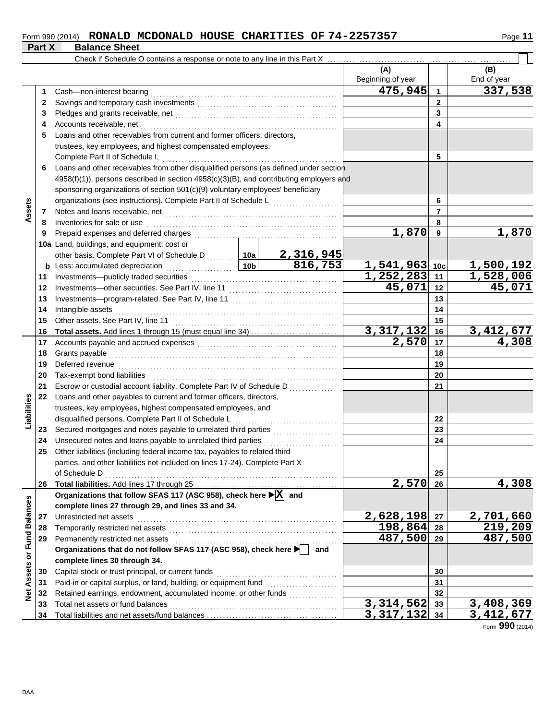### Form 990 (2014) **RONALD MCDONALD HOUSE CHARITIES OF 74-2257357** Page 11 **Part X** Balance Sheet

|                     |    | Check if Schedule O contains a response or note to any line in this Part X                                                                                                                                                     |  |                |                          |              |                    |
|---------------------|----|--------------------------------------------------------------------------------------------------------------------------------------------------------------------------------------------------------------------------------|--|----------------|--------------------------|--------------|--------------------|
|                     |    |                                                                                                                                                                                                                                |  |                | (A)<br>Beginning of year |              | (B)<br>End of year |
|                     | 1  | Cash-non-interest bearing                                                                                                                                                                                                      |  |                | 475,945                  | 1            | 337,538            |
|                     | 2  |                                                                                                                                                                                                                                |  |                |                          | $\mathbf{2}$ |                    |
|                     | 3  |                                                                                                                                                                                                                                |  |                |                          | 3            |                    |
|                     | 4  | Accounts receivable, net                                                                                                                                                                                                       |  |                |                          | 4            |                    |
|                     | 5  | Loans and other receivables from current and former officers, directors,                                                                                                                                                       |  |                |                          |              |                    |
|                     |    | trustees, key employees, and highest compensated employees.                                                                                                                                                                    |  |                |                          |              |                    |
|                     |    | Complete Part II of Schedule L                                                                                                                                                                                                 |  |                |                          | 5            |                    |
|                     | 6  | Loans and other receivables from other disqualified persons (as defined under section                                                                                                                                          |  |                |                          |              |                    |
|                     |    | 4958(f)(1)), persons described in section 4958(c)(3)(B), and contributing employers and                                                                                                                                        |  |                |                          |              |                    |
|                     |    | sponsoring organizations of section 501(c)(9) voluntary employees' beneficiary                                                                                                                                                 |  |                |                          |              |                    |
|                     |    | organizations (see instructions). Complete Part II of Schedule L [111] [11]                                                                                                                                                    |  |                |                          | 6            |                    |
| Assets              | 7  |                                                                                                                                                                                                                                |  |                |                          | 7            |                    |
|                     | 8  | Inventories for sale or use                                                                                                                                                                                                    |  |                |                          | 8            |                    |
|                     | 9  |                                                                                                                                                                                                                                |  |                | 1,870                    | 9            | 1,870              |
|                     |    | 10a Land, buildings, and equipment: cost or                                                                                                                                                                                    |  |                |                          |              |                    |
|                     |    | other basis. Complete Part VI of Schedule D    10a   2, 316, 945                                                                                                                                                               |  |                |                          |              |                    |
|                     |    | <u> 10b</u><br><b>b</b> Less: accumulated depreciation                                                                                                                                                                         |  | 816,753        | 1,541,963                | 10c          | 1,500,192          |
|                     | 11 | Investments-publicly traded securities                                                                                                                                                                                         |  | $1,252,283$ 11 |                          | 1,528,006    |                    |
|                     | 12 |                                                                                                                                                                                                                                |  | 45,071         | $12 \,$                  | 45,071       |                    |
|                     | 13 |                                                                                                                                                                                                                                |  |                | 13                       |              |                    |
|                     | 14 | Intangible assets                                                                                                                                                                                                              |  |                |                          | 14           |                    |
|                     | 15 | Other assets. See Part IV, line 11                                                                                                                                                                                             |  |                |                          | 15           |                    |
|                     | 16 | Total assets. Add lines 1 through 15 (must equal line 34)                                                                                                                                                                      |  |                | 3,317,132                | 16           | 3, 412, 677        |
|                     | 17 |                                                                                                                                                                                                                                |  |                | 2,570                    | 17           | 4,308              |
|                     | 18 | Grants payable                                                                                                                                                                                                                 |  |                |                          | 18           |                    |
|                     | 19 | Deferred revenue information and contact the contract of the contract of the contract of the contract of the contract of the contract of the contract of the contract of the contract of the contract of the contract of the c |  |                |                          | 19           |                    |
|                     | 20 |                                                                                                                                                                                                                                |  | 20             |                          |              |                    |
|                     | 21 | Escrow or custodial account liability. Complete Part IV of Schedule D                                                                                                                                                          |  | 21             |                          |              |                    |
|                     | 22 | Loans and other payables to current and former officers, directors,                                                                                                                                                            |  |                |                          |              |                    |
| Liabilities         |    | trustees, key employees, highest compensated employees, and                                                                                                                                                                    |  |                |                          |              |                    |
|                     |    | disqualified persons. Complete Part II of Schedule L                                                                                                                                                                           |  |                |                          | 22           |                    |
|                     | 23 | Secured mortgages and notes payable to unrelated third parties [[11, 11, 11, 11, 11, 11, 11, 11]                                                                                                                               |  |                |                          | 23           |                    |
|                     | 24 | Unsecured notes and loans payable to unrelated third parties                                                                                                                                                                   |  | .              |                          | 24           |                    |
|                     | 25 | Other liabilities (including federal income tax, payables to related third                                                                                                                                                     |  |                |                          |              |                    |
|                     |    | parties, and other liabilities not included on lines 17-24). Complete Part X                                                                                                                                                   |  |                |                          |              |                    |
|                     |    |                                                                                                                                                                                                                                |  |                |                          | 25           |                    |
|                     | 26 |                                                                                                                                                                                                                                |  |                | 2,570                    | 26           | 4,308              |
|                     |    | Organizations that follow SFAS 117 (ASC 958), check here $\blacktriangleright$ $X$ and                                                                                                                                         |  |                |                          |              |                    |
| <b>Balances</b>     |    | complete lines 27 through 29, and lines 33 and 34.                                                                                                                                                                             |  |                |                          |              |                    |
|                     | 27 | Unrestricted net assets                                                                                                                                                                                                        |  |                | 2,628,198                | 27           | 2,701,660          |
|                     | 28 |                                                                                                                                                                                                                                |  |                | 198,864                  | 28           | 219,209            |
| <b>Fund</b>         | 29 | Permanently restricted net assets                                                                                                                                                                                              |  |                | 487,500 29               |              | 487,500            |
|                     |    | Organizations that do not follow SFAS 117 (ASC 958), check here                                                                                                                                                                |  | and            |                          |              |                    |
| $\overline{\sigma}$ |    | complete lines 30 through 34.                                                                                                                                                                                                  |  |                |                          |              |                    |
| Assets              | 30 | Capital stock or trust principal, or current funds                                                                                                                                                                             |  |                |                          | 30           |                    |
|                     | 31 | Paid-in or capital surplus, or land, building, or equipment fund                                                                                                                                                               |  |                |                          | 31           |                    |
| $\frac{1}{2}$       | 32 | Retained earnings, endowment, accumulated income, or other funds                                                                                                                                                               |  |                |                          | 32           |                    |
|                     | 33 | Total net assets or fund balances                                                                                                                                                                                              |  |                | 3,314,562                | 33           | 3,408,369          |
|                     | 34 |                                                                                                                                                                                                                                |  |                | $3,317,132$ 34           |              | 3,412,677          |

Form **990** (2014)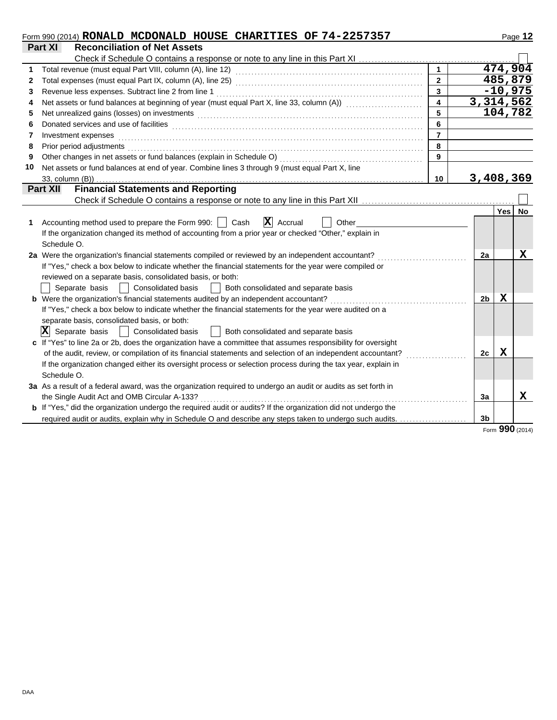|    | Form 990 (2014) RONALD MCDONALD HOUSE CHARITIES OF 74-2257357                                  |    | Page 12     |
|----|------------------------------------------------------------------------------------------------|----|-------------|
|    | <b>Reconciliation of Net Assets</b><br>Part XI                                                 |    |             |
|    | Check if Schedule O contains a response or note to any line in this Part XI                    |    |             |
|    |                                                                                                |    | 474,904     |
|    |                                                                                                |    | 485,879     |
| 3  | Revenue less expenses. Subtract line 2 from line 1                                             |    | $-10,975$   |
|    | Net assets or fund balances at beginning of year (must equal Part X, line 33, column (A))      | 4  | 3,314,562   |
| 5. | Net unrealized gains (losses) on investments                                                   | 5. | 104,782     |
|    | Donated services and use of facilities                                                         | 6  |             |
|    | Investment expenses                                                                            |    |             |
| 8  | Prior period adjustments                                                                       |    |             |
| 9  | Other changes in net assets or fund balances (explain in Schedule O)                           | 9  |             |
| 10 | Net assets or fund balances at end of year. Combine lines 3 through 9 (must equal Part X, line |    |             |
|    | $33$ , column $(B)$ )                                                                          | 10 | 3,408,369   |
|    | <b>Financial Statements and Reporting</b><br><b>Part XII</b>                                   |    |             |
|    |                                                                                                |    |             |
|    |                                                                                                |    | Yes I<br>No |

| $ \mathbf{X} $ Accrual<br>Accounting method used to prepare the Form 990:     Cash<br>Other<br>If the organization changed its method of accounting from a prior year or checked "Other," explain in<br>Schedule O. |                |   |   |
|---------------------------------------------------------------------------------------------------------------------------------------------------------------------------------------------------------------------|----------------|---|---|
| 2a Were the organization's financial statements compiled or reviewed by an independent accountant?                                                                                                                  | 2a             |   | x |
| If "Yes," check a box below to indicate whether the financial statements for the year were compiled or                                                                                                              |                |   |   |
| reviewed on a separate basis, consolidated basis, or both:                                                                                                                                                          |                |   |   |
| Consolidated basis<br>Separate basis<br>Both consolidated and separate basis                                                                                                                                        |                |   |   |
| <b>b</b> Were the organization's financial statements audited by an independent accountant?                                                                                                                         | 2 <sub>b</sub> | Х |   |
| If "Yes," check a box below to indicate whether the financial statements for the year were audited on a                                                                                                             |                |   |   |
| separate basis, consolidated basis, or both:                                                                                                                                                                        |                |   |   |
| $ \mathbf{X} $<br>Consolidated basis<br>Separate basis<br>Both consolidated and separate basis                                                                                                                      |                |   |   |
| c If "Yes" to line 2a or 2b, does the organization have a committee that assumes responsibility for oversight                                                                                                       |                |   |   |
| of the audit, review, or compilation of its financial statements and selection of an independent accountant?                                                                                                        | 2c             | Х |   |
| If the organization changed either its oversight process or selection process during the tax year, explain in                                                                                                       |                |   |   |
| Schedule O.                                                                                                                                                                                                         |                |   |   |
| 3a As a result of a federal award, was the organization required to undergo an audit or audits as set forth in                                                                                                      |                |   |   |
| the Single Audit Act and OMB Circular A-133?                                                                                                                                                                        | 3a             |   | x |
| <b>b</b> If "Yes," did the organization undergo the required audit or audits? If the organization did not undergo the                                                                                               |                |   |   |
| required audit or audits, explain why in Schedule O and describe any steps taken to undergo such audits                                                                                                             | 3 <sub>b</sub> |   |   |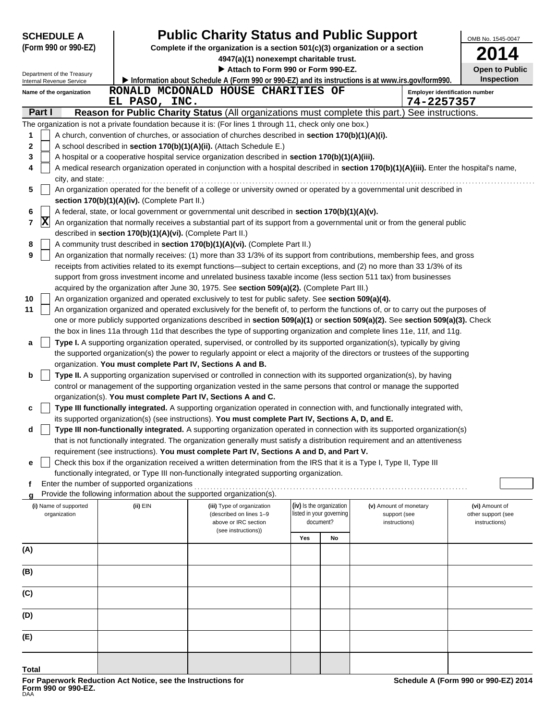| <b>SCHEDULE A</b>                                      |                                                            | <b>Public Charity Status and Public Support</b>                                                                                                                                                                                                                |                                       |                               |                                                     | OMB No. 1545-0047                   |
|--------------------------------------------------------|------------------------------------------------------------|----------------------------------------------------------------------------------------------------------------------------------------------------------------------------------------------------------------------------------------------------------------|---------------------------------------|-------------------------------|-----------------------------------------------------|-------------------------------------|
| (Form 990 or 990-EZ)                                   |                                                            | Complete if the organization is a section 501(c)(3) organization or a section                                                                                                                                                                                  |                                       |                               |                                                     |                                     |
|                                                        |                                                            | 4947(a)(1) nonexempt charitable trust.<br>Attach to Form 990 or Form 990-EZ.                                                                                                                                                                                   |                                       |                               |                                                     | <b>Open to Public</b>               |
| Department of the Treasury<br>Internal Revenue Service |                                                            | Information about Schedule A (Form 990 or 990-EZ) and its instructions is at www.irs.gov/form990.                                                                                                                                                              |                                       |                               |                                                     | <b>Inspection</b>                   |
| Name of the organization                               | EL PASO, INC.                                              | RONALD MCDONALD HOUSE CHARITIES OF                                                                                                                                                                                                                             |                                       |                               | <b>Employer identification number</b><br>74-2257357 |                                     |
| Part I                                                 |                                                            | Reason for Public Charity Status (All organizations must complete this part.) See instructions.                                                                                                                                                                |                                       |                               |                                                     |                                     |
|                                                        |                                                            | The organization is not a private foundation because it is: (For lines 1 through 11, check only one box.)                                                                                                                                                      |                                       |                               |                                                     |                                     |
| 1<br>2                                                 |                                                            | A church, convention of churches, or association of churches described in section 170(b)(1)(A)(i).<br>A school described in section 170(b)(1)(A)(ii). (Attach Schedule E.)                                                                                     |                                       |                               |                                                     |                                     |
| 3                                                      |                                                            | A hospital or a cooperative hospital service organization described in section 170(b)(1)(A)(iii).                                                                                                                                                              |                                       |                               |                                                     |                                     |
| 4                                                      |                                                            | A medical research organization operated in conjunction with a hospital described in section 170(b)(1)(A)(iii). Enter the hospital's name,                                                                                                                     |                                       |                               |                                                     |                                     |
| city, and state:                                       |                                                            |                                                                                                                                                                                                                                                                |                                       |                               |                                                     |                                     |
| 5                                                      | section 170(b)(1)(A)(iv). (Complete Part II.)              | An organization operated for the benefit of a college or university owned or operated by a governmental unit described in                                                                                                                                      |                                       |                               |                                                     |                                     |
| 6                                                      |                                                            | A federal, state, or local government or governmental unit described in section 170(b)(1)(A)(v).                                                                                                                                                               |                                       |                               |                                                     |                                     |
| $ \mathbf{X} $<br>7                                    |                                                            | An organization that normally receives a substantial part of its support from a governmental unit or from the general public                                                                                                                                   |                                       |                               |                                                     |                                     |
|                                                        | described in section 170(b)(1)(A)(vi). (Complete Part II.) |                                                                                                                                                                                                                                                                |                                       |                               |                                                     |                                     |
| 8<br>9                                                 |                                                            | A community trust described in section 170(b)(1)(A)(vi). (Complete Part II.)<br>An organization that normally receives: (1) more than 33 1/3% of its support from contributions, membership fees, and gross                                                    |                                       |                               |                                                     |                                     |
|                                                        |                                                            | receipts from activities related to its exempt functions—subject to certain exceptions, and (2) no more than 33 1/3% of its                                                                                                                                    |                                       |                               |                                                     |                                     |
|                                                        |                                                            | support from gross investment income and unrelated business taxable income (less section 511 tax) from businesses                                                                                                                                              |                                       |                               |                                                     |                                     |
| 10                                                     |                                                            | acquired by the organization after June 30, 1975. See section 509(a)(2). (Complete Part III.)<br>An organization organized and operated exclusively to test for public safety. See section 509(a)(4).                                                          |                                       |                               |                                                     |                                     |
| 11                                                     |                                                            | An organization organized and operated exclusively for the benefit of, to perform the functions of, or to carry out the purposes of                                                                                                                            |                                       |                               |                                                     |                                     |
|                                                        |                                                            | one or more publicly supported organizations described in section 509(a)(1) or section 509(a)(2). See section 509(a)(3). Check                                                                                                                                 |                                       |                               |                                                     |                                     |
|                                                        |                                                            | the box in lines 11a through 11d that describes the type of supporting organization and complete lines 11e, 11f, and 11g.                                                                                                                                      |                                       |                               |                                                     |                                     |
| a                                                      |                                                            | Type I. A supporting organization operated, supervised, or controlled by its supported organization(s), typically by giving<br>the supported organization(s) the power to regularly appoint or elect a majority of the directors or trustees of the supporting |                                       |                               |                                                     |                                     |
|                                                        | organization. You must complete Part IV, Sections A and B. |                                                                                                                                                                                                                                                                |                                       |                               |                                                     |                                     |
| b                                                      |                                                            | Type II. A supporting organization supervised or controlled in connection with its supported organization(s), by having                                                                                                                                        |                                       |                               |                                                     |                                     |
|                                                        |                                                            | control or management of the supporting organization vested in the same persons that control or manage the supported<br>organization(s). You must complete Part IV, Sections A and C.                                                                          |                                       |                               |                                                     |                                     |
| c                                                      |                                                            | Type III functionally integrated. A supporting organization operated in connection with, and functionally integrated with,                                                                                                                                     |                                       |                               |                                                     |                                     |
|                                                        |                                                            | its supported organization(s) (see instructions). You must complete Part IV, Sections A, D, and E.                                                                                                                                                             |                                       |                               |                                                     |                                     |
| d                                                      |                                                            | Type III non-functionally integrated. A supporting organization operated in connection with its supported organization(s)                                                                                                                                      |                                       |                               |                                                     |                                     |
|                                                        |                                                            | that is not functionally integrated. The organization generally must satisfy a distribution requirement and an attentiveness<br>requirement (see instructions). You must complete Part IV, Sections A and D, and Part V.                                       |                                       |                               |                                                     |                                     |
| е                                                      |                                                            | Check this box if the organization received a written determination from the IRS that it is a Type I, Type II, Type III                                                                                                                                        |                                       |                               |                                                     |                                     |
|                                                        |                                                            | functionally integrated, or Type III non-functionally integrated supporting organization.                                                                                                                                                                      |                                       |                               |                                                     |                                     |
| f                                                      | Enter the number of supported organizations                | Provide the following information about the supported organization(s).                                                                                                                                                                                         |                                       |                               |                                                     |                                     |
| (i) Name of supported                                  | (ii) EIN                                                   | (iii) Type of organization                                                                                                                                                                                                                                     | (iv) Is the organization              | (v) Amount of monetary        |                                                     | (vi) Amount of                      |
| organization                                           |                                                            | (described on lines 1-9<br>above or IRC section                                                                                                                                                                                                                | listed in your governing<br>document? | support (see<br>instructions) |                                                     | other support (see<br>instructions) |
|                                                        |                                                            | (see instructions))                                                                                                                                                                                                                                            | Yes<br>No                             |                               |                                                     |                                     |
| (A)                                                    |                                                            |                                                                                                                                                                                                                                                                |                                       |                               |                                                     |                                     |
|                                                        |                                                            |                                                                                                                                                                                                                                                                |                                       |                               |                                                     |                                     |
| (B)                                                    |                                                            |                                                                                                                                                                                                                                                                |                                       |                               |                                                     |                                     |
| (C)                                                    |                                                            |                                                                                                                                                                                                                                                                |                                       |                               |                                                     |                                     |
| (D)                                                    |                                                            |                                                                                                                                                                                                                                                                |                                       |                               |                                                     |                                     |
| (E)                                                    |                                                            |                                                                                                                                                                                                                                                                |                                       |                               |                                                     |                                     |
|                                                        |                                                            |                                                                                                                                                                                                                                                                |                                       |                               |                                                     |                                     |
| Total                                                  |                                                            |                                                                                                                                                                                                                                                                |                                       |                               |                                                     |                                     |
|                                                        |                                                            |                                                                                                                                                                                                                                                                |                                       |                               |                                                     | 000<br>000 F21                      |

DAA **For Paperwork Reduction Act Notice, see the Instructions for Form 990 or 990-EZ.**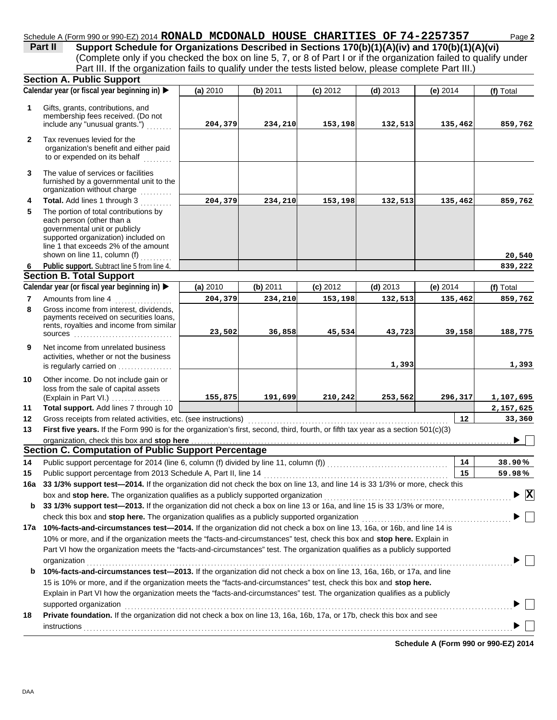(Complete only if you checked the box on line 5, 7, or 8 of Part I or if the organization failed to qualify under **Part II** Support Schedule for Organizations Described in Sections 170(b)(1)(A)(iv) and 170(b)(1)(A)(vi) Part III. If the organization fails to qualify under the tests listed below, please complete Part III.)

|              | <b>Section A. Public Support</b>                                                                                                                                                   |          |          |            |                   |            |                                    |
|--------------|------------------------------------------------------------------------------------------------------------------------------------------------------------------------------------|----------|----------|------------|-------------------|------------|------------------------------------|
|              | Calendar year (or fiscal year beginning in)                                                                                                                                        | (a) 2010 | (b) 2011 | $(c)$ 2012 | $(d)$ 2013        | (e) 2014   | (f) Total                          |
| 1            | Gifts, grants, contributions, and<br>membership fees received. (Do not<br>include any "unusual grants.")                                                                           | 204,379  | 234,210  | 153,198    | 132,513           | 135,462    | 859,762                            |
| $\mathbf{2}$ | Tax revenues levied for the<br>organization's benefit and either paid<br>to or expended on its behalf                                                                              |          |          |            |                   |            |                                    |
| 3            | The value of services or facilities<br>furnished by a governmental unit to the<br>organization without charge                                                                      |          |          |            |                   |            |                                    |
| 4            | Total. Add lines 1 through 3                                                                                                                                                       | 204,379  | 234,210  | 153,198    | 132,513           | 135,462    | 859,762                            |
| 5            | The portion of total contributions by<br>each person (other than a<br>governmental unit or publicly<br>supported organization) included on<br>line 1 that exceeds 2% of the amount |          |          |            |                   |            |                                    |
|              | shown on line 11, column (f)                                                                                                                                                       |          |          |            |                   |            | 20,540                             |
| 6            | Public support. Subtract line 5 from line 4.<br><b>Section B. Total Support</b>                                                                                                    |          |          |            |                   |            | 839,222                            |
|              | Calendar year (or fiscal year beginning in) ▶                                                                                                                                      | (a) 2010 | (b) 2011 | $(c)$ 2012 | $(d)$ 2013        | (e) $2014$ | (f) Total                          |
|              | Amounts from line 4                                                                                                                                                                | 204,379  | 234,210  | 153,198    |                   | 135,462    |                                    |
| 7<br>8       | Gross income from interest, dividends,<br>payments received on securities loans,<br>rents, royalties and income from similar                                                       | 23,502   | 36,858   | 45,534     | 132,513<br>43,723 | 39,158     | 859,762<br>188,775                 |
| 9            | sources<br>Net income from unrelated business<br>activities, whether or not the business                                                                                           |          |          |            | 1,393             |            | 1,393                              |
| 10           | is regularly carried on<br>Other income. Do not include gain or<br>loss from the sale of capital assets<br>(Explain in Part VI.)                                                   | 155,875  | 191,699  | 210,242    | 253,562           | 296,317    | 1,107,695                          |
| 11           | Total support. Add lines 7 through 10                                                                                                                                              |          |          |            |                   |            | 2,157,625                          |
| 12           | Gross receipts from related activities, etc. (see instructions)                                                                                                                    |          |          |            |                   | 12         | 33,360                             |
| 13           | First five years. If the Form 990 is for the organization's first, second, third, fourth, or fifth tax year as a section 501(c)(3)                                                 |          |          |            |                   |            |                                    |
|              | organization, check this box and stop here                                                                                                                                         |          |          |            |                   |            |                                    |
|              | <b>Section C. Computation of Public Support Percentage</b>                                                                                                                         |          |          |            |                   |            |                                    |
| 14           |                                                                                                                                                                                    |          |          |            |                   | 14         | 38.90%                             |
| 15           | Public support percentage from 2013 Schedule A, Part II, line 14                                                                                                                   |          |          |            |                   | 15         | 59.98%                             |
|              | 16a 33 1/3% support test-2014. If the organization did not check the box on line 13, and line 14 is 33 1/3% or more, check this                                                    |          |          |            |                   |            |                                    |
|              | box and stop here. The organization qualifies as a publicly supported organization                                                                                                 |          |          |            |                   |            | $\blacktriangleright$ $\mathbf{X}$ |
| b            | 33 1/3% support test-2013. If the organization did not check a box on line 13 or 16a, and line 15 is 33 1/3% or more,                                                              |          |          |            |                   |            |                                    |
|              | check this box and stop here. The organization qualifies as a publicly supported organization                                                                                      |          |          |            |                   |            |                                    |
|              | 17a 10%-facts-and-circumstances test-2014. If the organization did not check a box on line 13, 16a, or 16b, and line 14 is                                                         |          |          |            |                   |            |                                    |
|              | 10% or more, and if the organization meets the "facts-and-circumstances" test, check this box and stop here. Explain in                                                            |          |          |            |                   |            |                                    |
|              | Part VI how the organization meets the "facts-and-circumstances" test. The organization qualifies as a publicly supported                                                          |          |          |            |                   |            |                                    |
|              | organization                                                                                                                                                                       |          |          |            |                   |            |                                    |
| b            | 10%-facts-and-circumstances test-2013. If the organization did not check a box on line 13, 16a, 16b, or 17a, and line                                                              |          |          |            |                   |            |                                    |
|              | 15 is 10% or more, and if the organization meets the "facts-and-circumstances" test, check this box and stop here.                                                                 |          |          |            |                   |            |                                    |
|              | Explain in Part VI how the organization meets the "facts-and-circumstances" test. The organization qualifies as a publicly                                                         |          |          |            |                   |            |                                    |
|              | supported organization                                                                                                                                                             |          |          |            |                   |            |                                    |
| 18           | Private foundation. If the organization did not check a box on line 13, 16a, 16b, 17a, or 17b, check this box and see                                                              |          |          |            |                   |            |                                    |
|              | instructions                                                                                                                                                                       |          |          |            |                   |            |                                    |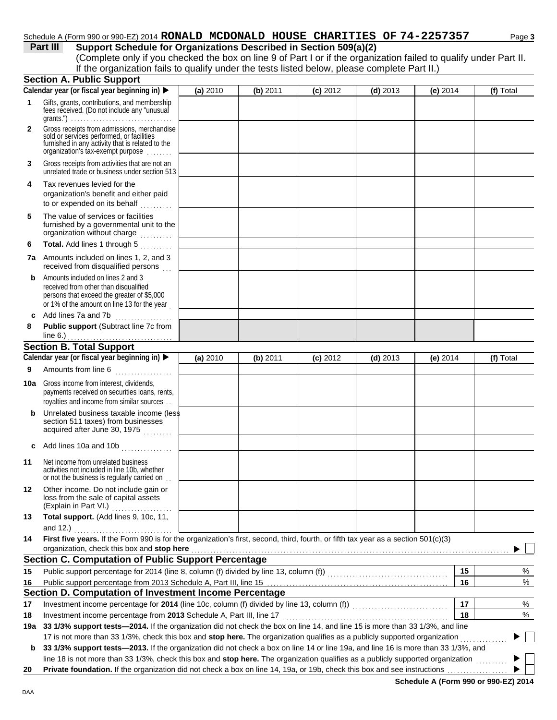|--|

unrelated trade or business under section 513 **Part III Support Schedule for Organizations Described in Section 509(a)(2)** (Complete only if you checked the box on line 9 of Part I or if the organization failed to qualify under Part II. **1 2 3 6 8** Schedule A (Form 990 or 990-EZ) 2014 **RONALD MCDONALD HOUSE CHARITIES OF 74-2257357** Page 3 Gifts, grants, contributions, and membership fees received. (Do not include any "unusual **Public support** (Subtract line 7c from Gross receipts from admissions, merchandise sold or services performed, or facilities furnished in any activity that is related to the Gross receipts from activities that are not an **Total.** Add lines 1 through 5 ........... **Section A. Public Support** organization's tax-exempt purpose . . . . . . . . **4** Tax revenues levied for the organization's benefit and either paid to or expended on its behalf . . . . . . . . . organization without charge ........... furnished by a governmental unit to the **5** The value of services or facilities **7a** Amounts included on lines 1, 2, and 3 received from disqualified persons **b** Amounts included on lines 2 and 3 received from other than disqualified persons that exceed the greater of \$5,000 or 1% of the amount on line 13 for the year **c** Add lines 7a and 7b . . . . . . . . . **(a)** 2010 **(b)** 2011 **(c)** 2012 **(d)** 2013 **(e)** 2014 **(f)** Total  $line 6.)$ **Calendar year (or fiscal year beginning in)**  If the organization fails to qualify under the tests listed below, please complete Part II.) grants.") . . . . . . . . . . . . . . . . . . . . . . . . . . . . . . . .

### **Section B. Total Support**

|         | Section D. Total Support<br>Calendar year (or fiscal year beginning in) ▶                                                                                                        | (a) 2010 | (b) 2011 | $(c)$ 2012 | $(d)$ 2013 | (e) $2014$ | (f) Total |
|---------|----------------------------------------------------------------------------------------------------------------------------------------------------------------------------------|----------|----------|------------|------------|------------|-----------|
|         |                                                                                                                                                                                  |          |          |            |            |            |           |
| 9       | Amounts from line 6                                                                                                                                                              |          |          |            |            |            |           |
| 10a     | Gross income from interest, dividends,<br>payments received on securities loans, rents,<br>royalties and income from similar sources                                             |          |          |            |            |            |           |
| b       | Unrelated business taxable income (less<br>section 511 taxes) from businesses<br>acquired after June 30, 1975                                                                    |          |          |            |            |            |           |
| c       | Add lines 10a and 10b                                                                                                                                                            |          |          |            |            |            |           |
| 11      | Net income from unrelated business<br>activities not included in line 10b, whether<br>or not the business is regularly carried on                                                |          |          |            |            |            |           |
| $12 \,$ | Other income. Do not include gain or<br>loss from the sale of capital assets<br>(Explain in Part VI.)                                                                            |          |          |            |            |            |           |
| 13      | Total support. (Add lines 9, 10c, 11,                                                                                                                                            |          |          |            |            |            |           |
|         | and 12.)                                                                                                                                                                         |          |          |            |            |            |           |
| 14      | First five years. If the Form 990 is for the organization's first, second, third, fourth, or fifth tax year as a section 501(c)(3)<br>organization, check this box and stop here |          |          |            |            |            |           |
|         | <b>Section C. Computation of Public Support Percentage</b>                                                                                                                       |          |          |            |            |            |           |
| 15      |                                                                                                                                                                                  |          |          |            |            | 15         | %         |
| 16      |                                                                                                                                                                                  |          |          |            |            | 16         | %         |
|         | Section D. Computation of Investment Income Percentage                                                                                                                           |          |          |            |            |            |           |
| 17      |                                                                                                                                                                                  |          |          |            |            | 17         | %         |
| 18      | Investment income percentage from 2013 Schedule A, Part III, line 17                                                                                                             |          |          |            |            | 18         | %         |
| 19а     | 33 1/3% support tests-2014. If the organization did not check the box on line 14, and line 15 is more than 33 1/3%, and line                                                     |          |          |            |            |            |           |
|         | 17 is not more than 33 1/3%, check this box and stop here. The organization qualifies as a publicly supported organization                                                       |          |          |            |            |            | ▶         |
| b       | 33 1/3% support tests—2013. If the organization did not check a box on line 14 or line 19a, and line 16 is more than 33 1/3%, and                                                |          |          |            |            |            |           |
|         | line 18 is not more than 33 1/3%, check this box and stop here. The organization qualifies as a publicly supported organization                                                  |          |          |            |            |            | ▶         |
| 20      | Private foundation. If the organization did not check a box on line 14, 19a, or 19b, check this box and see instructions                                                         |          |          |            |            |            |           |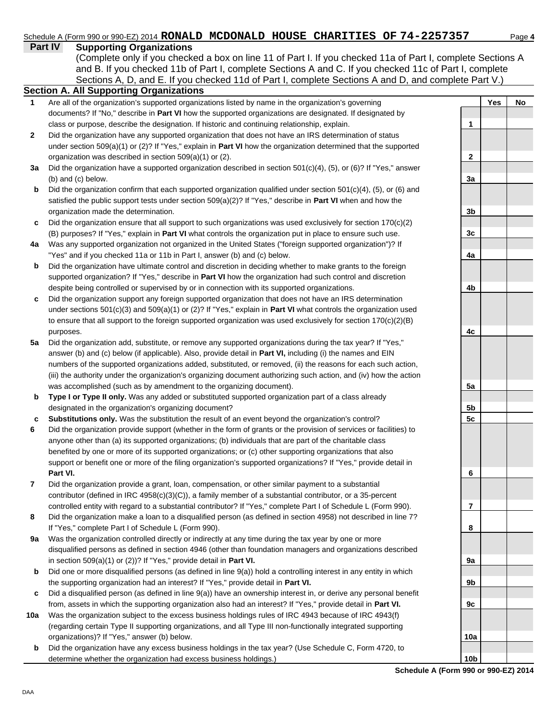|     | <b>Part IV</b><br><b>Supporting Organizations</b>                                                                    |                 |     |    |
|-----|----------------------------------------------------------------------------------------------------------------------|-----------------|-----|----|
|     | (Complete only if you checked a box on line 11 of Part I. If you checked 11a of Part I, complete Sections A          |                 |     |    |
|     | and B. If you checked 11b of Part I, complete Sections A and C. If you checked 11c of Part I, complete               |                 |     |    |
|     | Sections A, D, and E. If you checked 11d of Part I, complete Sections A and D, and complete Part V.)                 |                 |     |    |
|     | <b>Section A. All Supporting Organizations</b>                                                                       |                 |     |    |
| 1   | Are all of the organization's supported organizations listed by name in the organization's governing                 |                 | Yes | No |
|     | documents? If "No," describe in Part VI how the supported organizations are designated. If designated by             |                 |     |    |
|     | class or purpose, describe the designation. If historic and continuing relationship, explain.                        | 1               |     |    |
| 2   | Did the organization have any supported organization that does not have an IRS determination of status               |                 |     |    |
|     | under section $509(a)(1)$ or (2)? If "Yes," explain in Part VI how the organization determined that the supported    |                 |     |    |
|     | organization was described in section 509(a)(1) or (2).                                                              | $\mathbf{2}$    |     |    |
| За  | Did the organization have a supported organization described in section $501(c)(4)$ , (5), or (6)? If "Yes," answer  |                 |     |    |
|     | (b) and (c) below.                                                                                                   | 3a              |     |    |
| b   | Did the organization confirm that each supported organization qualified under section $501(c)(4)$ , (5), or (6) and  |                 |     |    |
|     | satisfied the public support tests under section $509(a)(2)$ ? If "Yes," describe in <b>Part VI</b> when and how the |                 |     |    |
|     | organization made the determination.                                                                                 | 3 <sub>b</sub>  |     |    |
| c   | Did the organization ensure that all support to such organizations was used exclusively for section 170(c)(2)        |                 |     |    |
|     | (B) purposes? If "Yes," explain in Part VI what controls the organization put in place to ensure such use.           | 3c              |     |    |
| 4a  | Was any supported organization not organized in the United States ("foreign supported organization")? If             |                 |     |    |
|     | "Yes" and if you checked 11a or 11b in Part I, answer (b) and (c) below.                                             | 4a              |     |    |
| b   | Did the organization have ultimate control and discretion in deciding whether to make grants to the foreign          |                 |     |    |
|     | supported organization? If "Yes," describe in Part VI how the organization had such control and discretion           |                 |     |    |
|     | despite being controlled or supervised by or in connection with its supported organizations.                         | 4b              |     |    |
| c   | Did the organization support any foreign supported organization that does not have an IRS determination              |                 |     |    |
|     | under sections $501(c)(3)$ and $509(a)(1)$ or (2)? If "Yes," explain in Part VI what controls the organization used  |                 |     |    |
|     | to ensure that all support to the foreign supported organization was used exclusively for section $170(c)(2)(B)$     |                 |     |    |
|     | purposes.                                                                                                            | 4c              |     |    |
| 5a  | Did the organization add, substitute, or remove any supported organizations during the tax year? If "Yes,"           |                 |     |    |
|     | answer (b) and (c) below (if applicable). Also, provide detail in Part VI, including (i) the names and EIN           |                 |     |    |
|     | numbers of the supported organizations added, substituted, or removed, (ii) the reasons for each such action,        |                 |     |    |
|     | (iii) the authority under the organization's organizing document authorizing such action, and (iv) how the action    |                 |     |    |
|     | was accomplished (such as by amendment to the organizing document).                                                  | 5a              |     |    |
| b   | Type I or Type II only. Was any added or substituted supported organization part of a class already                  |                 |     |    |
|     | designated in the organization's organizing document?                                                                | 5b              |     |    |
| c   | Substitutions only. Was the substitution the result of an event beyond the organization's control?                   | 5c              |     |    |
| 6   | Did the organization provide support (whether in the form of grants or the provision of services or facilities) to   |                 |     |    |
|     | anyone other than (a) its supported organizations; (b) individuals that are part of the charitable class             |                 |     |    |
|     | benefited by one or more of its supported organizations; or (c) other supporting organizations that also             |                 |     |    |
|     | support or benefit one or more of the filing organization's supported organizations? If "Yes," provide detail in     |                 |     |    |
|     | Part VI.                                                                                                             | 6               |     |    |
| 7   | Did the organization provide a grant, loan, compensation, or other similar payment to a substantial                  |                 |     |    |
|     | contributor (defined in IRC 4958(c)(3)(C)), a family member of a substantial contributor, or a 35-percent            |                 |     |    |
|     | controlled entity with regard to a substantial contributor? If "Yes," complete Part I of Schedule L (Form 990).      | 7               |     |    |
| 8   | Did the organization make a loan to a disqualified person (as defined in section 4958) not described in line 7?      |                 |     |    |
|     | If "Yes," complete Part I of Schedule L (Form 990).                                                                  | 8               |     |    |
| 9а  | Was the organization controlled directly or indirectly at any time during the tax year by one or more                |                 |     |    |
|     | disqualified persons as defined in section 4946 (other than foundation managers and organizations described          |                 |     |    |
|     | in section $509(a)(1)$ or $(2)$ ? If "Yes," provide detail in Part VI.                                               | 9a              |     |    |
| b   | Did one or more disqualified persons (as defined in line 9(a)) hold a controlling interest in any entity in which    |                 |     |    |
|     | the supporting organization had an interest? If "Yes," provide detail in Part VI.                                    | 9b              |     |    |
| c   | Did a disqualified person (as defined in line 9(a)) have an ownership interest in, or derive any personal benefit    |                 |     |    |
|     | from, assets in which the supporting organization also had an interest? If "Yes," provide detail in Part VI.         | 9c              |     |    |
| 10a | Was the organization subject to the excess business holdings rules of IRC 4943 because of IRC 4943(f)                |                 |     |    |
|     | (regarding certain Type II supporting organizations, and all Type III non-functionally integrated supporting         |                 |     |    |
|     | organizations)? If "Yes," answer (b) below.                                                                          | 10a             |     |    |
| b   | Did the organization have any excess business holdings in the tax year? (Use Schedule C, Form 4720, to               |                 |     |    |
|     | determine whether the organization had excess business holdings.)                                                    | 10 <sub>b</sub> |     |    |
|     |                                                                                                                      |                 |     |    |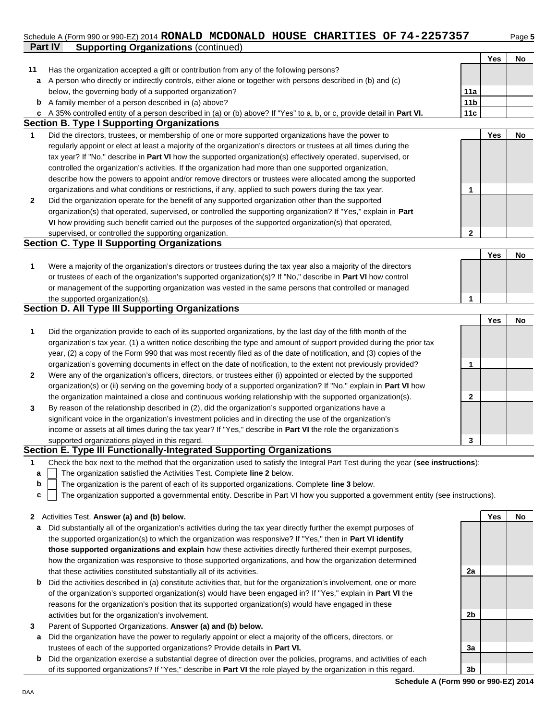| cuuc A U VIIII 330 VE 330 LATATI IN <b>UNALID IILDUNALID IIU UU LIIANILII LEDE OF TETAAJI JJI</b>                     |     | ay <del>o</del> , |
|-----------------------------------------------------------------------------------------------------------------------|-----|-------------------|
| art IV<br><b>Supporting Organizations (continued)</b>                                                                 |     |                   |
|                                                                                                                       | Yes | No                |
| Has the organization accepted a gift or contribution from any of the following persons?                               |     |                   |
| <b>a</b> A person who directly or indirectly controls, either alone or together with persons described in (b) and (c) |     |                   |
| 11a<br>below, the governing body of a supported organization?                                                         |     |                   |

**b** A family member of a person described in (a) above?

**c** A 35% controlled entity of a person described in (a) or (b) above? If "Yes" to a, b, or c, provide detail in **Part VI.**

### **Section B. Type I Supporting Organizations**

**Part IV Supporting Organizations** 

**11**

**2 1** organizations and what conditions or restrictions, if any, applied to such powers during the tax year. describe how the powers to appoint and/or remove directors or trustees were allocated among the supported controlled the organization's activities. If the organization had more than one supported organization, tax year? If "No," describe in **Part VI** how the supported organization(s) effectively operated, supervised, or regularly appoint or elect at least a majority of the organization's directors or trustees at all times during the Did the directors, trustees, or membership of one or more supported organizations have the power to Did the organization operate for the benefit of any supported organization other than the supported organization(s) that operated, supervised, or controlled the supporting organization? If "Yes," explain in **Part VI** how providing such benefit carried out the purposes of the supported organization(s) that operated, **1 Yes No**

### supervised, or controlled the supporting organization.

#### **Section C. Type II Supporting Organizations** Were a majority of the organization's directors or trustees during the tax year also a majority of the directors or trustees of each of the organization's supported organization(s)? If "No," describe in **Part VI** how control **1** or management of the supporting organization was vested in the same persons that controlled or managed the supported organization(s). Yes No **1**

### **Section D. All Type III Supporting Organizations**

|                |                                                                                                                       | Yes | No |
|----------------|-----------------------------------------------------------------------------------------------------------------------|-----|----|
| 1              | Did the organization provide to each of its supported organizations, by the last day of the fifth month of the        |     |    |
|                | organization's tax year, (1) a written notice describing the type and amount of support provided during the prior tax |     |    |
|                | year, (2) a copy of the Form 990 that was most recently filed as of the date of notification, and (3) copies of the   |     |    |
|                | organization's governing documents in effect on the date of notification, to the extent not previously provided?      |     |    |
| $\overline{2}$ | Were any of the organization's officers, directors, or trustees either (i) appointed or elected by the supported      |     |    |
|                | organization(s) or (ii) serving on the governing body of a supported organization? If "No," explain in Part VI how    |     |    |
|                | the organization maintained a close and continuous working relationship with the supported organization(s).           |     |    |
| 3              | By reason of the relationship described in (2), did the organization's supported organizations have a                 |     |    |
|                | significant voice in the organization's investment policies and in directing the use of the organization's            |     |    |
|                | income or assets at all times during the tax year? If "Yes," describe in Part VI the role the organization's          |     |    |
|                | supported organizations played in this regard.<br>3                                                                   |     |    |

### **Section E. Type III Functionally-Integrated Supporting Organizations**

- **1** Check the box next to the method that the organization used to satisfy the Integral Part Test during the year (**see instructions**):
	- The organization satisfied the Activities Test. Complete **line 2** below. **a**
	- The organization is the parent of each of its supported organizations. Complete **line 3** below. **b**
	- The organization supported a governmental entity. Describe in Part VI how you supported a government entity (see instructions). **c**

#### **2** Activities Test. **Answer (a) and (b) below.**

- **a** Did substantially all of the organization's activities during the tax year directly further the exempt purposes of the supported organization(s) to which the organization was responsive? If "Yes," then in **Part VI identify those supported organizations and explain** how these activities directly furthered their exempt purposes, how the organization was responsive to those supported organizations, and how the organization determined that these activities constituted substantially all of its activities.
- **b** Did the activities described in (a) constitute activities that, but for the organization's involvement, one or more of the organization's supported organization(s) would have been engaged in? If "Yes," explain in **Part VI** the reasons for the organization's position that its supported organization(s) would have engaged in these activities but for the organization's involvement.
- **3** Parent of Supported Organizations. **Answer (a) and (b) below.**
- **a** Did the organization have the power to regularly appoint or elect a majority of the officers, directors, or trustees of each of the supported organizations? Provide details in **Part VI.**
- **b** Did the organization exercise a substantial degree of direction over the policies, programs, and activities of each of its supported organizations? If "Yes," describe in **Part VI** the role played by the organization in this regard.



**Schedule A (Form 990 or 990-EZ) 2014**

**11b 11c**

**2**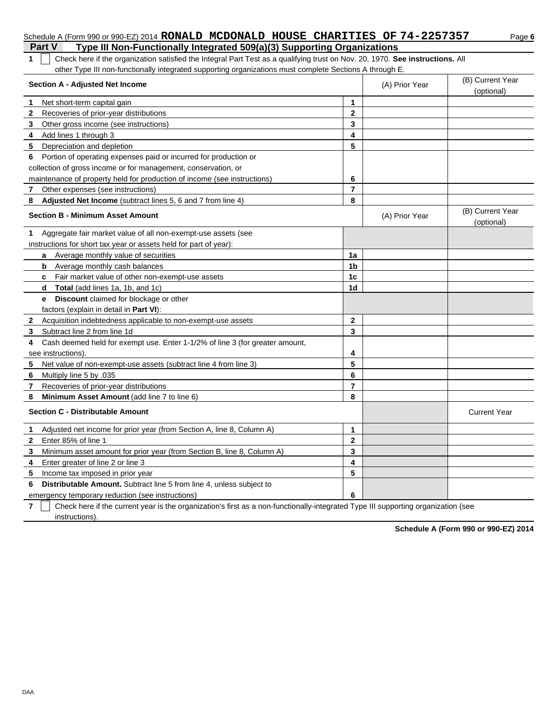### **Part V Type III Non-Functionally Integrated 509(a)(3) Supporting Organizations**

**1** Check here if the organization satisfied the Integral Part Test as a qualifying trust on Nov. 20, 1970. **See instructions.** All other Type III non-functionally integrated supporting organizations must complete Sections A through E.

| <b>Section A - Adjusted Net Income</b>                                               | (A) Prior Year | (B) Current Year<br>(optional) |                                |
|--------------------------------------------------------------------------------------|----------------|--------------------------------|--------------------------------|
| Net short-term capital gain<br>1.                                                    | 1              |                                |                                |
| $\mathbf{2}$<br>Recoveries of prior-year distributions                               | $\overline{2}$ |                                |                                |
| 3<br>Other gross income (see instructions)                                           | 3              |                                |                                |
| Add lines 1 through 3<br>4                                                           | 4              |                                |                                |
| 5.<br>Depreciation and depletion                                                     | 5              |                                |                                |
| 6 Portion of operating expenses paid or incurred for production or                   |                |                                |                                |
| collection of gross income or for management, conservation, or                       |                |                                |                                |
| maintenance of property held for production of income (see instructions)             | 6              |                                |                                |
| Other expenses (see instructions)<br>7                                               | $\overline{7}$ |                                |                                |
| 8<br>Adjusted Net Income (subtract lines 5, 6 and 7 from line 4)                     | 8              |                                |                                |
| <b>Section B - Minimum Asset Amount</b>                                              |                | (A) Prior Year                 | (B) Current Year<br>(optional) |
| Aggregate fair market value of all non-exempt-use assets (see<br>1                   |                |                                |                                |
| instructions for short tax year or assets held for part of year):                    |                |                                |                                |
| a Average monthly value of securities                                                | 1a             |                                |                                |
| Average monthly cash balances<br>b                                                   | 1b             |                                |                                |
| c Fair market value of other non-exempt-use assets                                   | 1c             |                                |                                |
| Total (add lines 1a, 1b, and 1c)<br>d                                                | 1d             |                                |                                |
| Discount claimed for blockage or other<br>е                                          |                |                                |                                |
| factors (explain in detail in Part VI):                                              |                |                                |                                |
| Acquisition indebtedness applicable to non-exempt-use assets<br>2                    | 2              |                                |                                |
| Subtract line 2 from line 1d<br>3                                                    | 3              |                                |                                |
| Cash deemed held for exempt use. Enter 1-1/2% of line 3 (for greater amount,<br>4    |                |                                |                                |
| see instructions)                                                                    | 4              |                                |                                |
| 5<br>Net value of non-exempt-use assets (subtract line 4 from line 3)                | 5              |                                |                                |
| Multiply line 5 by .035<br>6                                                         | 6              |                                |                                |
| Recoveries of prior-year distributions<br>$\mathbf{7}$                               | $\overline{7}$ |                                |                                |
| Minimum Asset Amount (add line 7 to line 6)<br>8                                     | 8              |                                |                                |
| <b>Section C - Distributable Amount</b>                                              |                |                                | <b>Current Year</b>            |
| Adjusted net income for prior year (from Section A, line 8, Column A)<br>$\mathbf 1$ | 1              |                                |                                |
| Enter 85% of line 1<br>$\mathbf{2}$                                                  | $\mathbf 2$    |                                |                                |
| Minimum asset amount for prior year (from Section B, line 8, Column A)<br>3          | 3              |                                |                                |
| Enter greater of line 2 or line 3<br>4                                               | 4              |                                |                                |
| Income tax imposed in prior year<br>5.                                               | 5              |                                |                                |
| Distributable Amount. Subtract line 5 from line 4, unless subject to<br>6            |                |                                |                                |
| emergency temporary reduction (see instructions)                                     | 6              |                                |                                |

**7**  $\Box$  Check here if the current year is the organization's first as a non-functionally-integrated Type III supporting organization (see instructions).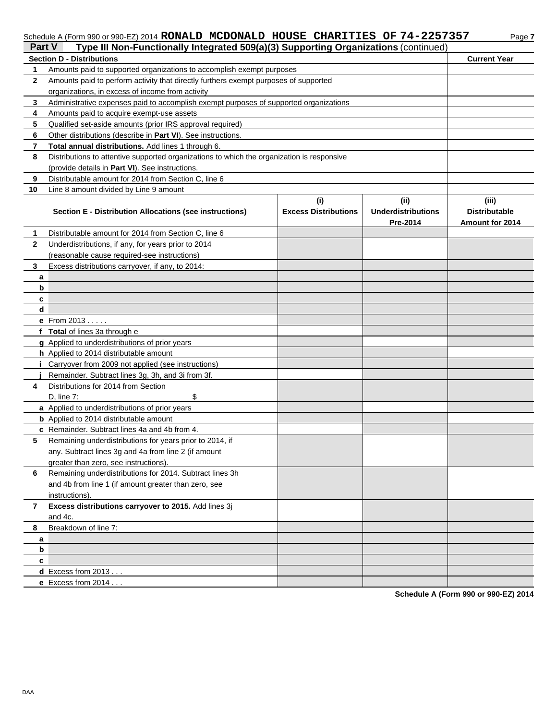| Part V<br>Type III Non-Functionally Integrated 509(a)(3) Supporting Organizations (continued) |                                                                                            |                                    |                                               |                                                         |  |  |
|-----------------------------------------------------------------------------------------------|--------------------------------------------------------------------------------------------|------------------------------------|-----------------------------------------------|---------------------------------------------------------|--|--|
|                                                                                               | <b>Section D - Distributions</b>                                                           |                                    |                                               |                                                         |  |  |
| 1                                                                                             | Amounts paid to supported organizations to accomplish exempt purposes                      |                                    |                                               |                                                         |  |  |
| $\mathbf{2}$                                                                                  | Amounts paid to perform activity that directly furthers exempt purposes of supported       |                                    |                                               |                                                         |  |  |
|                                                                                               | organizations, in excess of income from activity                                           |                                    |                                               |                                                         |  |  |
| 3                                                                                             | Administrative expenses paid to accomplish exempt purposes of supported organizations      |                                    |                                               |                                                         |  |  |
| 4                                                                                             | Amounts paid to acquire exempt-use assets                                                  |                                    |                                               |                                                         |  |  |
| 5                                                                                             | Qualified set-aside amounts (prior IRS approval required)                                  |                                    |                                               |                                                         |  |  |
| 6                                                                                             | Other distributions (describe in Part VI). See instructions.                               |                                    |                                               |                                                         |  |  |
| 7                                                                                             | Total annual distributions. Add lines 1 through 6.                                         |                                    |                                               |                                                         |  |  |
| 8                                                                                             | Distributions to attentive supported organizations to which the organization is responsive |                                    |                                               |                                                         |  |  |
|                                                                                               | (provide details in Part VI). See instructions.                                            |                                    |                                               |                                                         |  |  |
| 9                                                                                             | Distributable amount for 2014 from Section C, line 6                                       |                                    |                                               |                                                         |  |  |
| 10                                                                                            | Line 8 amount divided by Line 9 amount                                                     |                                    |                                               |                                                         |  |  |
|                                                                                               | Section E - Distribution Allocations (see instructions)                                    | (i)<br><b>Excess Distributions</b> | (ii)<br><b>Underdistributions</b><br>Pre-2014 | (iii)<br><b>Distributable</b><br><b>Amount for 2014</b> |  |  |
| 1.                                                                                            | Distributable amount for 2014 from Section C, line 6                                       |                                    |                                               |                                                         |  |  |
| $\mathbf{2}$                                                                                  | Underdistributions, if any, for years prior to 2014                                        |                                    |                                               |                                                         |  |  |
|                                                                                               | (reasonable cause required-see instructions)                                               |                                    |                                               |                                                         |  |  |
| 3                                                                                             | Excess distributions carryover, if any, to 2014:                                           |                                    |                                               |                                                         |  |  |
| a                                                                                             |                                                                                            |                                    |                                               |                                                         |  |  |
| b                                                                                             |                                                                                            |                                    |                                               |                                                         |  |  |
| c                                                                                             |                                                                                            |                                    |                                               |                                                         |  |  |
| d                                                                                             |                                                                                            |                                    |                                               |                                                         |  |  |
|                                                                                               | e From 2013                                                                                |                                    |                                               |                                                         |  |  |
|                                                                                               | f Total of lines 3a through e                                                              |                                    |                                               |                                                         |  |  |
|                                                                                               | g Applied to underdistributions of prior years                                             |                                    |                                               |                                                         |  |  |
|                                                                                               | <b>h</b> Applied to 2014 distributable amount                                              |                                    |                                               |                                                         |  |  |
|                                                                                               | Carryover from 2009 not applied (see instructions)                                         |                                    |                                               |                                                         |  |  |
|                                                                                               | Remainder. Subtract lines 3g, 3h, and 3i from 3f.                                          |                                    |                                               |                                                         |  |  |
| 4                                                                                             | Distributions for 2014 from Section                                                        |                                    |                                               |                                                         |  |  |
|                                                                                               | D, line 7:<br>\$                                                                           |                                    |                                               |                                                         |  |  |
|                                                                                               | a Applied to underdistributions of prior years                                             |                                    |                                               |                                                         |  |  |
|                                                                                               | <b>b</b> Applied to 2014 distributable amount                                              |                                    |                                               |                                                         |  |  |
|                                                                                               | c Remainder. Subtract lines 4a and 4b from 4.                                              |                                    |                                               |                                                         |  |  |
| 5                                                                                             | Remaining underdistributions for years prior to 2014, if                                   |                                    |                                               |                                                         |  |  |
|                                                                                               | any. Subtract lines 3g and 4a from line 2 (if amount                                       |                                    |                                               |                                                         |  |  |
|                                                                                               | greater than zero, see instructions)                                                       |                                    |                                               |                                                         |  |  |
| 6                                                                                             | Remaining underdistributions for 2014. Subtract lines 3h                                   |                                    |                                               |                                                         |  |  |
|                                                                                               | and 4b from line 1 (if amount greater than zero, see                                       |                                    |                                               |                                                         |  |  |
|                                                                                               | instructions).                                                                             |                                    |                                               |                                                         |  |  |
| 7                                                                                             | Excess distributions carryover to 2015. Add lines 3j<br>and 4c.                            |                                    |                                               |                                                         |  |  |
| 8                                                                                             | Breakdown of line 7:                                                                       |                                    |                                               |                                                         |  |  |
| a                                                                                             |                                                                                            |                                    |                                               |                                                         |  |  |
| b                                                                                             |                                                                                            |                                    |                                               |                                                         |  |  |
| C                                                                                             |                                                                                            |                                    |                                               |                                                         |  |  |
|                                                                                               | $d$ Excess from 2013                                                                       |                                    |                                               |                                                         |  |  |
|                                                                                               | e Excess from 2014                                                                         |                                    |                                               |                                                         |  |  |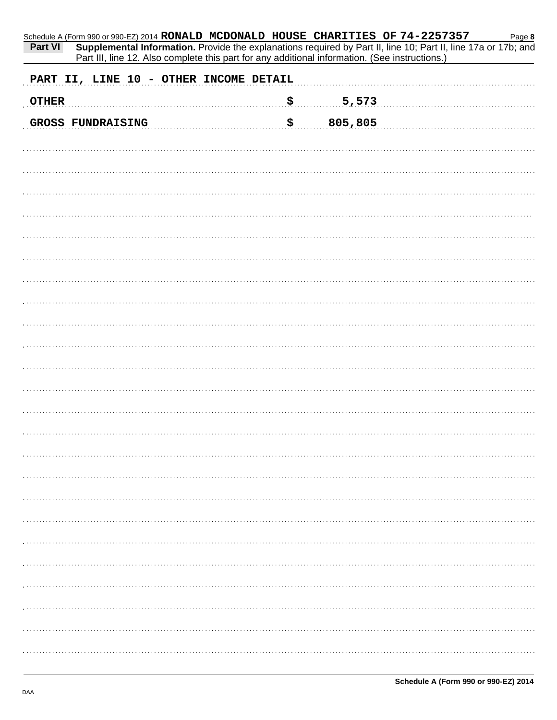| Schedule A (Form 990 or 990-EZ) 2014 RONALD MCDONALD HOUSE CHARITIES OF 74-2257357<br>Page 8                              |  |
|---------------------------------------------------------------------------------------------------------------------------|--|
| Supplemental Information. Provide the explanations required by Part II, line 10; Part II, line 17a or 17b; and<br>Part VI |  |
| Part III, line 12. Also complete this part for any additional information. (See instructions.)                            |  |
| PART II, LINE 10 - OTHER INCOME DETAIL                                                                                    |  |
| $\boldsymbol{\mathsf{S}}$ .<br><b>OTHER</b><br>5,573                                                                      |  |
| $\boldsymbol{\mathsf{S}}$<br>805,805<br><b>GROSS FUNDRAISING</b>                                                          |  |
|                                                                                                                           |  |
|                                                                                                                           |  |
|                                                                                                                           |  |
|                                                                                                                           |  |
|                                                                                                                           |  |
|                                                                                                                           |  |
|                                                                                                                           |  |
|                                                                                                                           |  |
|                                                                                                                           |  |
|                                                                                                                           |  |
|                                                                                                                           |  |
|                                                                                                                           |  |
|                                                                                                                           |  |
|                                                                                                                           |  |
|                                                                                                                           |  |
|                                                                                                                           |  |
|                                                                                                                           |  |
|                                                                                                                           |  |
|                                                                                                                           |  |
|                                                                                                                           |  |
|                                                                                                                           |  |
|                                                                                                                           |  |
|                                                                                                                           |  |
|                                                                                                                           |  |
|                                                                                                                           |  |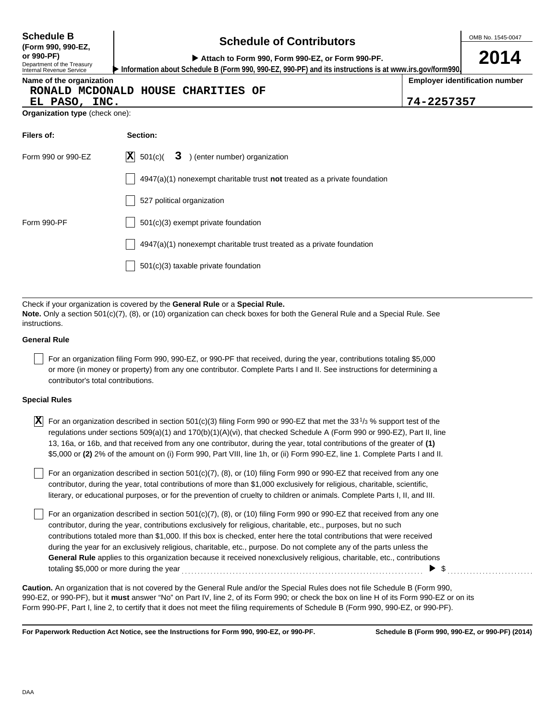| <b>Schedule B</b><br>(Form 990, 990-EZ,<br>or 990-PF)<br>Department of the Treasury<br>Internal Revenue Service                                                                                                              | <b>Schedule of Contributors</b><br>Attach to Form 990, Form 990-EZ, or Form 990-PF.<br>Information about Schedule B (Form 990, 990-EZ, 990-PF) and its instructions is at www.irs.gov/form990. |            | OMB No. 1545-0047<br>2014             |  |  |
|------------------------------------------------------------------------------------------------------------------------------------------------------------------------------------------------------------------------------|------------------------------------------------------------------------------------------------------------------------------------------------------------------------------------------------|------------|---------------------------------------|--|--|
| Name of the organization<br>EL PASO, INC.                                                                                                                                                                                    | RONALD MCDONALD HOUSE CHARITIES OF                                                                                                                                                             | 74-2257357 | <b>Employer identification number</b> |  |  |
| Organization type (check one):                                                                                                                                                                                               |                                                                                                                                                                                                |            |                                       |  |  |
| Filers of:                                                                                                                                                                                                                   | Section:                                                                                                                                                                                       |            |                                       |  |  |
| Form 990 or 990-EZ                                                                                                                                                                                                           | $ \mathbf{x} $<br>) (enter number) organization<br>501(c)(<br>3                                                                                                                                |            |                                       |  |  |
|                                                                                                                                                                                                                              | $4947(a)(1)$ nonexempt charitable trust not treated as a private foundation                                                                                                                    |            |                                       |  |  |
|                                                                                                                                                                                                                              | 527 political organization                                                                                                                                                                     |            |                                       |  |  |
| Form 990-PF                                                                                                                                                                                                                  | $501(c)(3)$ exempt private foundation                                                                                                                                                          |            |                                       |  |  |
|                                                                                                                                                                                                                              | 4947(a)(1) nonexempt charitable trust treated as a private foundation                                                                                                                          |            |                                       |  |  |
|                                                                                                                                                                                                                              | 501(c)(3) taxable private foundation                                                                                                                                                           |            |                                       |  |  |
|                                                                                                                                                                                                                              |                                                                                                                                                                                                |            |                                       |  |  |
| Check if your organization is covered by the General Rule or a Special Rule.<br>Note. Only a section 501(c)(7), (8), or (10) organization can check boxes for both the General Rule and a Special Rule. See<br>instructions. |                                                                                                                                                                                                |            |                                       |  |  |
| <b>General Rule</b>                                                                                                                                                                                                          |                                                                                                                                                                                                |            |                                       |  |  |

For an organization filing Form 990, 990-EZ, or 990-PF that received, during the year, contributions totaling \$5,000 or more (in money or property) from any one contributor. Complete Parts I and II. See instructions for determining a contributor's total contributions.

### **Special Rules**

| $ X $ For an organization described in section 501(c)(3) filing Form 990 or 990-EZ that met the 33 <sup>1</sup> / <sub>3</sub> % support test of the |
|------------------------------------------------------------------------------------------------------------------------------------------------------|
| regulations under sections $509(a)(1)$ and $170(b)(1)(A)(vi)$ , that checked Schedule A (Form 990 or 990-EZ), Part II, line                          |
| 13, 16a, or 16b, and that received from any one contributor, during the year, total contributions of the greater of (1)                              |
| \$5,000 or (2) 2% of the amount on (i) Form 990, Part VIII, line 1h, or (ii) Form 990-EZ, line 1. Complete Parts I and II.                           |

literary, or educational purposes, or for the prevention of cruelty to children or animals. Complete Parts I, II, and III. For an organization described in section 501(c)(7), (8), or (10) filing Form 990 or 990-EZ that received from any one contributor, during the year, total contributions of more than \$1,000 exclusively for religious, charitable, scientific,

For an organization described in section  $501(c)(7)$ ,  $(8)$ , or  $(10)$  filing Form 990 or 990-EZ that received from any one contributor, during the year, contributions exclusively for religious, charitable, etc., purposes, but no such contributions totaled more than \$1,000. If this box is checked, enter here the total contributions that were received during the year for an exclusively religious, charitable, etc., purpose. Do not complete any of the parts unless the **General Rule** applies to this organization because it received nonexclusively religious, charitable, etc., contributions totaling \$5,000 or more during the year . . . . . . . . . . . . . . . . . . . . . . . . . . . . . . . . . . . . . . . . . . . . . . . . . . . . . . . . . . . . . . . . . . . . . . . . . . . . \$ . . . . . . . . . . . . . . . . . . . . . . . . . . .

990-EZ, or 990-PF), but it **must** answer "No" on Part IV, line 2, of its Form 990; or check the box on line H of its Form 990-EZ or on its Form 990-PF, Part I, line 2, to certify that it does not meet the filing requirements of Schedule B (Form 990, 990-EZ, or 990-PF). **Caution.** An organization that is not covered by the General Rule and/or the Special Rules does not file Schedule B (Form 990,

**For Paperwork Reduction Act Notice, see the Instructions for Form 990, 990-EZ, or 990-PF.**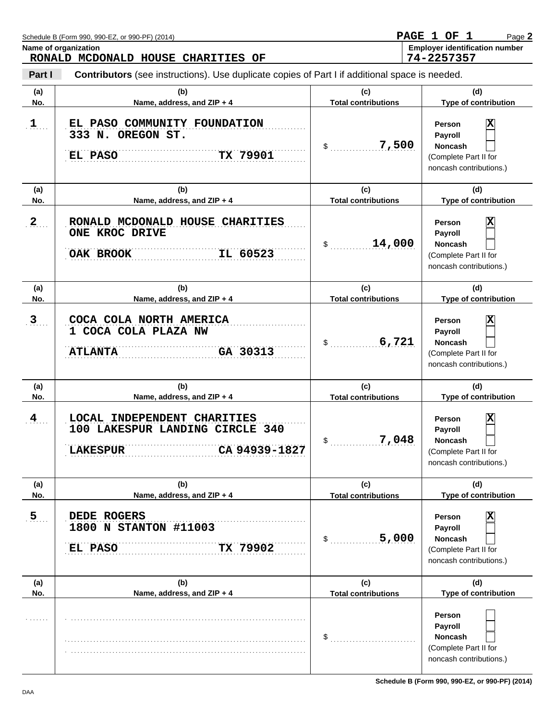|                 | Schedule B (Form 990, 990-EZ, or 990-PF) (2014)<br>Name of organization<br>RONALD MCDONALD HOUSE CHARITIES OF | PAGE 1 OF 1<br>Page 2<br><b>Employer identification number</b><br>74-2257357 |                                                                                                                    |  |
|-----------------|---------------------------------------------------------------------------------------------------------------|------------------------------------------------------------------------------|--------------------------------------------------------------------------------------------------------------------|--|
| Part I          | <b>Contributors</b> (see instructions). Use duplicate copies of Part I if additional space is needed.         |                                                                              |                                                                                                                    |  |
| (a)<br>No.      | (b)<br>Name, address, and ZIP + 4                                                                             | (c)<br><b>Total contributions</b>                                            | (d)<br>Type of contribution                                                                                        |  |
| 1               | EL PASO COMMUNITY FOUNDATION<br>333 N. OREGON ST.<br>TX 79901<br>EL PASO                                      | 7,500<br>\$                                                                  | X<br>Person<br>Payroll<br><b>Noncash</b><br>(Complete Part II for<br>noncash contributions.)                       |  |
| (a)<br>No.      | (b)<br>Name, address, and ZIP + 4                                                                             | (c)<br><b>Total contributions</b>                                            | (d)<br>Type of contribution                                                                                        |  |
| $\overline{2}$  | RONALD MCDONALD HOUSE CHARITIES<br>ONE KROC DRIVE<br>IL 60523<br>OAK BROOK                                    | 14,000<br>\$                                                                 | X<br>Person<br>Payroll<br><b>Noncash</b><br>(Complete Part II for<br>noncash contributions.)                       |  |
| (a)<br>No.      | (b)<br>Name, address, and ZIP + 4                                                                             | (c)<br><b>Total contributions</b>                                            | (d)<br>Type of contribution                                                                                        |  |
| $\overline{3}$  | COCA COLA NORTH AMERICA<br>1 COCA COLA PLAZA NW<br>GA 30313<br><b>ATLANTA</b>                                 | 6,721<br>\$                                                                  | $\overline{\textbf{x}}$<br>Person<br>Payroll<br><b>Noncash</b><br>(Complete Part II for<br>noncash contributions.) |  |
| (a)<br>No.      | (b)<br>Name, address, and ZIP + 4                                                                             | (c)<br><b>Total contributions</b>                                            | (d)<br>Type of contribution                                                                                        |  |
| $\frac{4}{\pi}$ | LOCAL INDEPENDENT CHARITIES<br>100 LAKESPUR LANDING CIRCLE 340<br>CA 94939-1827<br><b>LAKESPUR</b>            | 7,048<br>\$                                                                  | $\overline{\textbf{x}}$<br>Person<br><b>Payroll</b><br>Noncash<br>(Complete Part II for<br>noncash contributions.) |  |
| (a)<br>No.      | (b)<br>Name, address, and ZIP + 4                                                                             | (c)<br><b>Total contributions</b>                                            | (d)<br>Type of contribution                                                                                        |  |
| $\overline{5}$  | DEDE ROGERS<br>1800 N STANTON #11003<br>TX 79902<br>EL PASO                                                   | 5,000<br>\$                                                                  | x<br>Person<br>Payroll<br><b>Noncash</b><br>(Complete Part II for<br>noncash contributions.)                       |  |
| (a)<br>No.      | (b)<br>Name, address, and ZIP + 4                                                                             | (c)<br><b>Total contributions</b>                                            | (d)<br>Type of contribution                                                                                        |  |
|                 |                                                                                                               | \$                                                                           | Person<br>Payroll<br><b>Noncash</b><br>(Complete Part II for<br>noncash contributions.)                            |  |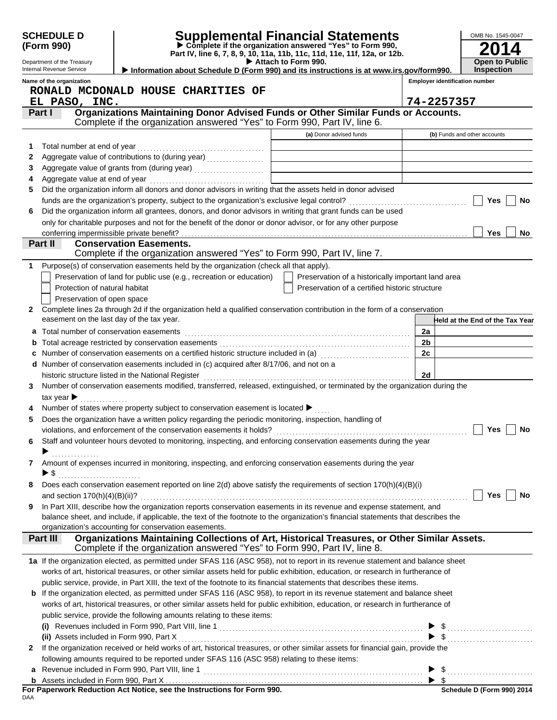|              | <b>SCHEDULE D</b><br>(Form 990)                                                                                                                                                                                          |                                                                                                                                   | <b>Supplemental Financial Statements</b><br>Complete if the organization answered "Yes" to Form 990,<br>Part IV, line 6, 7, 8, 9, 10, 11a, 11b, 11c, 11d, 11e, 11f, 12a, or 12b. | OMB No. 1545-0047                     |                                 |  |
|--------------|--------------------------------------------------------------------------------------------------------------------------------------------------------------------------------------------------------------------------|-----------------------------------------------------------------------------------------------------------------------------------|----------------------------------------------------------------------------------------------------------------------------------------------------------------------------------|---------------------------------------|---------------------------------|--|
|              | Department of the Treasury                                                                                                                                                                                               |                                                                                                                                   | Attach to Form 990.                                                                                                                                                              |                                       | <b>Open to Public</b>           |  |
|              | Internal Revenue Service                                                                                                                                                                                                 | Information about Schedule D (Form 990) and its instructions is at www.irs.gov/form990.                                           |                                                                                                                                                                                  |                                       | <b>Inspection</b>               |  |
|              | Name of the organization                                                                                                                                                                                                 |                                                                                                                                   |                                                                                                                                                                                  | <b>Employer identification number</b> |                                 |  |
|              |                                                                                                                                                                                                                          | RONALD MCDONALD HOUSE CHARITIES OF                                                                                                |                                                                                                                                                                                  |                                       |                                 |  |
|              | EL PASO, INC.                                                                                                                                                                                                            | Organizations Maintaining Donor Advised Funds or Other Similar Funds or Accounts.                                                 |                                                                                                                                                                                  | 74-2257357                            |                                 |  |
|              | Part I                                                                                                                                                                                                                   | Complete if the organization answered "Yes" to Form 990, Part IV, line 6.                                                         |                                                                                                                                                                                  |                                       |                                 |  |
|              |                                                                                                                                                                                                                          |                                                                                                                                   |                                                                                                                                                                                  |                                       |                                 |  |
|              |                                                                                                                                                                                                                          |                                                                                                                                   | (a) Donor advised funds                                                                                                                                                          |                                       | (b) Funds and other accounts    |  |
| 1            | Total number at end of year                                                                                                                                                                                              |                                                                                                                                   |                                                                                                                                                                                  |                                       |                                 |  |
| 2            |                                                                                                                                                                                                                          |                                                                                                                                   |                                                                                                                                                                                  |                                       |                                 |  |
| 3            |                                                                                                                                                                                                                          | Aggregate value of grants from (during year)                                                                                      | <u> 1980 - Johann Barnett, fransk politik (</u>                                                                                                                                  |                                       |                                 |  |
| 4            |                                                                                                                                                                                                                          |                                                                                                                                   |                                                                                                                                                                                  |                                       |                                 |  |
| 5            |                                                                                                                                                                                                                          | Did the organization inform all donors and donor advisors in writing that the assets held in donor advised                        |                                                                                                                                                                                  |                                       |                                 |  |
|              |                                                                                                                                                                                                                          |                                                                                                                                   |                                                                                                                                                                                  |                                       | Yes<br>No                       |  |
| 6            |                                                                                                                                                                                                                          | Did the organization inform all grantees, donors, and donor advisors in writing that grant funds can be used                      |                                                                                                                                                                                  |                                       |                                 |  |
|              |                                                                                                                                                                                                                          | only for charitable purposes and not for the benefit of the donor or donor advisor, or for any other purpose                      |                                                                                                                                                                                  |                                       |                                 |  |
|              |                                                                                                                                                                                                                          |                                                                                                                                   |                                                                                                                                                                                  |                                       | <b>Yes</b><br><b>No</b>         |  |
|              | Part II                                                                                                                                                                                                                  | <b>Conservation Easements.</b>                                                                                                    |                                                                                                                                                                                  |                                       |                                 |  |
|              |                                                                                                                                                                                                                          | Complete if the organization answered "Yes" to Form 990, Part IV, line 7.                                                         |                                                                                                                                                                                  |                                       |                                 |  |
| 1            |                                                                                                                                                                                                                          | Purpose(s) of conservation easements held by the organization (check all that apply).                                             |                                                                                                                                                                                  |                                       |                                 |  |
|              |                                                                                                                                                                                                                          | Preservation of land for public use (e.g., recreation or education)                                                               | Preservation of a historically important land area                                                                                                                               |                                       |                                 |  |
|              | Protection of natural habitat                                                                                                                                                                                            |                                                                                                                                   | Preservation of a certified historic structure                                                                                                                                   |                                       |                                 |  |
|              | Preservation of open space                                                                                                                                                                                               |                                                                                                                                   |                                                                                                                                                                                  |                                       |                                 |  |
| $\mathbf{2}$ |                                                                                                                                                                                                                          | Complete lines 2a through 2d if the organization held a qualified conservation contribution in the form of a conservation         |                                                                                                                                                                                  |                                       |                                 |  |
|              | easement on the last day of the tax year.                                                                                                                                                                                |                                                                                                                                   |                                                                                                                                                                                  |                                       | Held at the End of the Tax Year |  |
|              |                                                                                                                                                                                                                          |                                                                                                                                   |                                                                                                                                                                                  | 2a                                    |                                 |  |
| b            |                                                                                                                                                                                                                          |                                                                                                                                   |                                                                                                                                                                                  | 2 <sub>b</sub>                        |                                 |  |
|              |                                                                                                                                                                                                                          | c Number of conservation easements on a certified historic structure included in (a) [11] Number of conservation                  |                                                                                                                                                                                  | 2c                                    |                                 |  |
|              |                                                                                                                                                                                                                          | d Number of conservation easements included in (c) acquired after 8/17/06, and not on a                                           |                                                                                                                                                                                  |                                       |                                 |  |
|              |                                                                                                                                                                                                                          |                                                                                                                                   |                                                                                                                                                                                  | 2d                                    |                                 |  |
| 3            |                                                                                                                                                                                                                          | Number of conservation easements modified, transferred, released, extinguished, or terminated by the organization during the      |                                                                                                                                                                                  |                                       |                                 |  |
|              | tax year $\blacktriangleright$                                                                                                                                                                                           |                                                                                                                                   |                                                                                                                                                                                  |                                       |                                 |  |
|              |                                                                                                                                                                                                                          | Number of states where property subject to conservation easement is located ▶                                                     |                                                                                                                                                                                  |                                       |                                 |  |
| 5            |                                                                                                                                                                                                                          | Does the organization have a written policy regarding the periodic monitoring, inspection, handling of                            |                                                                                                                                                                                  |                                       |                                 |  |
|              |                                                                                                                                                                                                                          | violations, and enforcement of the conservation easements it holds?                                                               |                                                                                                                                                                                  |                                       | Yes<br><b>No</b>                |  |
| 6            |                                                                                                                                                                                                                          | Staff and volunteer hours devoted to monitoring, inspecting, and enforcing conservation easements during the year                 |                                                                                                                                                                                  |                                       |                                 |  |
|              |                                                                                                                                                                                                                          |                                                                                                                                   |                                                                                                                                                                                  |                                       |                                 |  |
| 7            |                                                                                                                                                                                                                          | Amount of expenses incurred in monitoring, inspecting, and enforcing conservation easements during the year                       |                                                                                                                                                                                  |                                       |                                 |  |
|              | $\triangleright$ \$                                                                                                                                                                                                      |                                                                                                                                   |                                                                                                                                                                                  |                                       |                                 |  |
| 8            |                                                                                                                                                                                                                          | Does each conservation easement reported on line $2(d)$ above satisfy the requirements of section $170(h)(4)(B)(i)$               |                                                                                                                                                                                  |                                       |                                 |  |
|              |                                                                                                                                                                                                                          |                                                                                                                                   |                                                                                                                                                                                  |                                       | Yes<br>No                       |  |
| 9            |                                                                                                                                                                                                                          | In Part XIII, describe how the organization reports conservation easements in its revenue and expense statement, and              |                                                                                                                                                                                  |                                       |                                 |  |
|              |                                                                                                                                                                                                                          | balance sheet, and include, if applicable, the text of the footnote to the organization's financial statements that describes the |                                                                                                                                                                                  |                                       |                                 |  |
|              |                                                                                                                                                                                                                          | organization's accounting for conservation easements.                                                                             |                                                                                                                                                                                  |                                       |                                 |  |
|              | Part III                                                                                                                                                                                                                 | Organizations Maintaining Collections of Art, Historical Treasures, or Other Similar Assets.                                      |                                                                                                                                                                                  |                                       |                                 |  |
|              |                                                                                                                                                                                                                          | Complete if the organization answered "Yes" to Form 990, Part IV, line 8.                                                         |                                                                                                                                                                                  |                                       |                                 |  |
|              |                                                                                                                                                                                                                          | 1a If the organization elected, as permitted under SFAS 116 (ASC 958), not to report in its revenue statement and balance sheet   |                                                                                                                                                                                  |                                       |                                 |  |
|              |                                                                                                                                                                                                                          | works of art, historical treasures, or other similar assets held for public exhibition, education, or research in furtherance of  |                                                                                                                                                                                  |                                       |                                 |  |
|              |                                                                                                                                                                                                                          | public service, provide, in Part XIII, the text of the footnote to its financial statements that describes these items.           |                                                                                                                                                                                  |                                       |                                 |  |
|              |                                                                                                                                                                                                                          | <b>b</b> If the organization elected, as permitted under SFAS 116 (ASC 958), to report in its revenue statement and balance sheet |                                                                                                                                                                                  |                                       |                                 |  |
|              |                                                                                                                                                                                                                          |                                                                                                                                   |                                                                                                                                                                                  |                                       |                                 |  |
|              | works of art, historical treasures, or other similar assets held for public exhibition, education, or research in furtherance of                                                                                         |                                                                                                                                   |                                                                                                                                                                                  |                                       |                                 |  |
|              | public service, provide the following amounts relating to these items:<br>(i) Revenues included in Form 990, Part VIII, line 1 $\ldots$ $\ldots$ $\ldots$ $\ldots$ $\ldots$ $\ldots$ $\ldots$ $\ldots$ $\ldots$ $\ldots$ |                                                                                                                                   |                                                                                                                                                                                  |                                       |                                 |  |
|              |                                                                                                                                                                                                                          |                                                                                                                                   |                                                                                                                                                                                  |                                       |                                 |  |
|              |                                                                                                                                                                                                                          |                                                                                                                                   |                                                                                                                                                                                  |                                       | $\blacktriangleright$ \$        |  |
| 2            | If the organization received or held works of art, historical treasures, or other similar assets for financial gain, provide the                                                                                         |                                                                                                                                   |                                                                                                                                                                                  |                                       |                                 |  |
|              |                                                                                                                                                                                                                          | following amounts required to be reported under SFAS 116 (ASC 958) relating to these items:                                       |                                                                                                                                                                                  |                                       |                                 |  |
|              |                                                                                                                                                                                                                          |                                                                                                                                   |                                                                                                                                                                                  |                                       |                                 |  |
|              |                                                                                                                                                                                                                          |                                                                                                                                   |                                                                                                                                                                                  |                                       |                                 |  |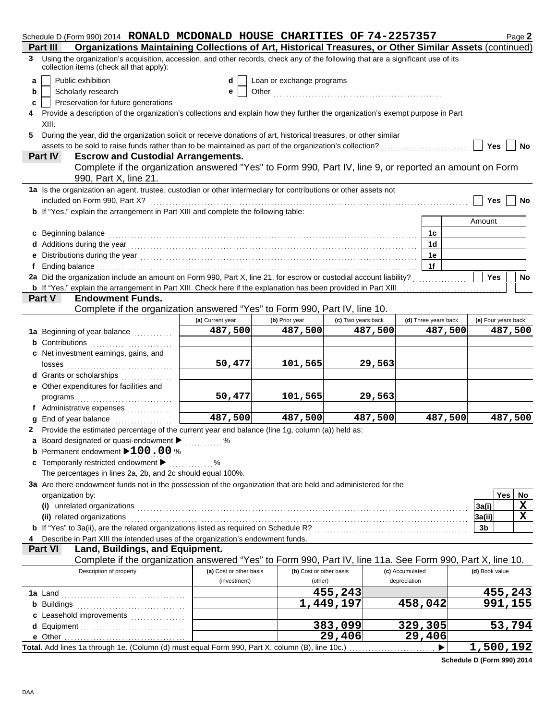|    | Schedule D (Form 990) 2014 RONALD MCDONALD HOUSE CHARITIES OF 74-2257357                                                                                                                                                       |                         |                           |                                                                                                                                                                                                                                  |                                 | Page 2              |
|----|--------------------------------------------------------------------------------------------------------------------------------------------------------------------------------------------------------------------------------|-------------------------|---------------------------|----------------------------------------------------------------------------------------------------------------------------------------------------------------------------------------------------------------------------------|---------------------------------|---------------------|
|    | Organizations Maintaining Collections of Art, Historical Treasures, or Other Similar Assets (continued)<br>Part III                                                                                                            |                         |                           |                                                                                                                                                                                                                                  |                                 |                     |
| 3  | Using the organization's acquisition, accession, and other records, check any of the following that are a significant use of its<br>collection items (check all that apply):                                                   |                         |                           |                                                                                                                                                                                                                                  |                                 |                     |
| a  | Public exhibition                                                                                                                                                                                                              | d                       | Loan or exchange programs |                                                                                                                                                                                                                                  |                                 |                     |
| b  | Scholarly research                                                                                                                                                                                                             | е                       |                           | Other <b>Other 1986 Contained Allen Burnetts and Allen Burnetts and Allen Burnetts and Allen Burnetts and Allen Burnetts and Allen Burnetts and Allen Burnetts and Allen Burnetts and Allen Burnetts and Allen Burnetts and </b> |                                 |                     |
| c  | Preservation for future generations                                                                                                                                                                                            |                         |                           |                                                                                                                                                                                                                                  |                                 |                     |
|    | Provide a description of the organization's collections and explain how they further the organization's exempt purpose in Part                                                                                                 |                         |                           |                                                                                                                                                                                                                                  |                                 |                     |
|    | XIII.                                                                                                                                                                                                                          |                         |                           |                                                                                                                                                                                                                                  |                                 |                     |
| 5. | During the year, did the organization solicit or receive donations of art, historical treasures, or other similar                                                                                                              |                         |                           |                                                                                                                                                                                                                                  |                                 |                     |
|    | assets to be sold to raise funds rather than to be maintained as part of the organization's collection?                                                                                                                        |                         |                           |                                                                                                                                                                                                                                  |                                 | Yes<br>No           |
|    | <b>Part IV</b><br><b>Escrow and Custodial Arrangements.</b>                                                                                                                                                                    |                         |                           |                                                                                                                                                                                                                                  |                                 |                     |
|    | Complete if the organization answered "Yes" to Form 990, Part IV, line 9, or reported an amount on Form<br>990, Part X, line 21.                                                                                               |                         |                           |                                                                                                                                                                                                                                  |                                 |                     |
|    | 1a Is the organization an agent, trustee, custodian or other intermediary for contributions or other assets not                                                                                                                |                         |                           |                                                                                                                                                                                                                                  |                                 |                     |
|    | included on Form 990, Part X?                                                                                                                                                                                                  |                         |                           |                                                                                                                                                                                                                                  |                                 | Yes<br>No           |
|    | <b>b</b> If "Yes," explain the arrangement in Part XIII and complete the following table:                                                                                                                                      |                         |                           |                                                                                                                                                                                                                                  |                                 |                     |
|    |                                                                                                                                                                                                                                |                         |                           |                                                                                                                                                                                                                                  |                                 | Amount              |
|    | c Beginning balance                                                                                                                                                                                                            |                         |                           |                                                                                                                                                                                                                                  | 1 <sub>c</sub>                  |                     |
|    |                                                                                                                                                                                                                                |                         |                           |                                                                                                                                                                                                                                  | 1 <sub>d</sub>                  |                     |
|    | Distributions during the year [1, 1, 2010] [1, 2010] [1, 2010] [1, 2010] [1, 2010] [1, 2010] [1, 2010] [1, 2010] [1, 2010] [1, 2010] [1, 2010] [1, 2010] [1, 2010] [1, 2010] [1, 2010] [1, 2010] [1, 2010] [1, 2010] [1, 2010] |                         |                           |                                                                                                                                                                                                                                  | 1e                              |                     |
|    |                                                                                                                                                                                                                                |                         |                           |                                                                                                                                                                                                                                  | 1f                              |                     |
|    | 2a Did the organization include an amount on Form 990, Part X, line 21, for escrow or custodial account liability?                                                                                                             |                         |                           |                                                                                                                                                                                                                                  |                                 | <b>Yes</b><br>No    |
|    | <b>b</b> If "Yes," explain the arrangement in Part XIII. Check here if the explanation has been provided in Part XIII                                                                                                          |                         |                           |                                                                                                                                                                                                                                  |                                 |                     |
|    | Part V<br><b>Endowment Funds.</b>                                                                                                                                                                                              |                         |                           |                                                                                                                                                                                                                                  |                                 |                     |
|    | Complete if the organization answered "Yes" to Form 990, Part IV, line 10.                                                                                                                                                     |                         |                           |                                                                                                                                                                                                                                  |                                 |                     |
|    |                                                                                                                                                                                                                                | (a) Current year        | (b) Prior year            | (c) Two years back                                                                                                                                                                                                               | (d) Three years back            | (e) Four years back |
|    | 1a Beginning of year balance                                                                                                                                                                                                   | 487,500                 | 487,500                   | 487,500                                                                                                                                                                                                                          | 487,500                         | 487,500             |
|    | <b>b</b> Contributions $\ldots$                                                                                                                                                                                                |                         |                           |                                                                                                                                                                                                                                  |                                 |                     |
|    | c Net investment earnings, gains, and                                                                                                                                                                                          |                         |                           |                                                                                                                                                                                                                                  |                                 |                     |
|    | losses                                                                                                                                                                                                                         | 50,477                  | 101,565                   | 29,563                                                                                                                                                                                                                           |                                 |                     |
|    | d Grants or scholarships                                                                                                                                                                                                       |                         |                           |                                                                                                                                                                                                                                  |                                 |                     |
|    | e Other expenditures for facilities and                                                                                                                                                                                        |                         |                           |                                                                                                                                                                                                                                  |                                 |                     |
|    | programs                                                                                                                                                                                                                       | 50,477                  | 101,565                   | 29,563                                                                                                                                                                                                                           |                                 |                     |
|    | f Administrative expenses                                                                                                                                                                                                      |                         |                           |                                                                                                                                                                                                                                  |                                 |                     |
|    | $g$ End of year balance $\ldots$                                                                                                                                                                                               | 487,500                 | 487,500                   | 487,500                                                                                                                                                                                                                          | 487,500                         | 487,500             |
|    | 2 Provide the estimated percentage of the current year end balance (line 1g, column (a)) held as:                                                                                                                              |                         |                           |                                                                                                                                                                                                                                  |                                 |                     |
|    | a Board designated or quasi-endowment > %                                                                                                                                                                                      |                         |                           |                                                                                                                                                                                                                                  |                                 |                     |
|    | <b>b</b> Permanent endowment $\blacktriangleright$ 100.00%                                                                                                                                                                     |                         |                           |                                                                                                                                                                                                                                  |                                 |                     |
|    | c Temporarily restricted endowment >                                                                                                                                                                                           | %                       |                           |                                                                                                                                                                                                                                  |                                 |                     |
|    | The percentages in lines 2a, 2b, and 2c should equal 100%.                                                                                                                                                                     |                         |                           |                                                                                                                                                                                                                                  |                                 |                     |
|    | 3a Are there endowment funds not in the possession of the organization that are held and administered for the                                                                                                                  |                         |                           |                                                                                                                                                                                                                                  |                                 |                     |
|    | organization by:                                                                                                                                                                                                               |                         |                           |                                                                                                                                                                                                                                  |                                 | <b>Yes</b><br>No    |
|    | (i) unrelated organizations                                                                                                                                                                                                    |                         |                           |                                                                                                                                                                                                                                  |                                 | X<br>3a(i)          |
|    | (ii) related organizations                                                                                                                                                                                                     |                         |                           |                                                                                                                                                                                                                                  |                                 | X<br>3a(ii)         |
|    |                                                                                                                                                                                                                                |                         |                           |                                                                                                                                                                                                                                  |                                 | 3b                  |
|    | Describe in Part XIII the intended uses of the organization's endowment funds.                                                                                                                                                 |                         |                           |                                                                                                                                                                                                                                  |                                 |                     |
|    | <b>Part VI</b><br>Land, Buildings, and Equipment.                                                                                                                                                                              |                         |                           |                                                                                                                                                                                                                                  |                                 |                     |
|    | Complete if the organization answered "Yes" to Form 990, Part IV, line 11a. See Form 990, Part X, line 10.                                                                                                                     |                         |                           |                                                                                                                                                                                                                                  |                                 |                     |
|    | Description of property                                                                                                                                                                                                        | (a) Cost or other basis | (b) Cost or other basis   |                                                                                                                                                                                                                                  | (c) Accumulated<br>depreciation | (d) Book value      |
|    |                                                                                                                                                                                                                                | (investment)            | (other)                   |                                                                                                                                                                                                                                  |                                 |                     |
|    | 1a Land                                                                                                                                                                                                                        |                         |                           | 455,243                                                                                                                                                                                                                          |                                 | 455, 243            |
|    | <b>b</b> Buildings                                                                                                                                                                                                             |                         |                           | 1,449,197                                                                                                                                                                                                                        | 458,042                         | 991,155             |
|    | c Leasehold improvements                                                                                                                                                                                                       |                         |                           | 383,099                                                                                                                                                                                                                          | 329, 305                        | 53,794              |
|    |                                                                                                                                                                                                                                |                         |                           | 29,406                                                                                                                                                                                                                           | 29,406                          |                     |
|    | Total. Add lines 1a through 1e. (Column (d) must equal Form 990, Part X, column (B), line 10c.)                                                                                                                                |                         |                           |                                                                                                                                                                                                                                  |                                 | 1,500,192           |
|    |                                                                                                                                                                                                                                |                         |                           |                                                                                                                                                                                                                                  | ▶                               |                     |

**Schedule D (Form 990) 2014**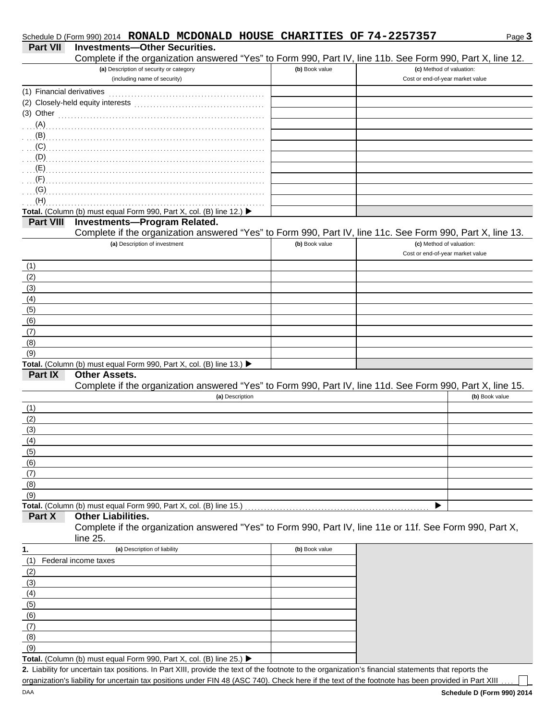|                           | Schedule D (Form 990) 2014 RONALD MCDONALD HOUSE CHARITIES OF 74-2257357                                   |                |                                                              | Page 3         |
|---------------------------|------------------------------------------------------------------------------------------------------------|----------------|--------------------------------------------------------------|----------------|
| Part VII                  | <b>Investments-Other Securities.</b>                                                                       |                |                                                              |                |
|                           | Complete if the organization answered "Yes" to Form 990, Part IV, line 11b. See Form 990, Part X, line 12. |                |                                                              |                |
|                           | (a) Description of security or category<br>(including name of security)                                    | (b) Book value | (c) Method of valuation:<br>Cost or end-of-year market value |                |
| (1) Financial derivatives |                                                                                                            |                |                                                              |                |
|                           |                                                                                                            |                |                                                              |                |
| (3) Other                 |                                                                                                            |                |                                                              |                |
| (A)                       |                                                                                                            |                |                                                              |                |
| (B)                       |                                                                                                            |                |                                                              |                |
|                           |                                                                                                            |                |                                                              |                |
| $\langle P \rangle$ .     |                                                                                                            |                |                                                              |                |
|                           |                                                                                                            |                |                                                              |                |
| (F)                       |                                                                                                            |                |                                                              |                |
| (G)                       |                                                                                                            |                |                                                              |                |
| (H)                       |                                                                                                            |                |                                                              |                |
|                           | Total. (Column (b) must equal Form 990, Part X, col. (B) line 12.) ▶                                       |                |                                                              |                |
| <b>Part VIII</b>          | <b>Investments-Program Related.</b>                                                                        |                |                                                              |                |
|                           | Complete if the organization answered "Yes" to Form 990, Part IV, line 11c. See Form 990, Part X, line 13. |                |                                                              |                |
|                           | (a) Description of investment                                                                              | (b) Book value | (c) Method of valuation:<br>Cost or end-of-year market value |                |
|                           |                                                                                                            |                |                                                              |                |
| (1)                       |                                                                                                            |                |                                                              |                |
| (2)<br>(3)                |                                                                                                            |                |                                                              |                |
| (4)                       |                                                                                                            |                |                                                              |                |
| (5)                       |                                                                                                            |                |                                                              |                |
| (6)                       |                                                                                                            |                |                                                              |                |
| (7)                       |                                                                                                            |                |                                                              |                |
| (8)                       |                                                                                                            |                |                                                              |                |
| (9)                       |                                                                                                            |                |                                                              |                |
|                           | Total. (Column (b) must equal Form 990, Part X, col. (B) line 13.) ▶                                       |                |                                                              |                |
| Part IX                   | <b>Other Assets.</b>                                                                                       |                |                                                              |                |
|                           | Complete if the organization answered "Yes" to Form 990, Part IV, line 11d. See Form 990, Part X, line 15. |                |                                                              |                |
|                           | (a) Description                                                                                            |                |                                                              | (b) Book value |
| (1)                       |                                                                                                            |                |                                                              |                |
| (2)                       |                                                                                                            |                |                                                              |                |
| (3)                       |                                                                                                            |                |                                                              |                |
| (4)<br>(5)                |                                                                                                            |                |                                                              |                |
| (6)                       |                                                                                                            |                |                                                              |                |
| (7)                       |                                                                                                            |                |                                                              |                |
| (8)                       |                                                                                                            |                |                                                              |                |
| (9)                       |                                                                                                            |                |                                                              |                |
|                           | Total. (Column (b) must equal Form 990, Part X, col. (B) line 15.)                                         |                |                                                              |                |
| Part X                    | <b>Other Liabilities.</b>                                                                                  |                |                                                              |                |
|                           | Complete if the organization answered "Yes" to Form 990, Part IV, line 11e or 11f. See Form 990, Part X,   |                |                                                              |                |
|                           | line 25.                                                                                                   |                |                                                              |                |
| 1.                        | (a) Description of liability                                                                               | (b) Book value |                                                              |                |
| (1)                       | Federal income taxes                                                                                       |                |                                                              |                |
| (2)                       |                                                                                                            |                |                                                              |                |
| (3)                       |                                                                                                            |                |                                                              |                |
| (4)                       |                                                                                                            |                |                                                              |                |
| (5)                       |                                                                                                            |                |                                                              |                |
| (6)                       |                                                                                                            |                |                                                              |                |
| (7)<br>(8)                |                                                                                                            |                |                                                              |                |
| (9)                       |                                                                                                            |                |                                                              |                |
|                           | Total. (Column (b) must equal Form 990, Part X, col. (B) line 25.) ▶                                       |                |                                                              |                |

Liability for uncertain tax positions. In Part XIII, provide the text of the footnote to the organization's financial statements that reports the **2.** organization's liability for uncertain tax positions under FIN 48 (ASC 740). Check here if the text of the footnote has been provided in Part XIII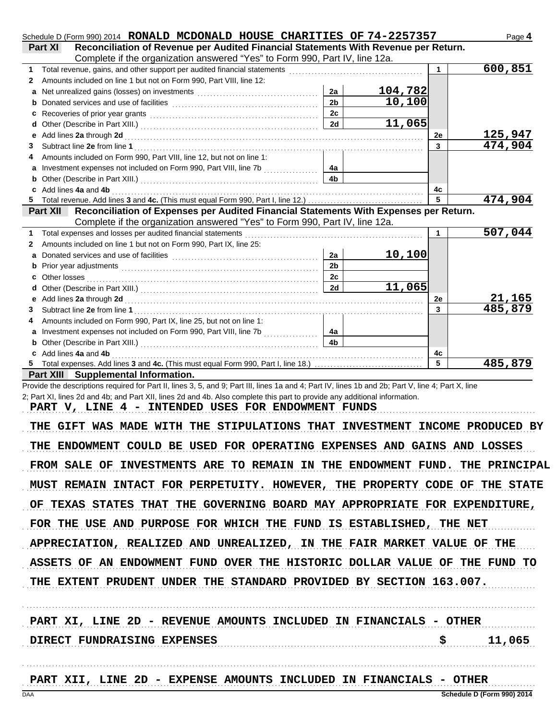| Reconciliation of Revenue per Audited Financial Statements With Revenue per Return.<br><b>Part XI</b><br>Complete if the organization answered "Yes" to Form 990, Part IV, line 12a.<br>1.<br>Amounts included on line 1 but not on Form 990, Part VIII, line 12:<br>2<br>Net unrealized gains (losses) on investments [[11, 11] [11] Met unrealized gains (losses) on investments [[11, 11] [11] $\sim$ [11] $\sim$ [11] $\sim$ [11] $\sim$ [11] $\sim$ [11] $\sim$ [11] $\sim$ [11] $\sim$ [11] $\sim$ [11] $\sim$ [11] $\$<br>a<br>b<br>Recoveries of prior year grants [[11] North Management of prior year grants [[11] North Management of Prior (1<br>c<br>d<br>Amounts included on Form 990, Part VIII, line 12, but not on line 1:<br>b<br>Add lines 4a and 4b <b>contract and 4b</b> and 4b and 4b and 4c and 4c and 4c and 4c and 4c and 4c and 4c and 4c and 4c and 4c and 4c and 4c and 4c and 4c and 4c and 4c and 4c and 4c and 4c and 4c and 4c and 4c and 4c and 4c an<br>c<br>5 Total revenue. Add lines 3 and 4c. (This must equal Form 990, Part I, line 12.)<br>Reconciliation of Expenses per Audited Financial Statements With Expenses per Return.<br><b>Part XII</b><br>Complete if the organization answered "Yes" to Form 990, Part IV, line 12a.<br>Amounts included on line 1 but not on Form 990, Part IX, line 25:<br>2<br>a<br>b<br>d<br>е<br>Amounts included on Form 990, Part IX, line 25, but not on line 1:<br>a Investment expenses not included on Form 990, Part VIII, line 7b | 2a<br>2 <sub>b</sub><br>2c<br>2d<br>4a<br>4 <sub>b</sub><br>2a<br>2 <sub>b</sub><br>2c | $\frac{104,782}{10,100}$<br>11,065 | 1.<br>2е<br>3<br>4с<br>5<br>1 | 600,851<br>125,947<br>474,904<br>474,904 |
|------------------------------------------------------------------------------------------------------------------------------------------------------------------------------------------------------------------------------------------------------------------------------------------------------------------------------------------------------------------------------------------------------------------------------------------------------------------------------------------------------------------------------------------------------------------------------------------------------------------------------------------------------------------------------------------------------------------------------------------------------------------------------------------------------------------------------------------------------------------------------------------------------------------------------------------------------------------------------------------------------------------------------------------------------------------------------------------------------------------------------------------------------------------------------------------------------------------------------------------------------------------------------------------------------------------------------------------------------------------------------------------------------------------------------------------------------------------------------------------------------------------------|----------------------------------------------------------------------------------------|------------------------------------|-------------------------------|------------------------------------------|
|                                                                                                                                                                                                                                                                                                                                                                                                                                                                                                                                                                                                                                                                                                                                                                                                                                                                                                                                                                                                                                                                                                                                                                                                                                                                                                                                                                                                                                                                                                                        |                                                                                        |                                    |                               |                                          |
|                                                                                                                                                                                                                                                                                                                                                                                                                                                                                                                                                                                                                                                                                                                                                                                                                                                                                                                                                                                                                                                                                                                                                                                                                                                                                                                                                                                                                                                                                                                        |                                                                                        |                                    |                               |                                          |
|                                                                                                                                                                                                                                                                                                                                                                                                                                                                                                                                                                                                                                                                                                                                                                                                                                                                                                                                                                                                                                                                                                                                                                                                                                                                                                                                                                                                                                                                                                                        |                                                                                        |                                    |                               |                                          |
|                                                                                                                                                                                                                                                                                                                                                                                                                                                                                                                                                                                                                                                                                                                                                                                                                                                                                                                                                                                                                                                                                                                                                                                                                                                                                                                                                                                                                                                                                                                        |                                                                                        |                                    |                               |                                          |
|                                                                                                                                                                                                                                                                                                                                                                                                                                                                                                                                                                                                                                                                                                                                                                                                                                                                                                                                                                                                                                                                                                                                                                                                                                                                                                                                                                                                                                                                                                                        |                                                                                        |                                    |                               |                                          |
|                                                                                                                                                                                                                                                                                                                                                                                                                                                                                                                                                                                                                                                                                                                                                                                                                                                                                                                                                                                                                                                                                                                                                                                                                                                                                                                                                                                                                                                                                                                        |                                                                                        |                                    |                               |                                          |
|                                                                                                                                                                                                                                                                                                                                                                                                                                                                                                                                                                                                                                                                                                                                                                                                                                                                                                                                                                                                                                                                                                                                                                                                                                                                                                                                                                                                                                                                                                                        |                                                                                        |                                    |                               |                                          |
|                                                                                                                                                                                                                                                                                                                                                                                                                                                                                                                                                                                                                                                                                                                                                                                                                                                                                                                                                                                                                                                                                                                                                                                                                                                                                                                                                                                                                                                                                                                        |                                                                                        |                                    |                               |                                          |
|                                                                                                                                                                                                                                                                                                                                                                                                                                                                                                                                                                                                                                                                                                                                                                                                                                                                                                                                                                                                                                                                                                                                                                                                                                                                                                                                                                                                                                                                                                                        |                                                                                        |                                    |                               |                                          |
|                                                                                                                                                                                                                                                                                                                                                                                                                                                                                                                                                                                                                                                                                                                                                                                                                                                                                                                                                                                                                                                                                                                                                                                                                                                                                                                                                                                                                                                                                                                        |                                                                                        |                                    |                               |                                          |
|                                                                                                                                                                                                                                                                                                                                                                                                                                                                                                                                                                                                                                                                                                                                                                                                                                                                                                                                                                                                                                                                                                                                                                                                                                                                                                                                                                                                                                                                                                                        |                                                                                        |                                    |                               |                                          |
|                                                                                                                                                                                                                                                                                                                                                                                                                                                                                                                                                                                                                                                                                                                                                                                                                                                                                                                                                                                                                                                                                                                                                                                                                                                                                                                                                                                                                                                                                                                        |                                                                                        |                                    |                               |                                          |
|                                                                                                                                                                                                                                                                                                                                                                                                                                                                                                                                                                                                                                                                                                                                                                                                                                                                                                                                                                                                                                                                                                                                                                                                                                                                                                                                                                                                                                                                                                                        |                                                                                        |                                    |                               |                                          |
|                                                                                                                                                                                                                                                                                                                                                                                                                                                                                                                                                                                                                                                                                                                                                                                                                                                                                                                                                                                                                                                                                                                                                                                                                                                                                                                                                                                                                                                                                                                        |                                                                                        |                                    |                               |                                          |
|                                                                                                                                                                                                                                                                                                                                                                                                                                                                                                                                                                                                                                                                                                                                                                                                                                                                                                                                                                                                                                                                                                                                                                                                                                                                                                                                                                                                                                                                                                                        |                                                                                        |                                    |                               |                                          |
|                                                                                                                                                                                                                                                                                                                                                                                                                                                                                                                                                                                                                                                                                                                                                                                                                                                                                                                                                                                                                                                                                                                                                                                                                                                                                                                                                                                                                                                                                                                        |                                                                                        |                                    |                               | $\overline{507}$ , 044                   |
|                                                                                                                                                                                                                                                                                                                                                                                                                                                                                                                                                                                                                                                                                                                                                                                                                                                                                                                                                                                                                                                                                                                                                                                                                                                                                                                                                                                                                                                                                                                        |                                                                                        | 10,100                             |                               |                                          |
|                                                                                                                                                                                                                                                                                                                                                                                                                                                                                                                                                                                                                                                                                                                                                                                                                                                                                                                                                                                                                                                                                                                                                                                                                                                                                                                                                                                                                                                                                                                        |                                                                                        |                                    |                               |                                          |
|                                                                                                                                                                                                                                                                                                                                                                                                                                                                                                                                                                                                                                                                                                                                                                                                                                                                                                                                                                                                                                                                                                                                                                                                                                                                                                                                                                                                                                                                                                                        |                                                                                        |                                    |                               |                                          |
|                                                                                                                                                                                                                                                                                                                                                                                                                                                                                                                                                                                                                                                                                                                                                                                                                                                                                                                                                                                                                                                                                                                                                                                                                                                                                                                                                                                                                                                                                                                        | 2d                                                                                     | 11,065                             |                               |                                          |
|                                                                                                                                                                                                                                                                                                                                                                                                                                                                                                                                                                                                                                                                                                                                                                                                                                                                                                                                                                                                                                                                                                                                                                                                                                                                                                                                                                                                                                                                                                                        |                                                                                        |                                    | 2е                            | 21,165                                   |
|                                                                                                                                                                                                                                                                                                                                                                                                                                                                                                                                                                                                                                                                                                                                                                                                                                                                                                                                                                                                                                                                                                                                                                                                                                                                                                                                                                                                                                                                                                                        |                                                                                        |                                    | 3                             | 485,879                                  |
|                                                                                                                                                                                                                                                                                                                                                                                                                                                                                                                                                                                                                                                                                                                                                                                                                                                                                                                                                                                                                                                                                                                                                                                                                                                                                                                                                                                                                                                                                                                        |                                                                                        |                                    |                               |                                          |
|                                                                                                                                                                                                                                                                                                                                                                                                                                                                                                                                                                                                                                                                                                                                                                                                                                                                                                                                                                                                                                                                                                                                                                                                                                                                                                                                                                                                                                                                                                                        | 4a<br>4 <sub>b</sub>                                                                   |                                    |                               |                                          |
| <b>b</b> Other (Describe in Part XIII.) <b>CONSIDENT DESCRIPTION DESCRIPTION DESCRIPTION DESCRIPTION DESCRIPTION DESCRIPTION DESCRIPTION DESCRIPTION DESCRIPTION DESCRIPTION DESCRIPTION DESCRIPTION DESCRI</b>                                                                                                                                                                                                                                                                                                                                                                                                                                                                                                                                                                                                                                                                                                                                                                                                                                                                                                                                                                                                                                                                                                                                                                                                                                                                                                        |                                                                                        |                                    | 4c                            |                                          |
| c Add lines 4a and 4b <b>contract and 4b</b> and 10 minutes and 10 minutes and 10 minutes and 10 minutes and 10 minutes and 10 minutes and 10 minutes and 10 minutes and 10 minutes and 10 minutes and 10 minutes and 10 minutes an                                                                                                                                                                                                                                                                                                                                                                                                                                                                                                                                                                                                                                                                                                                                                                                                                                                                                                                                                                                                                                                                                                                                                                                                                                                                                    |                                                                                        |                                    | 5                             | 485,879                                  |
| Part XIII Supplemental Information.                                                                                                                                                                                                                                                                                                                                                                                                                                                                                                                                                                                                                                                                                                                                                                                                                                                                                                                                                                                                                                                                                                                                                                                                                                                                                                                                                                                                                                                                                    |                                                                                        |                                    |                               |                                          |
| PART V, LINE 4 - INTENDED USES FOR ENDOWMENT FUNDS<br>THE GIFT WAS MADE WITH THE STIPULATIONS THAT<br>THE ENDOWMENT COULD BE USED FOR OPERATING EXPENSES AND GAINS AND LOSSES<br>FROM SALE OF INVESTMENTS ARE TO REMAIN IN THE ENDOWMENT FUND. THE PRINCIPAL<br>MUST REMAIN INTACT FOR PERPETUITY. HOWEVER, THE PROPERTY CODE OF THE STATE<br>OF TEXAS STATES THAT THE GOVERNING BOARD MAY APPROPRIATE FOR EXPENDITURE,<br>FOR THE USE AND PURPOSE FOR WHICH THE FUND IS ESTABLISHED, THE NET<br>APPRECIATION, REALIZED AND UNREALIZED, IN THE FAIR MARKET VALUE OF THE<br>ASSETS OF AN ENDOWMENT FUND OVER THE HISTORIC DOLLAR VALUE OF THE FUND TO                                                                                                                                                                                                                                                                                                                                                                                                                                                                                                                                                                                                                                                                                                                                                                                                                                                                   |                                                                                        | INVESTMENT INCOME PRODUCED BY      |                               |                                          |
| THE EXTENT PRUDENT UNDER THE STANDARD PROVIDED BY SECTION 163.007.<br>PART XI, LINE 2D - REVENUE AMOUNTS INCLUDED IN FINANCIALS - OTHER                                                                                                                                                                                                                                                                                                                                                                                                                                                                                                                                                                                                                                                                                                                                                                                                                                                                                                                                                                                                                                                                                                                                                                                                                                                                                                                                                                                |                                                                                        |                                    |                               |                                          |
| DIRECT FUNDRAISING EXPENSES<br>PART XII, LINE 2D - EXPENSE AMOUNTS INCLUDED IN FINANCIALS - OTHER                                                                                                                                                                                                                                                                                                                                                                                                                                                                                                                                                                                                                                                                                                                                                                                                                                                                                                                                                                                                                                                                                                                                                                                                                                                                                                                                                                                                                      |                                                                                        | $\frac{11}{2065}$                  |                               |                                          |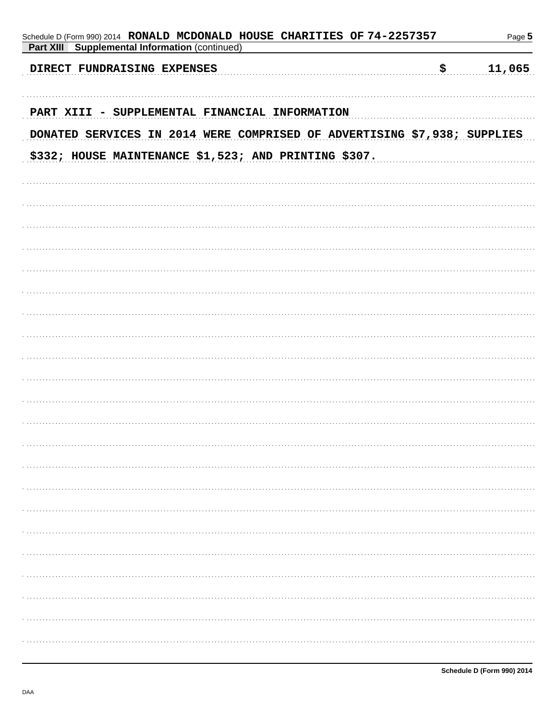| Schedule D (Form 990) 2014 RONALD MCDONALD HOUSE CHARITIES OF 74-2257357 | Page 5      |
|--------------------------------------------------------------------------|-------------|
| <b>Part XIII Supplemental Information (continued)</b>                    |             |
| DIRECT FUNDRAISING EXPENSES                                              | ₿<br>11,065 |
|                                                                          |             |
|                                                                          |             |
| PART XIII - SUPPLEMENTAL FINANCIAL INFORMATION                           |             |
| DONATED SERVICES IN 2014 WERE COMPRISED OF ADVERTISING \$7,938; SUPPLIES |             |
|                                                                          |             |
| \$332; HOUSE MAINTENANCE \$1,523; AND PRINTING \$307.                    |             |
|                                                                          |             |
|                                                                          |             |
|                                                                          |             |
|                                                                          |             |
|                                                                          |             |
|                                                                          |             |
|                                                                          |             |
|                                                                          |             |
|                                                                          |             |
|                                                                          |             |
|                                                                          |             |
|                                                                          |             |
|                                                                          |             |
|                                                                          |             |
|                                                                          |             |
|                                                                          |             |
|                                                                          |             |
|                                                                          |             |
|                                                                          |             |
|                                                                          |             |
|                                                                          |             |
|                                                                          |             |
|                                                                          |             |
|                                                                          |             |
|                                                                          |             |
|                                                                          |             |
|                                                                          |             |
|                                                                          |             |
|                                                                          |             |
|                                                                          |             |
|                                                                          |             |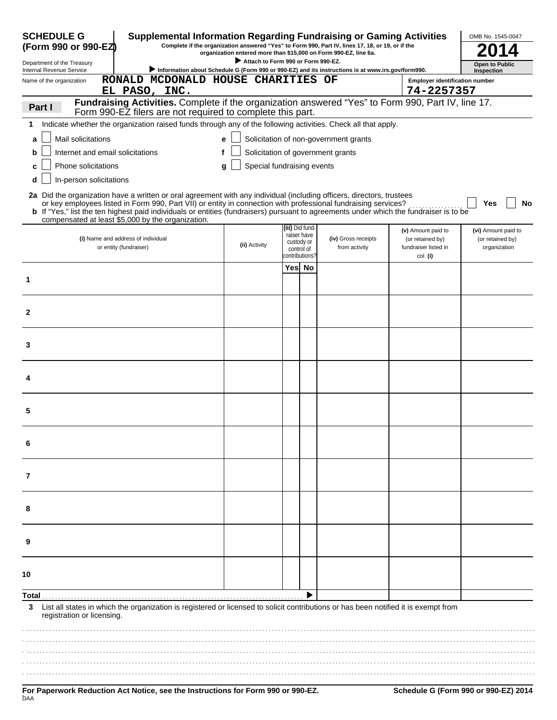| <b>SCHEDULE G</b><br>(Form 990 or 990-EZ)            | OMB No. 1545-0047                                                                                                                                                                                                                                                                                                                                                                                                                      |                                                                                                        |                 |                                         |                                                                                                   |                                                                |                                                         |
|------------------------------------------------------|----------------------------------------------------------------------------------------------------------------------------------------------------------------------------------------------------------------------------------------------------------------------------------------------------------------------------------------------------------------------------------------------------------------------------------------|--------------------------------------------------------------------------------------------------------|-----------------|-----------------------------------------|---------------------------------------------------------------------------------------------------|----------------------------------------------------------------|---------------------------------------------------------|
| Department of the Treasury                           |                                                                                                                                                                                                                                                                                                                                                                                                                                        | organization entered more than \$15,000 on Form 990-EZ, line 6a.<br>Attach to Form 990 or Form 990-EZ. |                 |                                         |                                                                                                   |                                                                | <b>Open to Public</b>                                   |
| Internal Revenue Service<br>Name of the organization | RONALD MCDONALD HOUSE CHARITIES OF                                                                                                                                                                                                                                                                                                                                                                                                     |                                                                                                        |                 |                                         | Information about Schedule G (Form 990 or 990-EZ) and its instructions is at www.irs.gov/form990. | <b>Employer identification number</b>                          | Inspection                                              |
|                                                      | EL PASO, INC.                                                                                                                                                                                                                                                                                                                                                                                                                          |                                                                                                        |                 |                                         |                                                                                                   | 74-2257357                                                     |                                                         |
| Part I                                               | Fundraising Activities. Complete if the organization answered "Yes" to Form 990, Part IV, line 17.<br>Form 990-EZ filers are not required to complete this part.                                                                                                                                                                                                                                                                       |                                                                                                        |                 |                                         |                                                                                                   |                                                                |                                                         |
| 1                                                    | Indicate whether the organization raised funds through any of the following activities. Check all that apply.                                                                                                                                                                                                                                                                                                                          |                                                                                                        |                 |                                         |                                                                                                   |                                                                |                                                         |
| Mail solicitations<br>a                              |                                                                                                                                                                                                                                                                                                                                                                                                                                        | e                                                                                                      |                 |                                         | Solicitation of non-government grants                                                             |                                                                |                                                         |
| Internet and email solicitations<br>b                |                                                                                                                                                                                                                                                                                                                                                                                                                                        |                                                                                                        |                 |                                         | Solicitation of government grants                                                                 |                                                                |                                                         |
| Phone solicitations                                  |                                                                                                                                                                                                                                                                                                                                                                                                                                        | Special fundraising events<br>q                                                                        |                 |                                         |                                                                                                   |                                                                |                                                         |
| In-person solicitations<br>d                         |                                                                                                                                                                                                                                                                                                                                                                                                                                        |                                                                                                        |                 |                                         |                                                                                                   |                                                                |                                                         |
|                                                      | 2a Did the organization have a written or oral agreement with any individual (including officers, directors, trustees<br>or key employees listed in Form 990, Part VII) or entity in connection with professional fundraising services?<br>b If "Yes," list the ten highest paid individuals or entities (fundraisers) pursuant to agreements under which the fundraiser is to be<br>compensated at least \$5,000 by the organization. |                                                                                                        |                 |                                         |                                                                                                   |                                                                | Yes<br>No                                               |
|                                                      | (i) Name and address of individual<br>or entity (fundraiser)                                                                                                                                                                                                                                                                                                                                                                           | (ii) Activity                                                                                          | (iii) Did fund- | raiser have<br>custody or<br>control of | (iv) Gross receipts<br>from activity                                                              | (v) Amount paid to<br>(or retained by)<br>fundraiser listed in | (vi) Amount paid to<br>(or retained by)<br>organization |
|                                                      |                                                                                                                                                                                                                                                                                                                                                                                                                                        |                                                                                                        | Yes             | :ontributions<br>No                     |                                                                                                   | col. (i)                                                       |                                                         |
| 1                                                    |                                                                                                                                                                                                                                                                                                                                                                                                                                        |                                                                                                        |                 |                                         |                                                                                                   |                                                                |                                                         |
|                                                      |                                                                                                                                                                                                                                                                                                                                                                                                                                        |                                                                                                        |                 |                                         |                                                                                                   |                                                                |                                                         |
| 2                                                    |                                                                                                                                                                                                                                                                                                                                                                                                                                        |                                                                                                        |                 |                                         |                                                                                                   |                                                                |                                                         |
| 3                                                    |                                                                                                                                                                                                                                                                                                                                                                                                                                        |                                                                                                        |                 |                                         |                                                                                                   |                                                                |                                                         |
|                                                      |                                                                                                                                                                                                                                                                                                                                                                                                                                        |                                                                                                        |                 |                                         |                                                                                                   |                                                                |                                                         |
| 5                                                    |                                                                                                                                                                                                                                                                                                                                                                                                                                        |                                                                                                        |                 |                                         |                                                                                                   |                                                                |                                                         |
|                                                      |                                                                                                                                                                                                                                                                                                                                                                                                                                        |                                                                                                        |                 |                                         |                                                                                                   |                                                                |                                                         |
| 7                                                    |                                                                                                                                                                                                                                                                                                                                                                                                                                        |                                                                                                        |                 |                                         |                                                                                                   |                                                                |                                                         |
| 8                                                    |                                                                                                                                                                                                                                                                                                                                                                                                                                        |                                                                                                        |                 |                                         |                                                                                                   |                                                                |                                                         |
| 9                                                    |                                                                                                                                                                                                                                                                                                                                                                                                                                        |                                                                                                        |                 |                                         |                                                                                                   |                                                                |                                                         |
| 10                                                   |                                                                                                                                                                                                                                                                                                                                                                                                                                        |                                                                                                        |                 |                                         |                                                                                                   |                                                                |                                                         |
| Total                                                |                                                                                                                                                                                                                                                                                                                                                                                                                                        |                                                                                                        |                 |                                         |                                                                                                   |                                                                |                                                         |
| 3<br>registration or licensing.                      | List all states in which the organization is registered or licensed to solicit contributions or has been notified it is exempt from                                                                                                                                                                                                                                                                                                    |                                                                                                        |                 |                                         |                                                                                                   |                                                                |                                                         |
|                                                      |                                                                                                                                                                                                                                                                                                                                                                                                                                        |                                                                                                        |                 |                                         |                                                                                                   |                                                                |                                                         |
|                                                      |                                                                                                                                                                                                                                                                                                                                                                                                                                        |                                                                                                        |                 |                                         |                                                                                                   |                                                                |                                                         |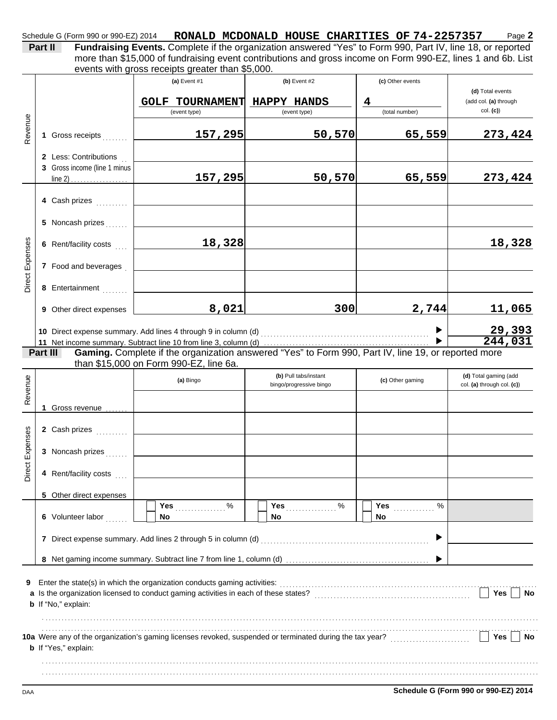**Part II** Fundraising Events. Complete if the organization answered "Yes" to Form 990, Part IV, line 18, or reported events with gross receipts greater than \$5,000. more than \$15,000 of fundraising event contributions and gross income on Form 990-EZ, lines 1 and 6b. List

|                 |          |                              | (a) Event $#1$                                                                       | (b) Event $#2$                                                                                                 | (c) Other events      |                                                     |
|-----------------|----------|------------------------------|--------------------------------------------------------------------------------------|----------------------------------------------------------------------------------------------------------------|-----------------------|-----------------------------------------------------|
|                 |          |                              |                                                                                      |                                                                                                                |                       | (d) Total events                                    |
|                 |          |                              | TOURNAMENT<br><b>GOLF</b><br>(event type)                                            | <b>HAPPY HANDS</b><br>(event type)                                                                             | 4<br>(total number)   | (add col. (a) through<br>col. (c)                   |
|                 |          |                              |                                                                                      |                                                                                                                |                       |                                                     |
| Revenue         |          | 1 Gross receipts             | 157,295                                                                              | 50,570                                                                                                         | 65,559                | 273,424                                             |
|                 |          | 2 Less: Contributions        |                                                                                      |                                                                                                                |                       |                                                     |
|                 |          | 3 Gross income (line 1 minus |                                                                                      |                                                                                                                |                       |                                                     |
|                 |          |                              | 157,295                                                                              | 50, 570                                                                                                        | 65,559                | 273,424                                             |
|                 |          | 4 Cash prizes                |                                                                                      |                                                                                                                |                       |                                                     |
|                 |          | 5 Noncash prizes             |                                                                                      |                                                                                                                |                       |                                                     |
|                 |          | 6 Rent/facility costs        | 18,328                                                                               |                                                                                                                |                       | 18,328                                              |
| Direct Expenses |          | 7 Food and beverages         |                                                                                      |                                                                                                                |                       |                                                     |
|                 |          | 8 Entertainment              |                                                                                      |                                                                                                                |                       |                                                     |
|                 |          | 9 Other direct expenses      | 8,021                                                                                | 300                                                                                                            | 2,744                 | 11,065                                              |
|                 |          |                              |                                                                                      | 10 Direct expense summary. Add lines 4 through 9 in column (d) [11] content to content the summary of Direct P |                       | 29,393                                              |
|                 |          |                              |                                                                                      |                                                                                                                | $\blacktriangleright$ | 244,031                                             |
|                 | Part III |                              |                                                                                      | Gaming. Complete if the organization answered "Yes" to Form 990, Part IV, line 19, or reported more            |                       |                                                     |
|                 |          |                              | than \$15,000 on Form 990-EZ, line 6a.                                               |                                                                                                                |                       |                                                     |
|                 |          |                              | (a) Bingo                                                                            | (b) Pull tabs/instant<br>bingo/progressive bingo                                                               | (c) Other gaming      | (d) Total gaming (add<br>col. (a) through col. (c)) |
| Revenue         |          |                              |                                                                                      |                                                                                                                |                       |                                                     |
|                 |          | 1 Gross revenue              |                                                                                      |                                                                                                                |                       |                                                     |
|                 |          |                              |                                                                                      |                                                                                                                |                       |                                                     |
|                 |          | 2 Cash prizes                |                                                                                      |                                                                                                                |                       |                                                     |
| Direct Expenses |          | 3 Noncash prizes             |                                                                                      |                                                                                                                |                       |                                                     |
|                 |          | 4 Rent/facility costs        |                                                                                      |                                                                                                                |                       |                                                     |
|                 |          | 5 Other direct expenses      |                                                                                      |                                                                                                                |                       |                                                     |
|                 |          | 6 Volunteer labor            | Yes<br>%<br><b>No</b>                                                                | %<br>Yes<br>No.                                                                                                | %<br>Yes<br>No        |                                                     |
|                 |          |                              | 7 Direct expense summary. Add lines 2 through 5 in column (d)                        |                                                                                                                | ▶                     |                                                     |
|                 |          |                              |                                                                                      |                                                                                                                |                       |                                                     |
|                 |          |                              |                                                                                      |                                                                                                                |                       |                                                     |
| 9               |          |                              | Enter the state(s) in which the organization conducts gaming activities:             |                                                                                                                |                       |                                                     |
|                 |          |                              | a Is the organization licensed to conduct gaming activities in each of these states? |                                                                                                                |                       | Yes<br>No                                           |
|                 |          | <b>b</b> If "No," explain:   |                                                                                      |                                                                                                                |                       |                                                     |
|                 |          |                              |                                                                                      |                                                                                                                |                       |                                                     |
|                 |          |                              |                                                                                      | 10a Were any of the organization's gaming licenses revoked, suspended or terminated during the tax year?       |                       | Yes<br>No                                           |
|                 |          | <b>b</b> If "Yes," explain:  |                                                                                      |                                                                                                                |                       |                                                     |
|                 |          |                              |                                                                                      |                                                                                                                |                       |                                                     |
|                 |          |                              |                                                                                      |                                                                                                                |                       |                                                     |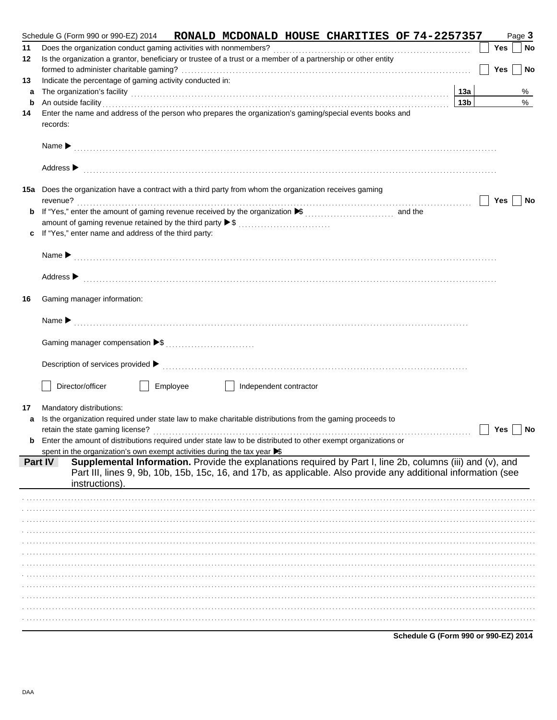|    | Schedule G (Form 990 or 990-EZ) 2014<br>RONALD MCDONALD HOUSE CHARITIES OF 74-2257357                                            |                 |     | Page 3    |
|----|----------------------------------------------------------------------------------------------------------------------------------|-----------------|-----|-----------|
| 11 |                                                                                                                                  |                 | Yes | <b>No</b> |
| 12 | Is the organization a grantor, beneficiary or trustee of a trust or a member of a partnership or other entity                    |                 |     |           |
|    |                                                                                                                                  |                 | Yes | No        |
| 13 | Indicate the percentage of gaming activity conducted in:                                                                         |                 |     |           |
| a  | The organization's facility [13a]                                                                                                |                 |     | %         |
| b  | An outside facility                                                                                                              | 13 <sub>b</sub> |     | $\%$      |
| 14 | Enter the name and address of the person who prepares the organization's gaming/special events books and                         |                 |     |           |
|    | records:                                                                                                                         |                 |     |           |
|    |                                                                                                                                  |                 |     |           |
|    | Address $\triangleright$                                                                                                         |                 |     |           |
|    | 15a Does the organization have a contract with a third party from whom the organization receives gaming<br>revenue?              |                 | Yes | No        |
| b  | If "Yes," enter the amount of gaming revenue received by the organization ▶ [[[[[[[[[[[[[[[[[[[[[[]]]]]]]]] and the              |                 |     |           |
|    | amount of gaming revenue retained by the third party ▶ \$                                                                        |                 |     |           |
| C  | If "Yes," enter name and address of the third party:                                                                             |                 |     |           |
|    |                                                                                                                                  |                 |     |           |
|    | Address $\blacktriangleright$                                                                                                    |                 |     |           |
| 16 | Gaming manager information:                                                                                                      |                 |     |           |
|    |                                                                                                                                  |                 |     |           |
|    |                                                                                                                                  |                 |     |           |
|    |                                                                                                                                  |                 |     |           |
|    |                                                                                                                                  |                 |     |           |
|    | Director/officer<br>Employee<br>    Independent contractor                                                                       |                 |     |           |
| 17 | Mandatory distributions:                                                                                                         |                 |     |           |
| a  | Is the organization required under state law to make charitable distributions from the gaming proceeds to                        |                 | Yes | No        |
| b  | Enter the amount of distributions required under state law to be distributed to other exempt organizations or                    |                 |     |           |
|    | spent in the organization's own exempt activities during the tax year $\blacktriangleright$                                      |                 |     |           |
|    | Supplemental Information. Provide the explanations required by Part I, line 2b, columns (iii) and (v), and<br>Part IV            |                 |     |           |
|    | Part III, lines 9, 9b, 10b, 15b, 15c, 16, and 17b, as applicable. Also provide any additional information (see<br>instructions). |                 |     |           |
|    |                                                                                                                                  |                 |     |           |
|    |                                                                                                                                  |                 |     |           |
|    |                                                                                                                                  |                 |     |           |
|    |                                                                                                                                  |                 |     |           |
|    |                                                                                                                                  |                 |     |           |
|    |                                                                                                                                  |                 |     |           |
|    |                                                                                                                                  |                 |     |           |
|    |                                                                                                                                  |                 |     |           |
|    |                                                                                                                                  |                 |     |           |
|    |                                                                                                                                  |                 |     |           |
|    |                                                                                                                                  |                 |     |           |
|    |                                                                                                                                  |                 |     |           |
|    |                                                                                                                                  |                 |     |           |
|    |                                                                                                                                  |                 |     |           |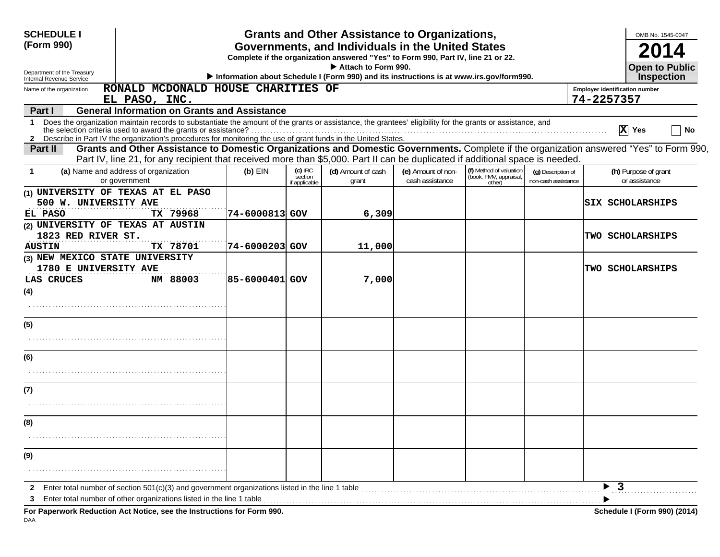| (Form 990)<br>Department of the Treasury<br>Internal Revenue Service<br>RONALD MCDONALD HOUSE CHARITIES OF<br>Name of the organization                                                                                                                                               |                |                                     | <b>Grants and Other Assistance to Organizations,</b><br>Governments, and Individuals in the United States<br>Complete if the organization answered "Yes" to Form 990, Part IV, line 21 or 22.<br>Attach to Form 990.<br>Information about Schedule I (Form 990) and its instructions is at www.irs.gov/form990. |                                       |                                                             |                                           |                         |                                            |
|--------------------------------------------------------------------------------------------------------------------------------------------------------------------------------------------------------------------------------------------------------------------------------------|----------------|-------------------------------------|-----------------------------------------------------------------------------------------------------------------------------------------------------------------------------------------------------------------------------------------------------------------------------------------------------------------|---------------------------------------|-------------------------------------------------------------|-------------------------------------------|-------------------------|--------------------------------------------|
|                                                                                                                                                                                                                                                                                      |                |                                     |                                                                                                                                                                                                                                                                                                                 |                                       |                                                             |                                           |                         |                                            |
|                                                                                                                                                                                                                                                                                      |                |                                     |                                                                                                                                                                                                                                                                                                                 |                                       |                                                             |                                           |                         | <b>Open to Public</b><br><b>Inspection</b> |
|                                                                                                                                                                                                                                                                                      |                |                                     |                                                                                                                                                                                                                                                                                                                 |                                       |                                                             |                                           | 74-2257357              | <b>Employer identification number</b>      |
| EL PASO, INC.<br><b>General Information on Grants and Assistance</b><br>Part I                                                                                                                                                                                                       |                |                                     |                                                                                                                                                                                                                                                                                                                 |                                       |                                                             |                                           |                         |                                            |
| 1 Does the organization maintain records to substantiate the amount of the grants or assistance, the grantees' eligibility for the grants or assistance, and<br>2 Describe in Part IV the organization's procedures for monitoring the use of grant funds in the United States.      |                |                                     |                                                                                                                                                                                                                                                                                                                 |                                       |                                                             |                                           |                         | $ X $ Yes<br>No                            |
| Grants and Other Assistance to Domestic Organizations and Domestic Governments. Complete if the organization answered "Yes" to Form 990.<br>Part II<br>Part IV, line 21, for any recipient that received more than \$5,000. Part II can be duplicated if additional space is needed. |                |                                     |                                                                                                                                                                                                                                                                                                                 |                                       |                                                             |                                           |                         |                                            |
| (a) Name and address of organization<br>-1<br>or government                                                                                                                                                                                                                          | $(b)$ EIN      | (c) IRC<br>section<br>if applicable | (d) Amount of cash<br>grant                                                                                                                                                                                                                                                                                     | (e) Amount of non-<br>cash assistance | (f) Method of valuation<br>(book, FMV, appraisal,<br>other) | (g) Description of<br>non-cash assistance |                         | (h) Purpose of grant<br>or assistance      |
| (1) UNIVERSITY OF TEXAS AT EL PASO<br>500 W. UNIVERSITY AVE<br>TX 79968<br>EL PASO                                                                                                                                                                                                   | 74-6000813 GOV |                                     | 6,309                                                                                                                                                                                                                                                                                                           |                                       |                                                             |                                           |                         | <b>SIX SCHOLARSHIPS</b>                    |
| (2) UNIVERSITY OF TEXAS AT AUSTIN<br>1823 RED RIVER ST.<br>TX 78701<br><b>AUSTIN</b>                                                                                                                                                                                                 | 74-6000203 GOV |                                     | 11,000                                                                                                                                                                                                                                                                                                          |                                       |                                                             |                                           |                         | TWO SCHOLARSHIPS                           |
| (3) NEW MEXICO STATE UNIVERSITY<br>1780 E UNIVERSITY AVE<br>NM 88003<br>LAS CRUCES                                                                                                                                                                                                   | 85-6000401 GOV |                                     | 7,000                                                                                                                                                                                                                                                                                                           |                                       |                                                             |                                           |                         | TWO SCHOLARSHIPS                           |
| (4)                                                                                                                                                                                                                                                                                  |                |                                     |                                                                                                                                                                                                                                                                                                                 |                                       |                                                             |                                           |                         |                                            |
| (5)                                                                                                                                                                                                                                                                                  |                |                                     |                                                                                                                                                                                                                                                                                                                 |                                       |                                                             |                                           |                         |                                            |
|                                                                                                                                                                                                                                                                                      |                |                                     |                                                                                                                                                                                                                                                                                                                 |                                       |                                                             |                                           |                         |                                            |
| (6)                                                                                                                                                                                                                                                                                  |                |                                     |                                                                                                                                                                                                                                                                                                                 |                                       |                                                             |                                           |                         |                                            |
|                                                                                                                                                                                                                                                                                      |                |                                     |                                                                                                                                                                                                                                                                                                                 |                                       |                                                             |                                           |                         |                                            |
| (7)                                                                                                                                                                                                                                                                                  |                |                                     |                                                                                                                                                                                                                                                                                                                 |                                       |                                                             |                                           |                         |                                            |
| (8)                                                                                                                                                                                                                                                                                  |                |                                     |                                                                                                                                                                                                                                                                                                                 |                                       |                                                             |                                           |                         |                                            |
|                                                                                                                                                                                                                                                                                      |                |                                     |                                                                                                                                                                                                                                                                                                                 |                                       |                                                             |                                           |                         |                                            |
| (9)                                                                                                                                                                                                                                                                                  |                |                                     |                                                                                                                                                                                                                                                                                                                 |                                       |                                                             |                                           |                         |                                            |
| Enter total number of section $501(c)(3)$ and government organizations listed in the line 1 table<br>2                                                                                                                                                                               |                |                                     |                                                                                                                                                                                                                                                                                                                 |                                       |                                                             |                                           | $\blacktriangleright$ 3 |                                            |
| Enter total number of other organizations listed in the line 1 table<br>3<br>For Paperwork Reduction Act Notice, see the Instructions for Form 990.                                                                                                                                  |                |                                     |                                                                                                                                                                                                                                                                                                                 |                                       |                                                             |                                           |                         | <b>Schedule I (Form 990) (2014)</b>        |

DAA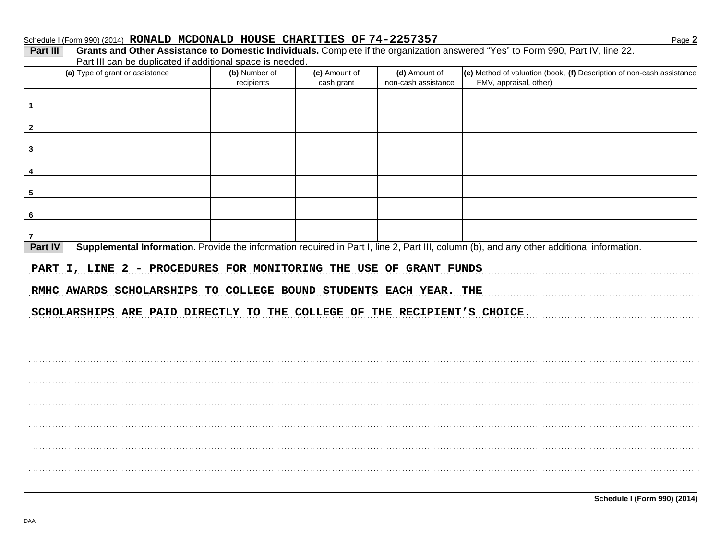### Schedule I (Form 990) (2014) RONALD MCDONALD HOUSE CHARITIES OF 74-2257357

|              | Schedule I (Form 990) (2014) RONALD MCDONALD HOUSE CHARITIES OF 74-2257357                                                                |                             |                             |                                      |                        | Page 2                                                                  |
|--------------|-------------------------------------------------------------------------------------------------------------------------------------------|-----------------------------|-----------------------------|--------------------------------------|------------------------|-------------------------------------------------------------------------|
| Part III     | Grants and Other Assistance to Domestic Individuals. Complete if the organization answered "Yes" to Form 990, Part IV, line 22.           |                             |                             |                                      |                        |                                                                         |
|              | Part III can be duplicated if additional space is needed.                                                                                 |                             |                             |                                      |                        |                                                                         |
|              | (a) Type of grant or assistance                                                                                                           | (b) Number of<br>recipients | (c) Amount of<br>cash grant | (d) Amount of<br>non-cash assistance | FMV, appraisal, other) | (e) Method of valuation (book, $(f)$ Description of non-cash assistance |
|              |                                                                                                                                           |                             |                             |                                      |                        |                                                                         |
|              |                                                                                                                                           |                             |                             |                                      |                        |                                                                         |
| $\mathbf{3}$ |                                                                                                                                           |                             |                             |                                      |                        |                                                                         |
|              |                                                                                                                                           |                             |                             |                                      |                        |                                                                         |
|              |                                                                                                                                           |                             |                             |                                      |                        |                                                                         |
| -6           |                                                                                                                                           |                             |                             |                                      |                        |                                                                         |
| 7            |                                                                                                                                           |                             |                             |                                      |                        |                                                                         |
| Part IV      | Supplemental Information. Provide the information required in Part I, line 2, Part III, column (b), and any other additional information. |                             |                             |                                      |                        |                                                                         |
|              | PART I, LINE 2 - PROCEDURES FOR MONITORING THE USE OF GRANT FUNDS                                                                         |                             |                             |                                      |                        |                                                                         |
|              | RMHC AWARDS SCHOLARSHIPS TO COLLEGE BOUND STUDENTS EACH YEAR. THE                                                                         |                             |                             |                                      |                        |                                                                         |
|              | SCHOLARSHIPS ARE PAID DIRECTLY TO THE COLLEGE OF THE RECIPIENT'S CHOICE.                                                                  |                             |                             |                                      |                        |                                                                         |
|              |                                                                                                                                           |                             |                             |                                      |                        |                                                                         |
|              |                                                                                                                                           |                             |                             |                                      |                        |                                                                         |
|              |                                                                                                                                           |                             |                             |                                      |                        |                                                                         |
|              |                                                                                                                                           |                             |                             |                                      |                        |                                                                         |
|              |                                                                                                                                           |                             |                             |                                      |                        |                                                                         |
|              |                                                                                                                                           |                             |                             |                                      |                        |                                                                         |
|              |                                                                                                                                           |                             |                             |                                      |                        |                                                                         |
|              |                                                                                                                                           |                             |                             |                                      |                        |                                                                         |
|              |                                                                                                                                           |                             |                             |                                      |                        |                                                                         |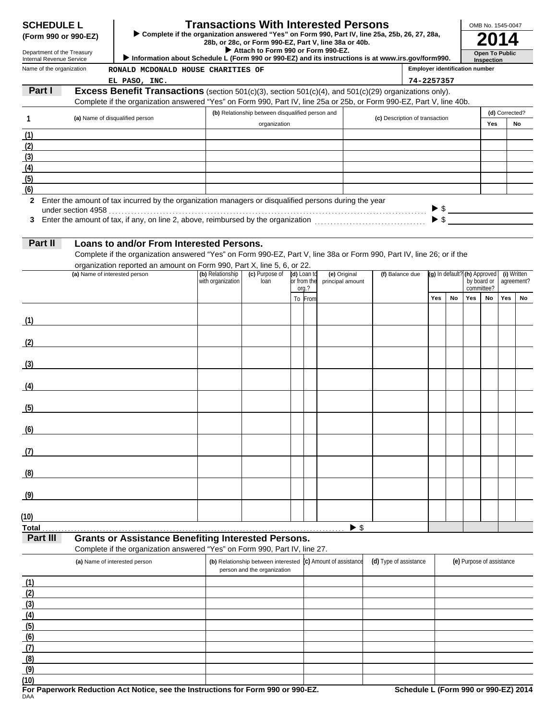|                                                      | <b>Transactions With Interested Persons</b><br><b>SCHEDULE L</b> |                                 |                                                                                                                      |                                                  |             |                      | OMB No. 1545-0047                                     |                                |                                       |           |                                                           |                       |                           |           |
|------------------------------------------------------|------------------------------------------------------------------|---------------------------------|----------------------------------------------------------------------------------------------------------------------|--------------------------------------------------|-------------|----------------------|-------------------------------------------------------|--------------------------------|---------------------------------------|-----------|-----------------------------------------------------------|-----------------------|---------------------------|-----------|
| (Form 990 or 990-EZ)                                 |                                                                  |                                 | Complete if the organization answered "Yes" on Form 990, Part IV, line 25a, 25b, 26, 27, 28a,                        |                                                  |             |                      | 28b, or 28c, or Form 990-EZ, Part V, line 38a or 40b. |                                |                                       |           |                                                           |                       |                           |           |
| Department of the Treasury                           |                                                                  |                                 |                                                                                                                      | Attach to Form 990 or Form 990-EZ.               |             |                      |                                                       |                                |                                       |           |                                                           | <b>Open To Public</b> |                           |           |
| Internal Revenue Service<br>Name of the organization |                                                                  |                                 | Information about Schedule L (Form 990 or 990-EZ) and its instructions is at www.irs.gov/form990.                    |                                                  |             |                      |                                                       |                                | <b>Employer identification number</b> |           |                                                           | Inspection            |                           |           |
|                                                      |                                                                  |                                 | RONALD MCDONALD HOUSE CHARITIES OF                                                                                   |                                                  |             |                      |                                                       |                                | 74-2257357                            |           |                                                           |                       |                           |           |
| Part I                                               |                                                                  | EL PASO, INC.                   | <b>Excess Benefit Transactions</b> (section 501(c)(3), section 501(c)(4), and 501(c)(29) organizations only).        |                                                  |             |                      |                                                       |                                |                                       |           |                                                           |                       |                           |           |
|                                                      |                                                                  |                                 | Complete if the organization answered "Yes" on Form 990, Part IV, line 25a or 25b, or Form 990-EZ, Part V, line 40b. |                                                  |             |                      |                                                       |                                |                                       |           |                                                           |                       |                           |           |
|                                                      |                                                                  |                                 |                                                                                                                      | (b) Relationship between disqualified person and |             |                      |                                                       |                                |                                       |           | (d) Corrected?                                            |                       |                           |           |
| $\mathbf{1}$                                         |                                                                  | (a) Name of disqualified person |                                                                                                                      | organization                                     |             |                      |                                                       | (c) Description of transaction |                                       |           |                                                           | Yes                   |                           | No        |
| (1)                                                  |                                                                  |                                 |                                                                                                                      |                                                  |             |                      |                                                       |                                |                                       |           |                                                           |                       |                           |           |
| (2)                                                  |                                                                  |                                 |                                                                                                                      |                                                  |             |                      |                                                       |                                |                                       |           |                                                           |                       |                           |           |
| (3)                                                  |                                                                  |                                 |                                                                                                                      |                                                  |             |                      |                                                       |                                |                                       |           |                                                           |                       |                           |           |
| (4)<br>(5)                                           |                                                                  |                                 |                                                                                                                      |                                                  |             |                      |                                                       |                                |                                       |           |                                                           |                       |                           |           |
| (6)                                                  |                                                                  |                                 |                                                                                                                      |                                                  |             |                      |                                                       |                                |                                       |           |                                                           |                       |                           |           |
| $\mathbf{2}$                                         |                                                                  |                                 | Enter the amount of tax incurred by the organization managers or disqualified persons during the year                |                                                  |             |                      |                                                       |                                |                                       |           |                                                           |                       |                           |           |
|                                                      | (a) Name of interested person                                    |                                 | organization reported an amount on Form 990, Part X, line 5, 6, or 22.<br>(b) Relationship<br>with organization      | (c) Purpose of<br>loan                           | (d) Loan to | or from the<br>org.? | (e) Original<br>principal amount                      | (f) Balance due                |                                       |           | (g) In default? (h) Approved<br>by board or<br>committee? |                       | (i) Written<br>agreement? |           |
|                                                      |                                                                  |                                 |                                                                                                                      |                                                  |             | To From              |                                                       |                                | Yes                                   | <b>No</b> | Yes                                                       | <b>No</b>             | Yes                       | <b>No</b> |
|                                                      |                                                                  |                                 |                                                                                                                      |                                                  |             |                      |                                                       |                                |                                       |           |                                                           |                       |                           |           |
| (1)                                                  |                                                                  |                                 |                                                                                                                      |                                                  |             |                      |                                                       |                                |                                       |           |                                                           |                       |                           |           |
| (2)                                                  |                                                                  |                                 |                                                                                                                      |                                                  |             |                      |                                                       |                                |                                       |           |                                                           |                       |                           |           |
|                                                      |                                                                  |                                 |                                                                                                                      |                                                  |             |                      |                                                       |                                |                                       |           |                                                           |                       |                           |           |
| (3)                                                  |                                                                  |                                 |                                                                                                                      |                                                  |             |                      |                                                       |                                |                                       |           |                                                           |                       |                           |           |
|                                                      |                                                                  |                                 |                                                                                                                      |                                                  |             |                      |                                                       |                                |                                       |           |                                                           |                       |                           |           |
| (4)                                                  |                                                                  |                                 |                                                                                                                      |                                                  |             |                      |                                                       |                                |                                       |           |                                                           |                       |                           |           |
| (5)                                                  |                                                                  |                                 |                                                                                                                      |                                                  |             |                      |                                                       |                                |                                       |           |                                                           |                       |                           |           |
| (6)                                                  |                                                                  |                                 |                                                                                                                      |                                                  |             |                      |                                                       |                                |                                       |           |                                                           |                       |                           |           |
|                                                      |                                                                  |                                 |                                                                                                                      |                                                  |             |                      |                                                       |                                |                                       |           |                                                           |                       |                           |           |
| (7)                                                  |                                                                  |                                 |                                                                                                                      |                                                  |             |                      |                                                       |                                |                                       |           |                                                           |                       |                           |           |

| <u>гт</u> |  |  |  |  |  |  |
|-----------|--|--|--|--|--|--|
| (8)       |  |  |  |  |  |  |
| (9)       |  |  |  |  |  |  |
| (10)      |  |  |  |  |  |  |

**Total** . . . . . . . . . . . . . . . . . . . . . . . . . . . . . . . . . . . . . . . . . . . . . . . . . . . . . . . . . . . . . . . . . . . . . . . . . . . . . . . . . . . . . . . . . . . . . . . \$

**Part III Grants or Assistance Benefiting Interested Persons.** Complete if the organization answered "Yes" on Form 990, Part IV, line 27.

| (a) Name of interested person | (b) Relationship between interested (c) Amount of assistance<br>person and the organization | (d) Type of assistance | (e) Purpose of assistance |
|-------------------------------|---------------------------------------------------------------------------------------------|------------------------|---------------------------|
| (1)                           |                                                                                             |                        |                           |
| (2)                           |                                                                                             |                        |                           |
| (3)                           |                                                                                             |                        |                           |
| (4)                           |                                                                                             |                        |                           |
| (5)                           |                                                                                             |                        |                           |
| (6)                           |                                                                                             |                        |                           |
| (7)                           |                                                                                             |                        |                           |
| (8)                           |                                                                                             |                        |                           |
| (9)                           |                                                                                             |                        |                           |
| (10)                          |                                                                                             |                        |                           |

For Paperwork Reduction Act Notice, see the Instructions for Form 990 or 990-EZ. Schedule L (Form 990 or 990-EZ) 2014<br><sup>DAA</sup>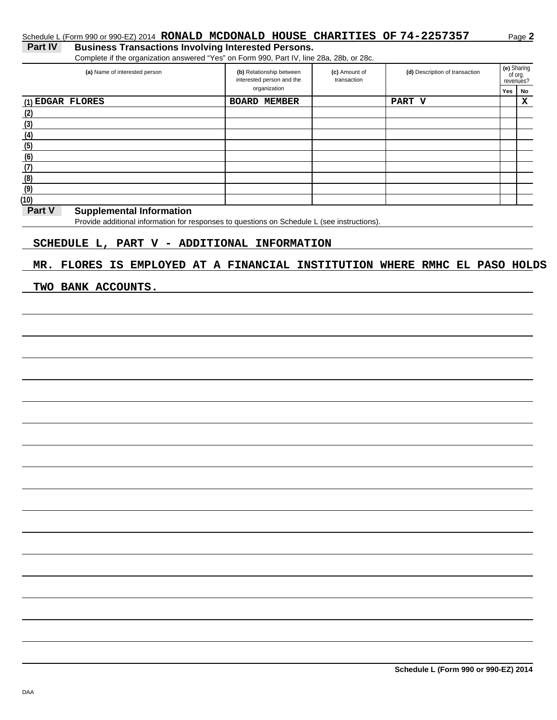#### **Part IV Business Transactions Involving Interested Persons.** Complete if the organization answered "Yes" on Form 990, Part IV, line 28a, 28b, or 28c. ⊤ **(a)** Name of interested person **(b)** Relationship between **(c)** Amount of

| (a) Name of interested person | (b) Relationship between<br>interested person and the | (c) Amount of<br>transaction | (d) Description of transaction | $\epsilon$ ) $\sim$ $\epsilon$<br>of org.<br>revenues? |    |  |  |
|-------------------------------|-------------------------------------------------------|------------------------------|--------------------------------|--------------------------------------------------------|----|--|--|
|                               | organization                                          |                              |                                | Yes                                                    | No |  |  |
| $(1)$ EDGAR FLORES            | <b>BOARD MEMBER</b>                                   |                              | PART V                         |                                                        | x  |  |  |
| (2)                           |                                                       |                              |                                |                                                        |    |  |  |
| (3)                           |                                                       |                              |                                |                                                        |    |  |  |
| (4)                           |                                                       |                              |                                |                                                        |    |  |  |
| (5)                           |                                                       |                              |                                |                                                        |    |  |  |
| (6)                           |                                                       |                              |                                |                                                        |    |  |  |
| (7)                           |                                                       |                              |                                |                                                        |    |  |  |
| (8)                           |                                                       |                              |                                |                                                        |    |  |  |
| (9)                           |                                                       |                              |                                |                                                        |    |  |  |
| (10)                          |                                                       |                              |                                |                                                        |    |  |  |

### **Part V** Supplemental Information

Provide additional information for responses to questions on Schedule L (see instructions).

### **SCHEDULE L, PART V - ADDITIONAL INFORMATION**

### **MR. FLORES IS EMPLOYED AT A FINANCIAL INSTITUTION WHERE RMHC EL PASO HOLDS**

### **TWO BANK ACCOUNTS.**

**(e)** Sharing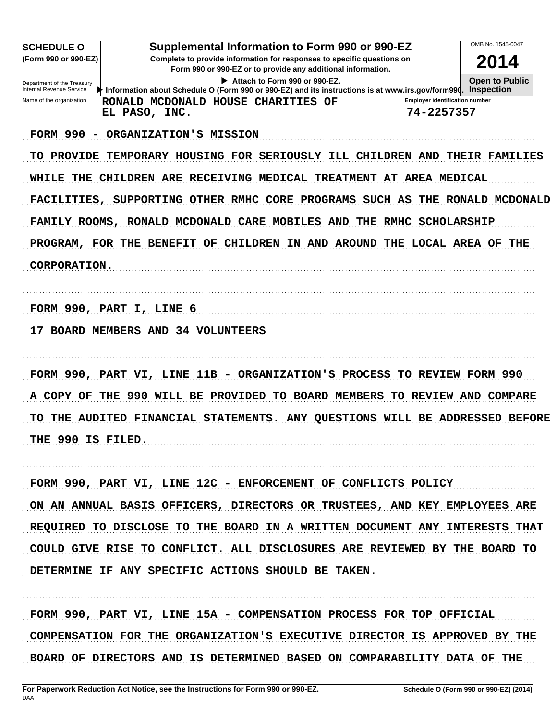| Supplemental Information to Form 990 or 990-EZ<br><b>SCHEDULE O</b><br>(Form 990 or 990-EZ)<br>Complete to provide information for responses to specific questions on<br>Form 990 or 990-EZ or to provide any additional information.<br>Attach to Form 990 or 990-EZ.<br>Department of the Treasury<br>Internal Revenue Service<br>Information about Schedule O (Form 990 or 990-EZ) and its instructions is at www.irs.gov/form990. Inspection | OMB No. 1545-0047<br>2014<br><b>Open to Public</b>  |
|--------------------------------------------------------------------------------------------------------------------------------------------------------------------------------------------------------------------------------------------------------------------------------------------------------------------------------------------------------------------------------------------------------------------------------------------------|-----------------------------------------------------|
| Name of the organization<br>RONALD MCDONALD HOUSE CHARITIES OF<br>EL PASO, INC.                                                                                                                                                                                                                                                                                                                                                                  | <b>Employer identification number</b><br>74-2257357 |
| FORM 990 - ORGANIZATION'S MISSION<br>TO PROVIDE TEMPORARY HOUSING FOR SERIOUSLY ILL CHILDREN AND THEIR FAMILIES<br>WHILE THE CHILDREN ARE RECEIVING MEDICAL TREATMENT AT AREA MEDICAL<br>FACILITIES, SUPPORTING OTHER RMHC CORE PROGRAMS SUCH AS THE RONALD MCDONALD<br>FAMILY ROOMS, RONALD MCDONALD CARE MOBILES AND THE RMHC SCHOLARSHIP<br>PROGRAM, FOR THE BENEFIT OF CHILDREN IN AND AROUND THE LOCAL AREA OF THE<br><b>CORPORATION.</b>   |                                                     |
| FORM 990, PART I, LINE 6<br><b>17 BOARD MEMBERS AND 34 VOLUNTEERS</b><br>FORM 990, PART VI, LINE 11B - ORGANIZATION'S PROCESS TO REVIEW FORM 990<br>A COPY OF THE 990 WILL BE PROVIDED TO BOARD MEMBERS TO REVIEW AND COMPARE                                                                                                                                                                                                                    |                                                     |
| THE AUDITED FINANCIAL STATEMENTS. ANY QUESTIONS WILL BE ADDRESSED BEFORE<br>TО<br>THE 990 IS FILED.                                                                                                                                                                                                                                                                                                                                              |                                                     |
| FORM 990, PART VI, LINE 12C - ENFORCEMENT OF CONFLICTS POLICY                                                                                                                                                                                                                                                                                                                                                                                    |                                                     |
| ON AN ANNUAL BASIS OFFICERS, DIRECTORS OR TRUSTEES, AND KEY EMPLOYEES ARE<br>REQUIRED TO DISCLOSE TO THE BOARD IN A WRITTEN DOCUMENT ANY INTERESTS THAT<br>COULD GIVE RISE TO CONFLICT. ALL DISCLOSURES ARE REVIEWED BY THE BOARD TO<br>DETERMINE IF ANY SPECIFIC ACTIONS SHOULD BE TAKEN.                                                                                                                                                       |                                                     |

FORM 990, PART VI, LINE 15A - COMPENSATION PROCESS FOR TOP OFFICIAL COMPENSATION FOR THE ORGANIZATION'S EXECUTIVE DIRECTOR IS APPROVED BY THE BOARD OF DIRECTORS AND IS DETERMINED BASED ON COMPARABILITY DATA OF THE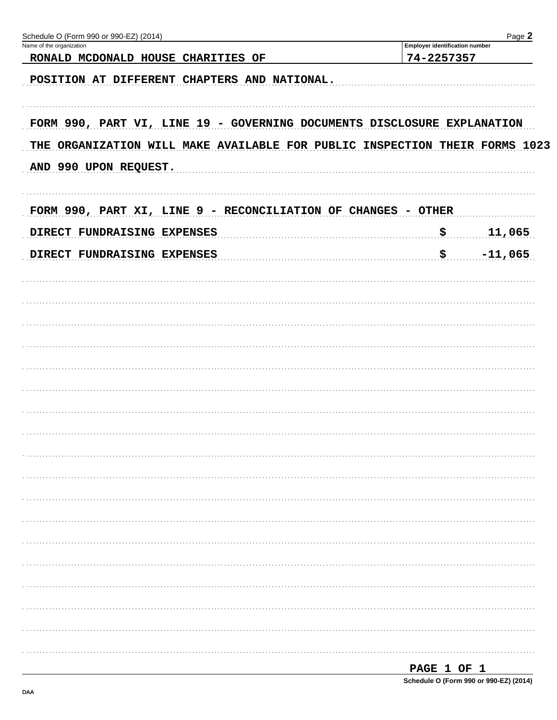| Schedule O (Form 990 or 990-EZ) (2014)                                      | Page 2                                              |
|-----------------------------------------------------------------------------|-----------------------------------------------------|
| Name of the organization<br>RONALD MCDONALD HOUSE CHARITIES OF              | <b>Employer identification number</b><br>74-2257357 |
|                                                                             |                                                     |
| POSITION AT DIFFERENT CHAPTERS AND NATIONAL.                                |                                                     |
|                                                                             |                                                     |
|                                                                             |                                                     |
| FORM 990, PART VI, LINE 19 - GOVERNING DOCUMENTS DISCLOSURE EXPLANATION     |                                                     |
| THE ORGANIZATION WILL MAKE AVAILABLE FOR PUBLIC INSPECTION THEIR FORMS 1023 |                                                     |
| AND 990 UPON REQUEST.                                                       |                                                     |
|                                                                             |                                                     |
|                                                                             |                                                     |
| FORM 990, PART XI, LINE 9 - RECONCILIATION OF CHANGES - OTHER               |                                                     |
| DIRECT FUNDRAISING EXPENSES                                                 | \$.<br>11,065                                       |
|                                                                             |                                                     |
| DIRECT FUNDRAISING EXPENSES                                                 | \$<br>$-11,065$                                     |
|                                                                             |                                                     |
|                                                                             |                                                     |
|                                                                             |                                                     |
|                                                                             |                                                     |
|                                                                             |                                                     |
|                                                                             |                                                     |
|                                                                             |                                                     |
|                                                                             |                                                     |
|                                                                             |                                                     |
|                                                                             |                                                     |
|                                                                             |                                                     |
|                                                                             |                                                     |
|                                                                             |                                                     |
|                                                                             |                                                     |
|                                                                             |                                                     |
|                                                                             |                                                     |
|                                                                             |                                                     |
|                                                                             |                                                     |
|                                                                             |                                                     |
|                                                                             |                                                     |
|                                                                             |                                                     |
|                                                                             |                                                     |
|                                                                             |                                                     |
|                                                                             |                                                     |
|                                                                             |                                                     |
|                                                                             |                                                     |

| PAGE 1 OF 1                            |  |  |
|----------------------------------------|--|--|
| Schedule O (Form 990 or 990-EZ) (2014) |  |  |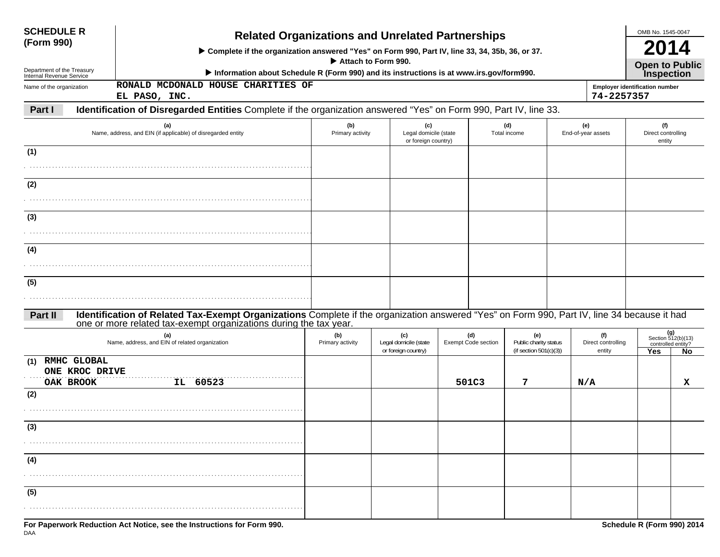| <b>SCHEDULE R</b>                                      | <b>Related Organizations and Unrelated Partnerships</b>                                                                                     |                                                                                                                |                                                     |                                   |  |                                                           |  |                                     | OMB No. 1545-0047                                          |                                                       |  |
|--------------------------------------------------------|---------------------------------------------------------------------------------------------------------------------------------------------|----------------------------------------------------------------------------------------------------------------|-----------------------------------------------------|-----------------------------------|--|-----------------------------------------------------------|--|-------------------------------------|------------------------------------------------------------|-------------------------------------------------------|--|
| (Form 990)                                             | > Complete if the organization answered "Yes" on Form 990, Part IV, line 33, 34, 35b, 36, or 37.                                            |                                                                                                                |                                                     |                                   |  |                                                           |  |                                     | 4                                                          |                                                       |  |
| Department of the Treasury<br>Internal Revenue Service |                                                                                                                                             | Attach to Form 990.<br>Information about Schedule R (Form 990) and its instructions is at www.irs.gov/form990. |                                                     |                                   |  |                                                           |  |                                     |                                                            |                                                       |  |
| Name of the organization                               | RONALD MCDONALD HOUSE CHARITIES OF<br>EL PASO, INC.                                                                                         |                                                                                                                |                                                     |                                   |  |                                                           |  | 74-2257357                          | <b>Inspection</b><br><b>Employer identification number</b> |                                                       |  |
| Part I                                                 | Identification of Disregarded Entities Complete if the organization answered "Yes" on Form 990, Part IV, line 33.                           |                                                                                                                |                                                     |                                   |  |                                                           |  |                                     |                                                            |                                                       |  |
|                                                        | (a)<br>Name, address, and EIN (if applicable) of disregarded entity                                                                         | (b)<br>Primary activity                                                                                        | (c)<br>Legal domicile (state<br>or foreign country) |                                   |  | (d)<br>Total income                                       |  | (e)<br>End-of-year assets           | (f)<br>Direct controlling<br>entity                        |                                                       |  |
| (1)                                                    |                                                                                                                                             |                                                                                                                |                                                     |                                   |  |                                                           |  |                                     |                                                            |                                                       |  |
| (2)                                                    |                                                                                                                                             |                                                                                                                |                                                     |                                   |  |                                                           |  |                                     |                                                            |                                                       |  |
| (3)                                                    |                                                                                                                                             |                                                                                                                |                                                     |                                   |  |                                                           |  |                                     |                                                            |                                                       |  |
|                                                        |                                                                                                                                             |                                                                                                                |                                                     |                                   |  |                                                           |  |                                     |                                                            |                                                       |  |
| (4)                                                    |                                                                                                                                             |                                                                                                                |                                                     |                                   |  |                                                           |  |                                     |                                                            |                                                       |  |
| (5)                                                    |                                                                                                                                             |                                                                                                                |                                                     |                                   |  |                                                           |  |                                     |                                                            |                                                       |  |
| Part II                                                | Identification of Related Tax-Exempt Organizations Complete if the organization answered "Yes" on Form 990, Part IV, line 34 because it had |                                                                                                                |                                                     |                                   |  |                                                           |  |                                     |                                                            |                                                       |  |
|                                                        | one or more related tax-exempt organizations during the tax year.<br>(a)<br>Name, address, and EIN of related organization                  | (b)<br>Primary activity                                                                                        | (c)<br>Legal domicile (state<br>or foreign country) | (d)<br><b>Exempt Code section</b> |  | (e)<br>Public charity status<br>(if section $501(c)(3)$ ) |  | (f)<br>Direct controlling<br>entity | Yes                                                        | (g)<br>Section 512(b)(13)<br>controlled entity?<br>No |  |
| RMHC GLOBAL<br>(1)<br>ONE KROC DRIVE<br>OAK BROOK      | IL 60523                                                                                                                                    |                                                                                                                |                                                     | 501C3                             |  | 7                                                         |  | N/A                                 |                                                            | x                                                     |  |
| (2)                                                    |                                                                                                                                             |                                                                                                                |                                                     |                                   |  |                                                           |  |                                     |                                                            |                                                       |  |
| (3)                                                    |                                                                                                                                             |                                                                                                                |                                                     |                                   |  |                                                           |  |                                     |                                                            |                                                       |  |
|                                                        |                                                                                                                                             |                                                                                                                |                                                     |                                   |  |                                                           |  |                                     |                                                            |                                                       |  |
| (4)                                                    |                                                                                                                                             |                                                                                                                |                                                     |                                   |  |                                                           |  |                                     |                                                            |                                                       |  |
| (5)                                                    |                                                                                                                                             |                                                                                                                |                                                     |                                   |  |                                                           |  |                                     |                                                            |                                                       |  |
|                                                        |                                                                                                                                             |                                                                                                                |                                                     |                                   |  |                                                           |  |                                     |                                                            |                                                       |  |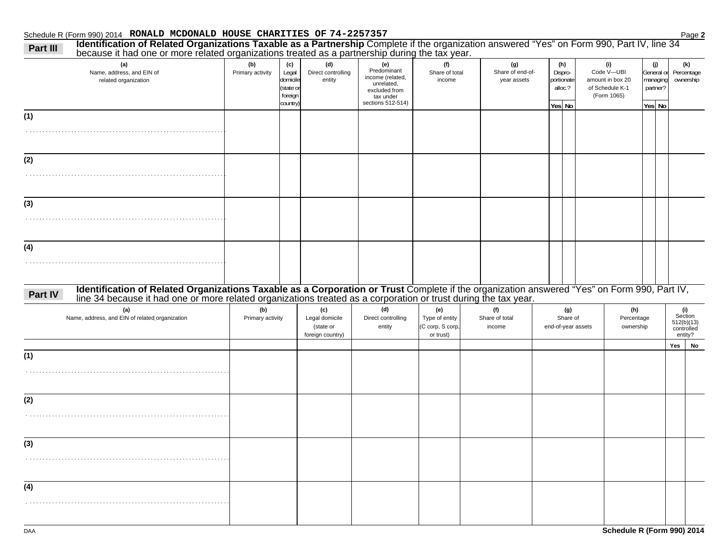### Schedule R (Form 990) 2014 Page **2 RONALD MCDONALD HOUSE CHARITIES OF 74-2257357**

**(a) (b) (c) (d) (e) (f)** Predominant. . . . . . . . . . . . . . . . . . . . . . . . . . . . . . . . . . . . . . . . . . . . . . . . . . . . . . . . . . . . . . .Name, address, and EIN of Primary activity Legal domicile (state or foreign country) Direct controlling entity income (related, unrelated, Share of total portionate alloc.?General or managing partner? **Yes No No Yes (g) (h)** Share of end-ofhare of end-of-<br>
year assets<br>
portional **Part III Identification of Related Organizations Taxable as a Partnership** Complete if the organization answered "Yes" on Form 990, Part IV, line 34 **(i)** of Schedule K-1Code V—UBI **(j)** . . . . . . . . . . . . . . . . . . . . . . . . . . . . . . . . . . . . . . . . . . . . . . . . . . . . . . . . . . . . . . .. . . . . . . . . . . . . . . . . . . . . . . . . . . . . . . . . . . . . . . . . . . . . . . . . . . . . . . . . . . . . . .. . . . . . . . . . . . . . . . . . . . . . . . . . . . . . . . . . . . . . . . . . . . . . . . . . . . . . . . . . . . . . .Name, address, and EIN of related organization **Primary activity** Legal domicile . . . . . . . . . . . . . . . . . . . . . . . . . . . . . . . . . . . . . . . . . . . . . . . . . . . . . . . . . . . . . . . .. . . . . . . . . . . . . . . . . . . . . . . . . . . . . . . . . . . . . . . . . . . . . . . . . . . . . . . . . . . . . . . .. . . . . . . . . . . . . . . . . . . . . . . . . . . . . . . . . . . . . . . . . . . . . . . . . . . . . . . . . . . . . . . .. . . . . . . . . . . . . . . . . . . . . . . . . . . . . . . . . . . . . . . . . . . . . . . . . . . . . . . . . . . . . . . .**Identification of Related Organizations Taxable as a Corporation or Trust Complete if the organization answered "Yes" on Form 990, Part IV, Part IV, Part IV, Part IV, Part IV, Part IV, Part IV, Part IV, Part IV, Part IV, (a) (b) (c) (d) (e) (f) (g) (h)** (state or foreign country) Direct controlling entity Type of entity (C corp, S corp, or trust) Share of total Share of end-of-year assets Percentage ownership amount in box 20(Form 1065) because it had one or more related organizations treated as a partnership during the tax year. excluded fromtax under sections 512-514) line 34 because it had one or more related organizations treated as a corporation or trust during the tax year. **(4) (3) (2) (1) (1) (2) (3) (4)** ownership Percentage **(k)** incomeincomerelated organization 512(b)(13) Section **(i)** entity? **Yes No**controlled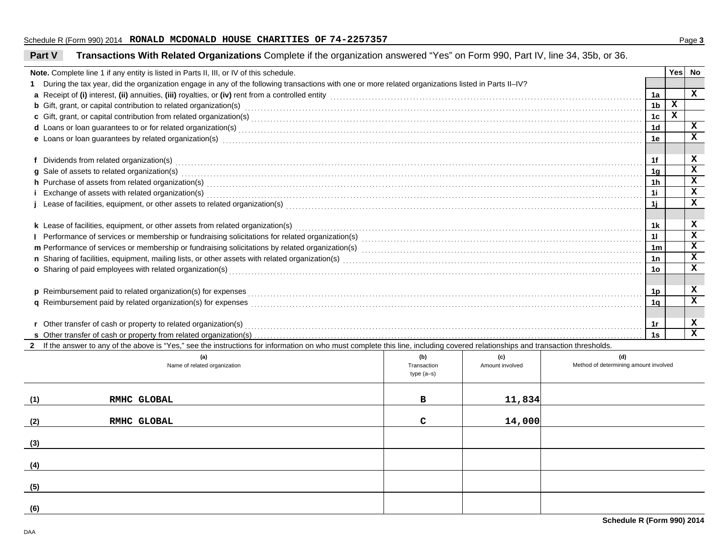| Note. Complete line 1 if any entity is listed in Parts II, III, or IV of this schedule.                                                                                                                                        |             |                 |                                       |                | Yes | No           |  |  |  |  |
|--------------------------------------------------------------------------------------------------------------------------------------------------------------------------------------------------------------------------------|-------------|-----------------|---------------------------------------|----------------|-----|--------------|--|--|--|--|
| 1 During the tax year, did the organization engage in any of the following transactions with one or more related organizations listed in Parts II–IV?                                                                          |             |                 |                                       |                |     |              |  |  |  |  |
| a Receipt of (i) interest, (ii) annuities, (iii) royalties, or (iv) rent from a controlled entity [1] controlled entity [1] controlled entity controlled entity contains and the subsequences in the subsequence of (i) intere |             |                 |                                       |                |     |              |  |  |  |  |
| <b>b</b> Gift, grant, or capital contribution to related organization(s) encourse consumed and consumed contribution to related organization(s)                                                                                |             |                 |                                       |                |     |              |  |  |  |  |
|                                                                                                                                                                                                                                |             |                 |                                       |                |     |              |  |  |  |  |
|                                                                                                                                                                                                                                |             |                 |                                       |                |     |              |  |  |  |  |
| e Loans or loan guarantees by related organization(s) encourance contained and contained and contained and contained and contained and contained and contained and contained and contained and contained and contained and con |             |                 |                                       |                |     |              |  |  |  |  |
|                                                                                                                                                                                                                                |             |                 |                                       |                |     |              |  |  |  |  |
|                                                                                                                                                                                                                                |             |                 |                                       |                |     |              |  |  |  |  |
| g Sale of assets to related organization(s) encourance contains a substantial container and state of assets to related organization(s)                                                                                         |             |                 |                                       |                |     |              |  |  |  |  |
| h Purchase of assets from related organization(s) with an example control of the control of the control of assets from related organization(s)                                                                                 |             |                 |                                       |                |     |              |  |  |  |  |
| i Exchange of assets with related organization(s) encountled assess that contain a substantial exchange of assets with related organization(s)                                                                                 |             |                 |                                       | 1i             |     | $\mathbf x$  |  |  |  |  |
|                                                                                                                                                                                                                                |             |                 |                                       | 1i             |     | $\mathbf x$  |  |  |  |  |
|                                                                                                                                                                                                                                |             |                 |                                       |                |     |              |  |  |  |  |
| k Lease of facilities, equipment, or other assets from related organization(s)                                                                                                                                                 |             |                 |                                       | 1k             |     | x            |  |  |  |  |
|                                                                                                                                                                                                                                |             |                 |                                       | 11             |     | $\mathbf{x}$ |  |  |  |  |
|                                                                                                                                                                                                                                |             |                 |                                       | 1 <sub>m</sub> |     | $\mathbf x$  |  |  |  |  |
|                                                                                                                                                                                                                                |             |                 |                                       | 1n             |     | $\mathbf x$  |  |  |  |  |
| o Sharing of paid employees with related organization(s)                                                                                                                                                                       |             |                 |                                       | 10             |     | X            |  |  |  |  |
|                                                                                                                                                                                                                                |             |                 |                                       |                |     |              |  |  |  |  |
| p Reimbursement paid to related organization(s) for expenses                                                                                                                                                                   |             |                 |                                       | 1p             |     | x            |  |  |  |  |
|                                                                                                                                                                                                                                |             |                 |                                       | 1 <sub>a</sub> |     | $\mathbf x$  |  |  |  |  |
|                                                                                                                                                                                                                                |             |                 |                                       |                |     |              |  |  |  |  |
|                                                                                                                                                                                                                                |             |                 |                                       | 1r             |     | x            |  |  |  |  |
|                                                                                                                                                                                                                                |             |                 |                                       | 1s             |     | $\mathbf x$  |  |  |  |  |
| 2 If the answer to any of the above is "Yes," see the instructions for information on who must complete this line, including covered relationships and transaction thresholds.                                                 |             |                 |                                       |                |     |              |  |  |  |  |
| (a)                                                                                                                                                                                                                            | (b)         | (c)             | (d)                                   |                |     |              |  |  |  |  |
| Name of related organization                                                                                                                                                                                                   | Transaction | Amount involved | Method of determining amount involved |                |     |              |  |  |  |  |
|                                                                                                                                                                                                                                | $type(a-s)$ |                 |                                       |                |     |              |  |  |  |  |
|                                                                                                                                                                                                                                |             |                 |                                       |                |     |              |  |  |  |  |
| RMHC GLOBAL<br>(1)                                                                                                                                                                                                             | в           | 11,834          |                                       |                |     |              |  |  |  |  |
|                                                                                                                                                                                                                                |             |                 |                                       |                |     |              |  |  |  |  |
| RMHC GLOBAL<br>(2)                                                                                                                                                                                                             | c           | 14,000          |                                       |                |     |              |  |  |  |  |
|                                                                                                                                                                                                                                |             |                 |                                       |                |     |              |  |  |  |  |
| (3)                                                                                                                                                                                                                            |             |                 |                                       |                |     |              |  |  |  |  |
|                                                                                                                                                                                                                                |             |                 |                                       |                |     |              |  |  |  |  |
| (4)                                                                                                                                                                                                                            |             |                 |                                       |                |     |              |  |  |  |  |
|                                                                                                                                                                                                                                |             |                 |                                       |                |     |              |  |  |  |  |
| (5)                                                                                                                                                                                                                            |             |                 |                                       |                |     |              |  |  |  |  |
|                                                                                                                                                                                                                                |             |                 |                                       |                |     |              |  |  |  |  |
| (6)                                                                                                                                                                                                                            |             |                 |                                       |                |     |              |  |  |  |  |
|                                                                                                                                                                                                                                |             |                 |                                       |                |     |              |  |  |  |  |

**Transactions With Related Organizations** Complete if the organization answered "Yes" on Form 990, Part IV, line 34, 35b, or 36.

**Part V**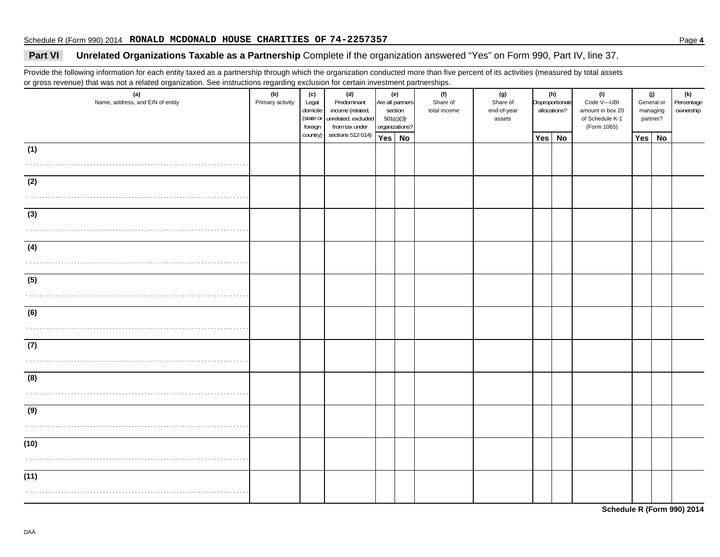### **Part VI Unrelated Organizations Taxable as a Partnership** Complete if the organization answered "Yes" on Form 990, Part IV, line 37.

Provide the following information for each entity taxed as a partnership through which the organization conducted more than five percent of its activities (measured by total assets or gross revenue) that was not a related organization. See instructions regarding exclusion for certain investment partnerships.

| (a)<br>Name, address, and EIN of entity | (b)<br>Primary activity | (c)<br>Legal<br>domicile<br>(state or<br>foreign | (d)<br>Predominant<br>income (related,<br>unrelated, excluded<br>from tax under | (e)<br>section<br>501(c)(3)<br>organizations? | Are all partners | (f)<br>Share of<br>total income | (g)<br>Share of<br>end-of-year<br>assets | Disproportionate<br>allocations? | (h) | (i)<br>Code V-UBI<br>amount in box 20<br>of Schedule K-1<br>(Form 1065) | partner? | (j)<br>General or<br>managing | (k)<br>Percentage<br>ownership |
|-----------------------------------------|-------------------------|--------------------------------------------------|---------------------------------------------------------------------------------|-----------------------------------------------|------------------|---------------------------------|------------------------------------------|----------------------------------|-----|-------------------------------------------------------------------------|----------|-------------------------------|--------------------------------|
|                                         |                         | country)                                         | sections 512-514)                                                               | Yes No                                        |                  |                                 |                                          | Yes No                           |     |                                                                         | Yes No   |                               |                                |
| (1)                                     |                         |                                                  |                                                                                 |                                               |                  |                                 |                                          |                                  |     |                                                                         |          |                               |                                |
|                                         |                         |                                                  |                                                                                 |                                               |                  |                                 |                                          |                                  |     |                                                                         |          |                               |                                |
| (2)                                     |                         |                                                  |                                                                                 |                                               |                  |                                 |                                          |                                  |     |                                                                         |          |                               |                                |
| (3)                                     |                         |                                                  |                                                                                 |                                               |                  |                                 |                                          |                                  |     |                                                                         |          |                               |                                |
|                                         |                         |                                                  |                                                                                 |                                               |                  |                                 |                                          |                                  |     |                                                                         |          |                               |                                |
| (4)                                     |                         |                                                  |                                                                                 |                                               |                  |                                 |                                          |                                  |     |                                                                         |          |                               |                                |
| (5)                                     |                         |                                                  |                                                                                 |                                               |                  |                                 |                                          |                                  |     |                                                                         |          |                               |                                |
|                                         |                         |                                                  |                                                                                 |                                               |                  |                                 |                                          |                                  |     |                                                                         |          |                               |                                |
| (6)                                     |                         |                                                  |                                                                                 |                                               |                  |                                 |                                          |                                  |     |                                                                         |          |                               |                                |
| (7)                                     |                         |                                                  |                                                                                 |                                               |                  |                                 |                                          |                                  |     |                                                                         |          |                               |                                |
|                                         |                         |                                                  |                                                                                 |                                               |                  |                                 |                                          |                                  |     |                                                                         |          |                               |                                |
| (8)                                     |                         |                                                  |                                                                                 |                                               |                  |                                 |                                          |                                  |     |                                                                         |          |                               |                                |
| (9)                                     |                         |                                                  |                                                                                 |                                               |                  |                                 |                                          |                                  |     |                                                                         |          |                               |                                |
|                                         |                         |                                                  |                                                                                 |                                               |                  |                                 |                                          |                                  |     |                                                                         |          |                               |                                |
| (10)                                    |                         |                                                  |                                                                                 |                                               |                  |                                 |                                          |                                  |     |                                                                         |          |                               |                                |
| (11)                                    |                         |                                                  |                                                                                 |                                               |                  |                                 |                                          |                                  |     |                                                                         |          |                               |                                |
| 1.1.1.1.1.1                             |                         |                                                  |                                                                                 |                                               |                  |                                 |                                          |                                  |     |                                                                         |          |                               |                                |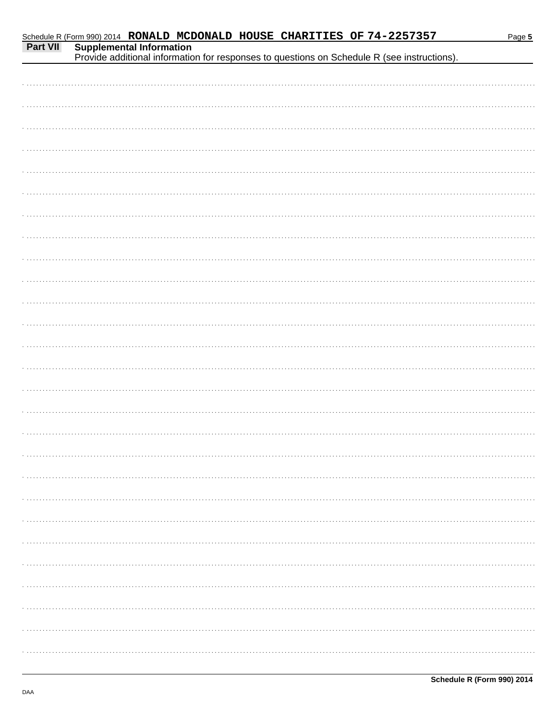|                                                                                                                                                                                                              | Page 5 |
|--------------------------------------------------------------------------------------------------------------------------------------------------------------------------------------------------------------|--------|
| Schedule R (Form 990) 2014 RONALD MCDONALD HOUSE CHARITIES OF 74-2257357<br>Part VII Supplemental Information<br>Provide additional information for responses to questions on Schedule R (see instructions). |        |
|                                                                                                                                                                                                              |        |
|                                                                                                                                                                                                              |        |
|                                                                                                                                                                                                              |        |
|                                                                                                                                                                                                              |        |
|                                                                                                                                                                                                              |        |
|                                                                                                                                                                                                              |        |
|                                                                                                                                                                                                              |        |
|                                                                                                                                                                                                              |        |
|                                                                                                                                                                                                              |        |
|                                                                                                                                                                                                              |        |
|                                                                                                                                                                                                              |        |
|                                                                                                                                                                                                              |        |
|                                                                                                                                                                                                              |        |
|                                                                                                                                                                                                              |        |
|                                                                                                                                                                                                              |        |
|                                                                                                                                                                                                              |        |
|                                                                                                                                                                                                              |        |
|                                                                                                                                                                                                              |        |
|                                                                                                                                                                                                              |        |
|                                                                                                                                                                                                              |        |
|                                                                                                                                                                                                              |        |
|                                                                                                                                                                                                              |        |
|                                                                                                                                                                                                              |        |
|                                                                                                                                                                                                              |        |
|                                                                                                                                                                                                              |        |
|                                                                                                                                                                                                              |        |
|                                                                                                                                                                                                              |        |
|                                                                                                                                                                                                              |        |
|                                                                                                                                                                                                              |        |
|                                                                                                                                                                                                              |        |
|                                                                                                                                                                                                              |        |
|                                                                                                                                                                                                              |        |
|                                                                                                                                                                                                              |        |
|                                                                                                                                                                                                              |        |
|                                                                                                                                                                                                              |        |
|                                                                                                                                                                                                              |        |
|                                                                                                                                                                                                              |        |
|                                                                                                                                                                                                              |        |
|                                                                                                                                                                                                              |        |
|                                                                                                                                                                                                              |        |
|                                                                                                                                                                                                              |        |
|                                                                                                                                                                                                              |        |
|                                                                                                                                                                                                              |        |
|                                                                                                                                                                                                              |        |
|                                                                                                                                                                                                              |        |
|                                                                                                                                                                                                              |        |
|                                                                                                                                                                                                              |        |
|                                                                                                                                                                                                              |        |
|                                                                                                                                                                                                              |        |